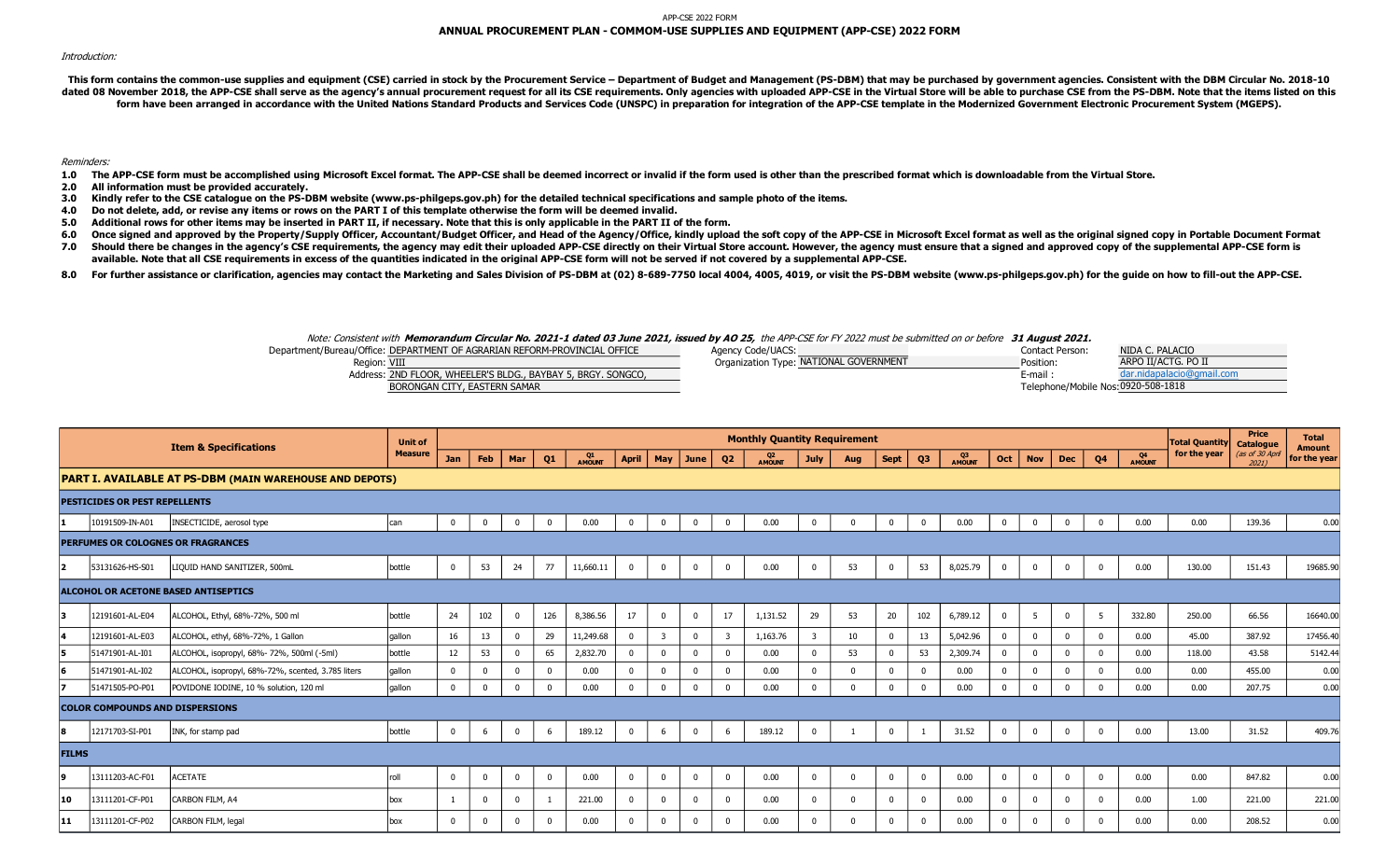## APP-CSE 2022 FORM **ANNUAL PROCUREMENT PLAN - COMMOM-USE SUPPLIES AND EQUIPMENT (APP-CSE) 2022 FORM**

## Introduction:

This form contains the common-use supplies and equipment (CSE) carried in stock by the Procurement Service - Department of Budget and Management (PS-DBM) that may be purchased by government agencies. Consistent with the DB dated 08 November 2018, the APP-CSE shall serve as the agency's annual procurement request for all its CSE requirements. Only agencies with uploaded APP-CSE in the Virtual Store will be able to purchase CSE from the PS-DBM form have been arranged in accordance with the United Nations Standard Products and Services Code (UNSPC) in preparation for integration of the APP-CSE template in the Modernized Government Electronic Procurement System (M

Reminders:

- 1.0 The APP-CSE form must be accomplished using Microsoft Excel format. The APP-CSE shall be deemed incorrect or invalid if the form used is other than the prescribed format which is downloadable from the Virtual Store.
- **2.0 All information must be provided accurately.**
- **3.0 Kindly refer to the CSE catalogue on the PS-DBM website (www.ps-philgeps.gov.ph) for the detailed technical specifications and sample photo of the items.**
- **4.0 Do not delete, add, or revise any items or rows on the PART I of this template otherwise the form will be deemed invalid.**
- **5.0 Additional rows for other items may be inserted in PART II, if necessary. Note that this is only applicable in the PART II of the form.**
- **6.0** Once signed and approved by the Property/Supply Officer, Accountant/Budget Officer, and Head of the Agency/Office, kindly upload the soft copy of the APP-CSE in Microsoft Excel format as well as the original signed copy in
- **7.0** Should there be changes in the agency's CSE requirements, the agency may edit their uploaded APP-CSE directly on their Virtual Store account. However, the agency must ensure that a signed and approved copy of the supplemen available. Note that all CSE requirements in excess of the quantities indicated in the original APP-CSE form will not be served if not covered by a supplemental APP-CSE.
- **8.0** For further assistance or clarification, agencies may contact the Marketing and Sales Division of PS-DBM at (02) 8-689-7750 local 4004, 4005, 4019, or visit the PS-DBM website (www.ps-philgeps.gov.ph) for the quide on how

## Note: Consistent with **Memorandum Circular No. 2021-1 dated 03 June 2021, issued by AO 25,** the APP-CSE for FY 2022 must be submitted on or before **31 August 2021.**

| Department/Bureau/Office: DEPARTMENT OF AGRARIAN REFORM-PROVINCIAL OFFICE | Agency Code/UACS:                      | Contact Person <sup>.</sup>         | NIDA C. PALACIO           |
|---------------------------------------------------------------------------|----------------------------------------|-------------------------------------|---------------------------|
| Region: VIII                                                              | Organization Type: NATIONAL GOVERNMENT | Position:                           | ARPO II/ACTG. PO II       |
| Address: 2ND FLOOR, WHEELER'S BLDG., BAYBAY 5, BRGY. SONGCO,              |                                        | E-mail.                             | dar.nidapalacio@gmail.com |
| BORONGAN CITY, EASTERN SAMAR                                              |                                        | Telephone/Mobile Nos: 0920-508-1818 |                           |

|              |                                        | <b>Item &amp; Specifications</b>                        | <b>Unit of</b> |              |              |              |                |              |              |                         |                |                         | <b>Monthly Quantity Requirement</b> |                |              |              |                |              |                |             |            |                |                      | <b>Total Quantity</b> | <b>Price</b><br>Catalogue | <b>Total</b><br><b>Amount</b> |
|--------------|----------------------------------------|---------------------------------------------------------|----------------|--------------|--------------|--------------|----------------|--------------|--------------|-------------------------|----------------|-------------------------|-------------------------------------|----------------|--------------|--------------|----------------|--------------|----------------|-------------|------------|----------------|----------------------|-----------------------|---------------------------|-------------------------------|
|              |                                        |                                                         | <b>Measure</b> | <b>Jan</b>   | Feb          | Mar          | Q <sub>1</sub> | Q1<br>AMOUNT | April        |                         | May $ $ June   | Q <sub>2</sub>          | AMOUNT                              | <b>July</b>    | Aug          | <b>Sept</b>  | Q <sub>3</sub> | Q3<br>AMOUNT | Oct            | <b>Nov</b>  | <b>Dec</b> | Q <sub>4</sub> | Q4<br><b>A MOUNT</b> | for the year          | (as of 30 April<br>20211  | for the year                  |
|              |                                        | PART I. AVAILABLE AT PS-DBM (MAIN WAREHOUSE AND DEPOTS) |                |              |              |              |                |              |              |                         |                |                         |                                     |                |              |              |                |              |                |             |            |                |                      |                       |                           |                               |
|              | <b>PESTICIDES OR PEST REPELLENTS</b>   |                                                         |                |              |              |              |                |              |              |                         |                |                         |                                     |                |              |              |                |              |                |             |            |                |                      |                       |                           |                               |
|              | 10191509-IN-A01                        | INSECTICIDE, aerosol type                               | can            | $\mathbf 0$  | $\mathbf 0$  | $\bf{0}$     | $\mathbf 0$    | 0.00         | $\mathbf{0}$ | $\mathbf 0$             | $\mathbf 0$    | $\overline{0}$          | 0.00                                | $\mathbf 0$    | $\Omega$     | $\mathbf{0}$ | $\mathbf 0$    | 0.00         | $\mathbf 0$    | $\Omega$    | $\Omega$   | $\mathbf 0$    | 0.00                 | 0.00                  | 139.36                    | 0.00                          |
|              |                                        | PERFUMES OR COLOGNES OR FRAGRANCES                      |                |              |              |              |                |              |              |                         |                |                         |                                     |                |              |              |                |              |                |             |            |                |                      |                       |                           |                               |
| $\vert$ 2    | 53131626-HS-S01                        | LIQUID HAND SANITIZER, 500mL                            | bottle         | $\mathbf{0}$ | 53           | 24           | 77             | 11,660.11    | $\mathbf 0$  | $\Omega$                | $\overline{0}$ | $\overline{0}$          | 0.00                                | $\overline{0}$ | 53           | $\Omega$     | 53             | 8,025.79     | $\overline{0}$ | $\Omega$    | $\Omega$   | $\mathbf 0$    | 0.00                 | 130.00                | 151.43                    | 19685.90                      |
|              |                                        | ALCOHOL OR ACETONE BASED ANTISEPTICS                    |                |              |              |              |                |              |              |                         |                |                         |                                     |                |              |              |                |              |                |             |            |                |                      |                       |                           |                               |
| 13           | 12191601-AL-E04                        | ALCOHOL, Ethyl, 68%-72%, 500 ml                         | bottle         | 24           | 102          | $\mathbf 0$  | 126            | 8,386.56     | 17           | $\Omega$                | $\mathbf{0}$   | 17                      | 1,131.52                            | 29             | 53           | 20           | 102            | 6,789.12     | $\overline{0}$ | 5           | $\Omega$   | 5              | 332.80               | 250.00                | 66.56                     | 16640.00                      |
| 4            | 12191601-AL-E03                        | ALCOHOL, ethyl, 68%-72%, 1 Gallon                       | gallon         | 16           | 13           | 0            | 29             | 11,249.68    | $\mathbf 0$  | $\overline{\mathbf{3}}$ | $\mathbf 0$    | $\overline{\mathbf{3}}$ | 1,163.76                            | $\overline{3}$ | 10           | $\Omega$     | 13             | 5,042.96     | $\mathbf{0}$   | $\Omega$    |            | $\Omega$       | 0.00                 | 45.00                 | 387.92                    | 17456.40                      |
| 5.           | 51471901-AL-I01                        | ALCOHOL, isopropyl, 68%-72%, 500ml (-5ml)               | bottle         | 12           | 53           | $\mathbf{0}$ | 65             | 2,832.70     | $\mathbf{0}$ | $\mathbf{0}$            | $\mathbf 0$    | $\mathbf 0$             | 0.00                                | $\mathbf 0$    | 53           | $\Omega$     | 53             | 2,309.74     | $\mathbf{0}$   | $\Omega$    |            | $\Omega$       | 0.00                 | 118.00                | 43.58                     | 5142.44                       |
| 6            | 51471901-AL-I02                        | ALCOHOL, isopropyl, 68%-72%, scented, 3.785 liters      | gallon         | $\mathbf{0}$ | $\mathbf{0}$ | $\mathbf 0$  | $\mathbf{0}$   | 0.00         | $\mathbf 0$  | $\mathbf{0}$            | $\mathbf{0}$   | $\mathbf 0$             | 0.00                                | $\mathbf{0}$   | $\mathbf{0}$ | $\Omega$     | $\mathbf 0$    | 0.00         | $\mathbf{0}$   | $\Omega$    |            | $\Omega$       | 0.00                 | 0.00                  | 455.00                    | 0.00                          |
| 17           | 51471505-PO-P01                        | POVIDONE IODINE, 10 % solution, 120 ml                  | gallon         | $\mathbf{0}$ | $\mathbf{0}$ | $\mathbf{0}$ | $\mathbf{0}$   | 0.00         | $\mathbf{0}$ | $\mathbf{0}$            | $\overline{0}$ | $\overline{0}$          | 0.00                                | $\mathbf{0}$   | $\Omega$     | $\Omega$     | $\mathbf 0$    | 0.00         | $\overline{0}$ | $\mathbf 0$ |            | $\Omega$       | 0.00                 | 0.00                  | 207.75                    | 0.00                          |
|              | <b>COLOR COMPOUNDS AND DISPERSIONS</b> |                                                         |                |              |              |              |                |              |              |                         |                |                         |                                     |                |              |              |                |              |                |             |            |                |                      |                       |                           |                               |
| 8            | 12171703-SI-P01                        | INK, for stamp pad                                      | bottle         | $\mathbf 0$  | -6           | $\mathbf{0}$ | -6             | 189.12       | $\mathbf 0$  | 6                       | $\bf{0}$       | 6                       | 189.12                              | $\mathbf 0$    |              | $\mathbf{0}$ |                | 31.52        | $\mathbf 0$    | $\Omega$    | $\Omega$   | $\mathbf 0$    | 0.00                 | 13.00                 | 31.52                     | 409.76                        |
| <b>FILMS</b> |                                        |                                                         |                |              |              |              |                |              |              |                         |                |                         |                                     |                |              |              |                |              |                |             |            |                |                      |                       |                           |                               |
| 9            | 13111203-AC-F01                        | <b>ACETATE</b>                                          | roll           | $\mathbf{0}$ | $\mathbf 0$  | $\mathbf 0$  | $\mathbf 0$    | 0.00         | $\mathbf 0$  | $\Omega$                | $\mathbf 0$    | $\mathbf{0}$            | 0.00                                | $\mathbf 0$    | $\Omega$     | $\mathbf{0}$ | $\mathbf 0$    | 0.00         | $\mathbf{0}$   | $\Omega$    | $\Omega$   | $\Omega$       | 0.00                 | 0.00                  | 847.82                    | 0.00                          |
| 10           | 13111201-CF-P01                        | CARBON FILM, A4                                         | box            | -1           | $^{\circ}$   | $\mathbf 0$  |                | 221.00       | $\Omega$     | $\Omega$                | $\mathbf 0$    | $\mathbf{0}$            | 0.00                                | $\Omega$       | $\Omega$     | $\Omega$     | $\mathbf{0}$   | 0.00         | 0              | $\Omega$    |            | $\Omega$       | 0.00                 | 1.00                  | 221.00                    | 221.00                        |
| 11           | 13111201-CF-P02                        | CARBON FILM, legal                                      | box            | $\Omega$     | $\Omega$     | $\Omega$     | $\Omega$       | 0.00         | $\Omega$     | $\Omega$                | $\Omega$       | $\Omega$                | 0.00                                | $\Omega$       | $\Omega$     | $\Omega$     | $\Omega$       | 0.00         | $\Omega$       | $\Omega$    |            | $\Omega$       | 0.00                 | 0.00                  | 208.52                    | 0.00                          |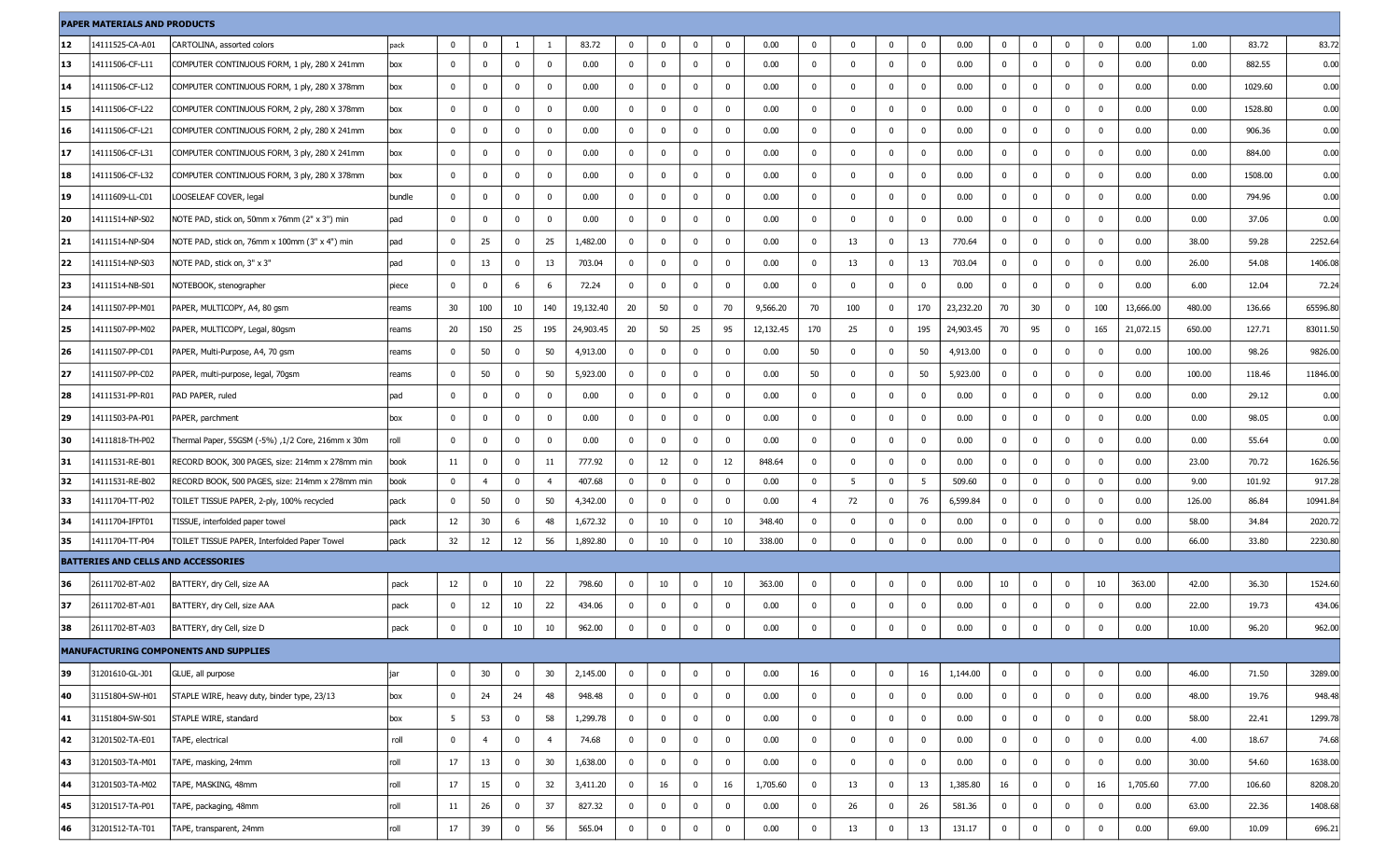| <b>PAPER MATERIALS AND PRODUCTS</b> |                                            |                                                   |        |              |                |             |                |           |              |              |                |                |           |                |                |              |                         |           |              |             |             |                         |           |        |         |          |
|-------------------------------------|--------------------------------------------|---------------------------------------------------|--------|--------------|----------------|-------------|----------------|-----------|--------------|--------------|----------------|----------------|-----------|----------------|----------------|--------------|-------------------------|-----------|--------------|-------------|-------------|-------------------------|-----------|--------|---------|----------|
| 12                                  | 14111525-CA-A01                            | CARTOLINA, assorted colors                        | pack   | 0            | 0              | -1          | -1             | 83.72     | $\bf{0}$     | $\bf{0}$     | $\mathbf 0$    | $\bf{0}$       | 0.00      | 0              | $\mathbf 0$    | $\bf{0}$     | $\overline{0}$          | 0.00      | $\mathbf 0$  | $\bf{0}$    | $\mathbf 0$ | 0                       | 0.00      | 1.00   | 83.72   | 83.72    |
| 13                                  | 14111506-CF-L11                            | COMPUTER CONTINUOUS FORM, 1 ply, 280 X 241mm      | box    | 0            | $\mathbf{0}$   | $\mathbf 0$ | $\mathbf 0$    | 0.00      | $\mathbf{0}$ | $\mathbf 0$  | $\bf{0}$       | $\mathbf{0}$   | 0.00      | 0              | $\mathbf 0$    | 0            | $\overline{\mathbf{0}}$ | 0.00      | $\mathbf 0$  | $\mathbf 0$ | 0           | $\mathbf 0$             | 0.00      | 0.00   | 882.55  | 0.00     |
| 14                                  | 14111506-CF-L12                            | COMPUTER CONTINUOUS FORM, 1 ply, 280 X 378mm      | box    | 0            | 0              | $\mathbf 0$ | $\bf{0}$       | 0.00      | $\mathbf 0$  | $\bf{0}$     | $\bf{0}$       | $\bf{0}$       | 0.00      | $\mathbf 0$    | $\mathbf 0$    | 0            | $\overline{0}$          | 0.00      | $\mathbf 0$  | $\mathbf 0$ | 0           | 0                       | 0.00      | 0.00   | 1029.60 | 0.00     |
| 15                                  | 14111506-CF-L22                            | COMPUTER CONTINUOUS FORM, 2 ply, 280 X 378mm      | box    | 0            | 0              | 0           | $\mathbf 0$    | 0.00      | $\mathbf{0}$ | $\mathbf 0$  | 0              | $\mathbf 0$    | 0.00      | 0              | $\mathbf 0$    | 0            | $\bm{0}$                | 0.00      | $\mathbf 0$  | $\mathbf 0$ | $\mathbf 0$ | 0                       | 0.00      | 0.00   | 1528.80 | 0.00     |
| 16                                  | 14111506-CF-L21                            | COMPUTER CONTINUOUS FORM, 2 ply, 280 X 241mm      | box    | 0            | $\mathbf 0$    | $\mathbf 0$ | $\mathbf 0$    | 0.00      | $\mathbf{0}$ | $\mathbf 0$  | $\mathbf 0$    | $\mathbf 0$    | 0.00      | $\mathbf{0}$   | $\mathbf 0$    | 0            | $\overline{\mathbf{0}}$ | 0.00      | $\mathbf 0$  | $\mathbf 0$ | $\mathbf 0$ | $\mathbf 0$             | 0.00      | 0.00   | 906.36  | 0.00     |
| 17                                  | 14111506-CF-L31                            | COMPUTER CONTINUOUS FORM, 3 ply, 280 X 241mm      | box    | 0            | 0              | $\mathbf 0$ | $\mathbf 0$    | 0.00      | $\bf{0}$     | $\mathbf 0$  | $\mathbf 0$    | 0              | 0.00      | $\mathbf 0$    | $\bf{0}$       | $^{\circ}$   | $\overline{\mathbf{0}}$ | 0.00      | $\mathbf 0$  | $\bf{0}$    | 0           | 0                       | 0.00      | 0.00   | 884.00  | 0.00     |
| 18                                  | 14111506-CF-L32                            | COMPUTER CONTINUOUS FORM, 3 ply, 280 X 378mm      | box    | $^{\circ}$   | 0              | $\mathbf 0$ | $\mathbf 0$    | 0.00      | $\mathbf{0}$ | $\mathbf 0$  | 0              | $\mathbf 0$    | 0.00      | 0              | $\mathbf 0$    | 0            | $\overline{\mathbf{0}}$ | 0.00      | $\mathbf 0$  | $\mathbf 0$ | 0           | 0                       | 0.00      | 0.00   | 1508.00 | 0.00     |
| 19                                  | 14111609-LL-C01                            | LOOSELEAF COVER, legal                            | bundle | $\mathbf{0}$ | $\mathbf 0$    | $\mathbf 0$ | $\bf{0}$       | 0.00      | $\mathbf{0}$ | $\mathbf 0$  | $\mathbf 0$    | $\mathbf 0$    | 0.00      | $\mathbf{0}$   | $\mathbf 0$    | 0            | $\overline{\mathbf{0}}$ | 0.00      | $\mathbf 0$  | $\mathbf 0$ | 0           | 0                       | 0.00      | 0.00   | 794.96  | 0.00     |
| 20                                  | 14111514-NP-S02                            | NOTE PAD, stick on, 50mm x 76mm (2" x 3") min     | pad    | $^{\circ}$   | 0              | $\mathbf 0$ | $\mathbf 0$    | 0.00      | $\bf{0}$     | $\bf{0}$     | 0              | 0              | 0.00      | $\mathbf 0$    | $\mathbf 0$    | 0            | $\overline{\mathbf{0}}$ | 0.00      | $\mathbf 0$  | $\bf{0}$    | $\mathbf 0$ | 0                       | 0.00      | 0.00   | 37.06   | 0.00     |
| 21                                  | 14111514-NP-S04                            | NOTE PAD, stick on, 76mm x 100mm (3" x 4") min    | pad    | $^{\circ}$   | 25             | $\mathbf 0$ | 25             | 1,482.00  | $\bm{0}$     | $\mathbf 0$  | $\mathbf 0$    | $\mathbf 0$    | 0.00      | 0              | 13             | 0            | 13                      | 770.64    | $\mathbf 0$  | $\mathbf 0$ | $\mathbf 0$ | 0                       | 0.00      | 38.00  | 59.28   | 2252.64  |
| 22                                  | 14111514-NP-S03                            | NOTE PAD, stick on, 3" x 3"                       | pad    | 0            | 13             | $\mathbf 0$ | 13             | 703.04    | $\mathbf{0}$ | $\mathbf 0$  | $\mathbf 0$    | $\mathbf 0$    | 0.00      | $\mathbf{0}$   | 13             | 0            | 13                      | 703.04    | $\mathbf 0$  | $\mathbf 0$ | $\mathbf 0$ | 0                       | 0.00      | 26.00  | 54.08   | 1406.08  |
| 23                                  | 14111514-NB-S01                            | NOTEBOOK, stenographer                            | piece  | $^{\circ}$   | 0              | 6           | - 6            | 72.24     | $\bf{0}$     | $\bf{0}$     | $\mathbf 0$    | $\mathbf 0$    | 0.00      | 0              | $\mathbf 0$    | 0            | $\overline{\mathbf{0}}$ | 0.00      | $\mathbf 0$  | $\bf{0}$    | 0           | 0                       | 0.00      | 6.00   | 12.04   | 72.24    |
| 24                                  | 14111507-PP-M01                            | PAPER, MULTICOPY, A4, 80 gsm                      | reams  | 30           | 100            | 10          | 140            | 19,132.40 | 20           | 50           | $\mathbf 0$    | 70             | 9,566.20  | 70             | 100            | $\mathbf 0$  | 170                     | 23,232.20 | 70           | 30          | 0           | 100                     | 13,666.00 | 480.00 | 136.66  | 65596.80 |
| 25                                  | 14111507-PP-M02                            | PAPER, MULTICOPY, Legal, 80gsm                    | reams  | 20           | 150            | 25          | 195            | 24,903.45 | 20           | 50           | 25             | 95             | 12,132.45 | 170            | 25             | $\bf{0}$     | 195                     | 24,903.45 | 70           | 95          | $\mathbf 0$ | 165                     | 21,072.15 | 650.00 | 127.71  | 83011.50 |
| 26                                  | 14111507-PP-C01                            | PAPER, Multi-Purpose, A4, 70 gsm                  | reams  | $^{\circ}$   | 50             | $\mathbf 0$ | 50             | 4,913.00  | $\mathbf 0$  | $\mathbf 0$  | $\mathbf 0$    | $\bf{0}$       | 0.00      | 50             | $\mathbf 0$    | 0            | 50                      | 4,913.00  | $\mathbf 0$  | $\bf{0}$    | 0           | - 0                     | 0.00      | 100.00 | 98.26   | 9826.00  |
| 27                                  | 14111507-PP-C02                            | PAPER, multi-purpose, legal, 70gsm                | reams  | $^{\circ}$   | 50             | $\mathbf 0$ | 50             | 5,923.00  | $\bm{0}$     | $\mathbf 0$  | $\mathbf 0$    | $\mathbf{0}$   | 0.00      | 50             | $\mathbf 0$    | 0            | 50                      | 5,923.00  | $\mathbf 0$  | $\mathbf 0$ | $\mathbf 0$ | $\mathbf 0$             | 0.00      | 100.00 | 118.46  | 11846.00 |
| 28                                  | 14111531-PP-R01                            | PAD PAPER, ruled                                  | pad    | 0            | $\mathbf 0$    | 0           | $\bf{0}$       | 0.00      | $\mathbf{0}$ | $\mathbf 0$  | $\mathbf 0$    | $\mathbf 0$    | 0.00      | 0              | $\mathbf 0$    | 0            | $\overline{\mathbf{0}}$ | 0.00      | $\mathbf 0$  | $\mathbf 0$ | 0           | $\Omega$                | 0.00      | 0.00   | 29.12   | 0.00     |
| 29                                  | 14111503-PA-P01                            | PAPER, parchment                                  | box    | $^{\circ}$   | 0              | $\mathbf 0$ | $\mathbf 0$    | 0.00      | $\bf{0}$     | $\mathbf 0$  | $\mathbf 0$    | $\bf{0}$       | 0.00      | 0              | $\bf{0}$       | $\mathbf 0$  | $\overline{\mathbf{0}}$ | 0.00      | $\mathbf 0$  | $\mathbf 0$ | 0           | 0                       | 0.00      | 0.00   | 98.05   | 0.00     |
| 30                                  | 14111818-TH-P02                            | Thermal Paper, 55GSM (-5%) ,1/2 Core, 216mm x 30m | roll   | 0            | $\mathbf 0$    | $\mathbf 0$ | $\mathbf 0$    | 0.00      | $\mathbf{0}$ | $\mathbf 0$  | $\mathbf 0$    | $\mathbf 0$    | 0.00      | 0              | $\mathbf 0$    | 0            | $\overline{\mathbf{0}}$ | 0.00      | $\mathbf 0$  | $\mathbf 0$ | $\mathbf 0$ | $\mathbf 0$             | 0.00      | 0.00   | 55.64   | 0.00     |
| 31                                  | 14111531-RE-B01                            | RECORD BOOK, 300 PAGES, size: 214mm x 278mm min   | book   | 11           | $\mathbf 0$    | 0           | 11             | 777.92    | $\bm{0}$     | 12           | $\mathbf 0$    | 12             | 848.64    | $\mathbf 0$    | $\mathbf 0$    | $^{\circ}$   | $\bm{0}$                | 0.00      | $\mathbf 0$  | $\mathbf 0$ | 0           | 0                       | 0.00      | 23.00  | 70.72   | 1626.56  |
| 32                                  | 14111531-RE-B02                            | RECORD BOOK, 500 PAGES, size: 214mm x 278mm min   | book   | $\mathbf{0}$ | $\overline{4}$ | $\mathbf 0$ | $\overline{4}$ | 407.68    | $\mathbf{0}$ | $\mathbf{0}$ | $\bf{0}$       | $\bf{0}$       | 0.00      | $\mathbf{0}$   | 5              | $\mathbf 0$  | 5                       | 509.60    | $\mathbf 0$  | $\mathbf 0$ | $\mathbf 0$ | 0                       | 0.00      | 9.00   | 101.92  | 917.28   |
| 33                                  | 14111704-TT-P02                            | TOILET TISSUE PAPER, 2-ply, 100% recycled         | pack   | $^{\circ}$   | 50             | $\mathbf 0$ | 50             | 4,342.00  | $\mathbf 0$  | $\mathbf 0$  | $\mathbf 0$    | $\mathbf 0$    | 0.00      | $\overline{4}$ | 72             | $\mathbf 0$  | 76                      | 6,599.84  | $\mathbf 0$  | $\mathbf 0$ | 0           | - 0                     | 0.00      | 126.00 | 86.84   | 10941.84 |
| 34                                  | 14111704-IFPT01                            | TISSUE, interfolded paper towel                   | pack   | 12           | 30             | 6           | 48             | 1,672.32  | $\mathbf 0$  | 10           | $\mathbf 0$    | 10             | 348.40    | 0              | $\bf{0}$       | 0            | $\overline{\mathbf{0}}$ | 0.00      | $\mathbf 0$  | $\bf{0}$    | 0           | 0                       | 0.00      | 58.00  | 34.84   | 2020.72  |
| 35                                  | 14111704-TT-P04                            | TOILET TISSUE PAPER, Interfolded Paper Towel      | pack   | 32           | 12             | 12          | 56             | 1,892.80  | $\mathbf 0$  | 10           | $\bf{0}$       | 10             | 338.00    | $\bf{0}$       | $\mathbf 0$    | $\mathbf 0$  | $\mathbf 0$             | 0.00      | $\mathbf 0$  | $\mathbf 0$ | 0           | $\mathbf 0$             | 0.00      | 66.00  | 33.80   | 2230.80  |
|                                     | <b>BATTERIES AND CELLS AND ACCESSORIES</b> |                                                   |        |              |                |             |                |           |              |              |                |                |           |                |                |              |                         |           |              |             |             |                         |           |        |         |          |
| 36                                  | 26111702-BT-A02                            | BATTERY, dry Cell, size AA                        | pack   | 12           | 0              | 10          | 22             | 798.60    | $\mathbf 0$  | 10           | $\bf{0}$       | 10             | 363.00    | $\mathbf{0}$   | $\mathbf 0$    | $\bf{0}$     | $\mathbf 0$             | 0.00      | 10           | $\bf{0}$    | 0           | 10                      | 363.00    | 42.00  | 36.30   | 1524.60  |
| 37                                  | 26111702-BT-A01                            | BATTERY, dry Cell, size AAA                       | pack   | $^{\circ}$   | 12             | 10          | 22             | 434.06    | $\bm{0}$     | $\mathbf 0$  | $\mathbf 0$    | $\bf{0}$       | 0.00      | 0              | $\mathbf 0$    | 0            | $\overline{\mathbf{0}}$ | 0.00      | $\mathbf 0$  | $\mathbf 0$ | $\mathbf 0$ | 0                       | 0.00      | 22.00  | 19.73   | 434.06   |
| 38                                  | 26111702-BT-A03                            | BATTERY, dry Cell, size D                         | pack   | $\mathbf 0$  | 0              | 10          | 10             | 962.00    | $\mathbf 0$  | $\mathbf 0$  | $\mathbf 0$    | $\mathbf 0$    | 0.00      | 0              | $\mathbf 0$    | $\bf{0}$     | $\overline{\mathbf{0}}$ | 0.00      | $\mathbf 0$  | $\mathbf 0$ | 0           | 0                       | 0.00      | 10.00  | 96.20   | 962.00   |
|                                     |                                            | <b>MANUFACTURING COMPONENTS AND SUPPLIES</b>      |        |              |                |             |                |           |              |              |                |                |           |                |                |              |                         |           |              |             |             |                         |           |        |         |          |
| 39                                  | 31201610-GL-J01                            | GLUE, all purpose                                 | jar    | $\mathbf{0}$ | 30             | $\bf{0}$    | 30             | 2,145.00  | $\bf{0}$     | $\mathbf{0}$ | $\overline{0}$ | $\overline{0}$ | 0.00      | 16             | $\overline{0}$ | $\mathbf 0$  | 16                      | 1,144.00  | $\mathbf{0}$ | $\bf{0}$    | $\bf{0}$    | $\mathbf 0$             | 0.00      | 46.00  | 71.50   | 3289.00  |
| 40                                  | 31151804-SW-H01                            | STAPLE WIRE, heavy duty, binder type, 23/13       | box    | $\mathbf 0$  | 24             | 24          | 48             | 948.48    | $\mathbf{0}$ | $\mathbf 0$  | $\mathbf 0$    | $\bf{0}$       | 0.00      | $\bf{0}$       | $\mathbf 0$    | $\mathbf 0$  | $\mathbf 0$             | 0.00      | $\mathbf 0$  | $\bf{0}$    | $\bf{0}$    | $\mathbf 0$             | 0.00      | 48.00  | 19.76   | 948.48   |
| 41                                  | 31151804-SW-S01                            | STAPLE WIRE, standard                             | box    | 5            | 53             | $\mathbf 0$ | 58             | 1,299.78  | $\mathbf 0$  | $\mathbf 0$  | $\bf{0}$       | $\mathbf 0$    | 0.00      | $\mathbf{0}$   | $\mathbf 0$    | $\mathbf 0$  | $\mathbf 0$             | 0.00      | $\mathbf 0$  | $\mathbf 0$ | $\bf{0}$    | $\overline{\mathbf{0}}$ | 0.00      | 58.00  | 22.41   | 1299.78  |
| 42                                  | 31201502-TA-E01                            | TAPE, electrical                                  | roll   | $\mathbf 0$  | $\overline{4}$ | $\mathbf 0$ | $\overline{4}$ | 74.68     | $\bf{0}$     | $\bf{0}$     | $\pmb{0}$      | $\mathbf 0$    | 0.00      | $\mathbf{0}$   | $\mathbf 0$    | $\mathbf{0}$ | $\mathbf 0$             | 0.00      | $\mathbf{0}$ | $\mathbf 0$ | $\mathbf 0$ | $\overline{0}$          | 0.00      | 4.00   | 18.67   | 74.68    |
| 43                                  | 31201503-TA-M01                            | TAPE, masking, 24mm                               | roll   | 17           | 13             | $\mathbf 0$ | 30             | 1,638.00  | $\mathbf{0}$ | $\mathbf 0$  | $\bf{0}$       | $\mathbf 0$    | 0.00      | $\mathbf{0}$   | $\mathbf 0$    | $\mathbf 0$  | $\mathbf 0$             | 0.00      | $\mathbf 0$  | $\bf{0}$    | $\bf{0}$    | $\mathbf 0$             | 0.00      | 30.00  | 54.60   | 1638.00  |
| 44                                  | 31201503-TA-M02                            | TAPE, MASKING, 48mm                               | roll   | 17           | 15             | $\mathbf 0$ | 32             | 3,411.20  | $\mathbf 0$  | 16           | $\mathbf 0$    | 16             | 1,705.60  | $\mathbf{0}$   | 13             | $\mathbf{0}$ | 13                      | 1,385.80  | 16           | $\bf{0}$    | $\bf{0}$    | 16                      | 1,705.60  | 77.00  | 106.60  | 8208.20  |
| 45                                  | 31201517-TA-P01                            | TAPE, packaging, 48mm                             | roll   | 11           | 26             | $\mathbf 0$ | 37             | 827.32    | $\mathbf{0}$ | $\mathbf 0$  | $\mathbf 0$    | $\bf{0}$       | 0.00      | $\mathbf 0$    | 26             | $\mathbf 0$  | 26                      | 581.36    | $\mathbf 0$  | $\bf{0}$    | $\mathbf 0$ | $\mathbf 0$             | 0.00      | 63.00  | 22.36   | 1408.68  |
| 46                                  | 31201512-TA-T01                            | TAPE, transparent, 24mm                           | roll   | 17           | 39             | $\mathbf 0$ | 56             | 565.04    | $\pmb{0}$    | $\pmb{0}$    | $\mathbf 0$    | $\mathbf 0$    | 0.00      | $\mathbf{0}$   | 13             | $\mathbf 0$  | 13                      | 131.17    | $\mathbf 0$  | $\mathbf 0$ | $\mathbf 0$ | $\mathbf 0$             | 0.00      | 69.00  | 10.09   | 696.21   |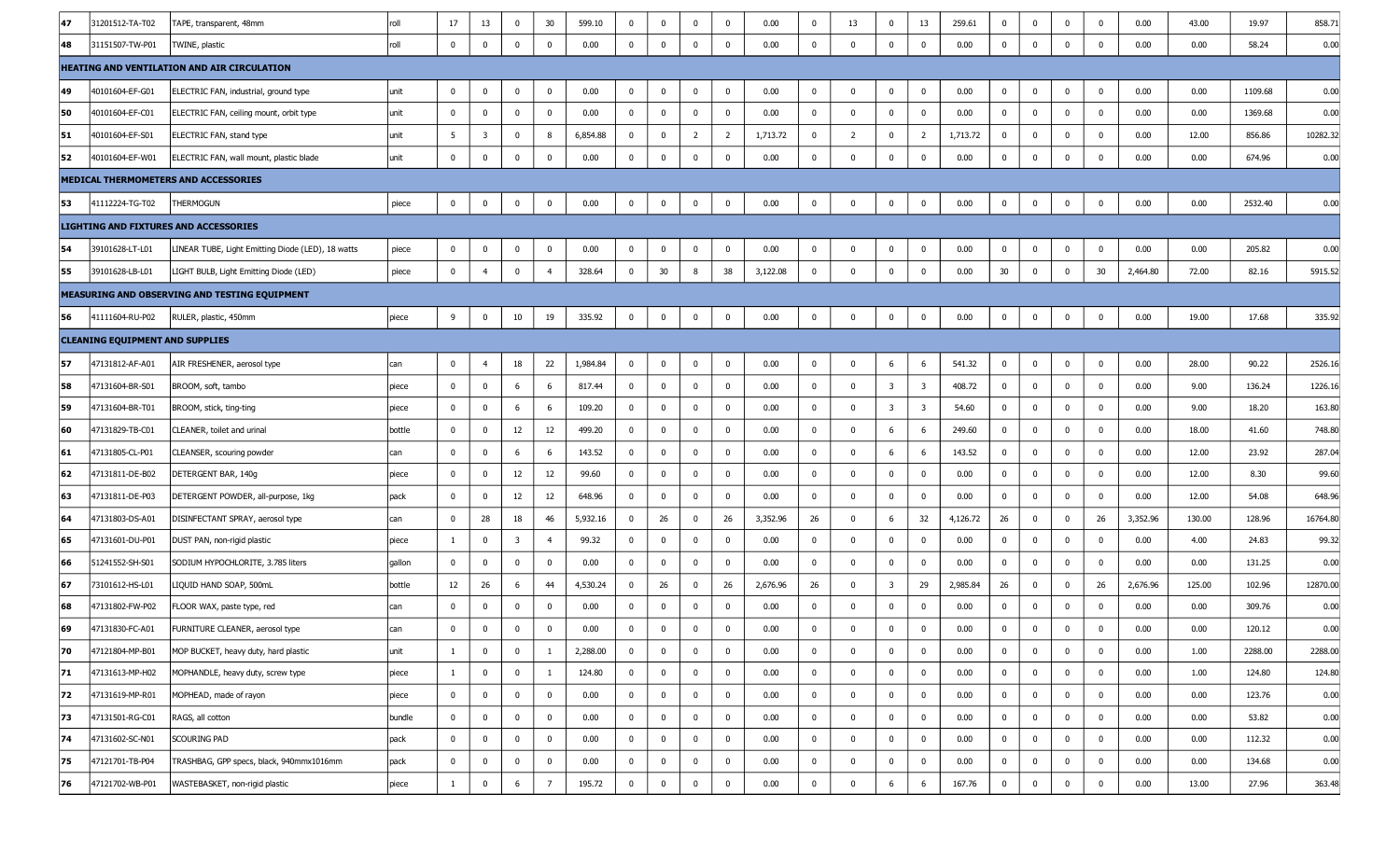| 47 | 31201512-TA-T02                        | TAPE, transparent, 48mm                            | roll   | 17             | 13                      | $\bf{0}$                | 30                      | 599.10   | $\bf{0}$       | $\mathbf 0$ | $\mathbf 0$    | $\mathbf 0$    | 0.00     | $\mathbf 0$ | 13                      | $\mathbf 0$             | 13                      | 259.61   | $\mathbf{0}$    | 0            | $\mathbf 0$ | $\mathbf 0$  | 0.00     | 43.00  | 19.97   | 858.71   |
|----|----------------------------------------|----------------------------------------------------|--------|----------------|-------------------------|-------------------------|-------------------------|----------|----------------|-------------|----------------|----------------|----------|-------------|-------------------------|-------------------------|-------------------------|----------|-----------------|--------------|-------------|--------------|----------|--------|---------|----------|
| 48 | 31151507-TW-P01                        | TWINE, plastic                                     | roll   | $\mathbf 0$    | $\bf{0}$                | $^{\circ}$              | $\mathbf 0$             | 0.00     | $\mathbf 0$    | $\mathbf 0$ | $\mathbf 0$    | $\mathbf{0}$   | 0.00     | $\mathbf 0$ | $\mathbf 0$             | $\mathbf{0}$            | $\mathbf 0$             | 0.00     | $\bf{0}$        | $\mathbf 0$  | $\mathbf 0$ | $\mathbf 0$  | 0.00     | 0.00   | 58.24   | 0.00     |
|    |                                        | <b>HEATING AND VENTILATION AND AIR CIRCULATION</b> |        |                |                         |                         |                         |          |                |             |                |                |          |             |                         |                         |                         |          |                 |              |             |              |          |        |         |          |
| 49 | 40101604-EF-G01                        | ELECTRIC FAN, industrial, ground type              | unit   | $\bf{0}$       | 0                       | 0                       | 0                       | 0.00     | $\bf{0}$       | $\bf{0}$    | $\bf{0}$       | 0              | 0.00     | $\bf{0}$    | $\mathbf 0$             | 0                       | 0                       | 0.00     | $\bf{0}$        | 0            | $\bf{0}$    | 0            | 0.00     | 0.00   | 1109.68 | 0.00     |
| 50 | 40101604-EF-C01                        | ELECTRIC FAN, ceiling mount, orbit type            | unit   | $\mathbf 0$    | 0                       | $\mathbf 0$             | $\mathbf 0$             | 0.00     | $\mathbf 0$    | $\mathbf 0$ | $\mathbf 0$    | $\mathbf 0$    | 0.00     | $\mathbf 0$ | $\mathbf 0$             | $\mathbf{0}$            | $\overline{0}$          | 0.00     | $\mathbf{0}$    | $\mathbf 0$  | $\mathbf 0$ | $\mathbf{0}$ | 0.00     | 0.00   | 1369.68 | 0.00     |
| 51 | 40101604-EF-S01                        | ELECTRIC FAN, stand type                           | unit   | 5              | $\overline{\mathbf{3}}$ | $^{\circ}$              | 8                       | 6,854.88 | $\bf{0}$       | $\mathbf 0$ | $\overline{2}$ | $\overline{2}$ | 1,713.72 | $\mathbf 0$ | $\overline{2}$          | $\mathbf 0$             | $\overline{2}$          | 1,713.72 | $\mathbf{0}$    | 0            | $\mathbf 0$ | $\mathbf 0$  | 0.00     | 12.00  | 856.86  | 10282.32 |
| 52 | 40101604-EF-W01                        | ELECTRIC FAN, wall mount, plastic blade            | unit   | 0              | 0                       | $^{\circ}$              | $\mathbf 0$             | 0.00     | $\mathbf 0$    | $\mathbf 0$ | $\mathbf 0$    | 0              | 0.00     | $\mathbf 0$ | $\Omega$                | $\mathbf 0$             | 0                       | 0.00     | $\mathbf 0$     | 0            | $\mathbf 0$ | $\mathbf 0$  | 0.00     | 0.00   | 674.96  | 0.00     |
|    |                                        | MEDICAL THERMOMETERS AND ACCESSORIES               |        |                |                         |                         |                         |          |                |             |                |                |          |             |                         |                         |                         |          |                 |              |             |              |          |        |         |          |
| 53 | 41112224-TG-T02                        | THERMOGUN                                          | piece  | $\bf{0}$       | 0                       | 0                       | $\mathbf 0$             | 0.00     | $\mathbf 0$    | $\mathbf 0$ | $\mathbf 0$    | 0              | 0.00     | 0           | $\mathbf{0}$            | $\mathbf 0$             | $\mathbf 0$             | 0.00     | $\bf{0}$        | 0            | $\mathbf 0$ | $\mathbf 0$  | 0.00     | 0.00   | 2532.40 | 0.00     |
|    |                                        | LIGHTING AND FIXTURES AND ACCESSORIES              |        |                |                         |                         |                         |          |                |             |                |                |          |             |                         |                         |                         |          |                 |              |             |              |          |        |         |          |
| 54 | 39101628-LT-L01                        | LINEAR TUBE, Light Emitting Diode (LED), 18 watts  | piece  | $\bf{0}$       | 0                       | 0                       | $\mathbf 0$             | 0.00     | $\bf{0}$       | $\mathbf 0$ | $\bf{0}$       | $\mathbf 0$    | 0.00     | $\bf{0}$    | $\mathbf 0$             | $\bf{0}$                | 0                       | 0.00     | $\bf{0}$        | 0            | $\mathbf 0$ | $\mathbf 0$  | 0.00     | 0.00   | 205.82  | 0.00     |
| 55 | 39101628-LB-L01                        | LIGHT BULB, Light Emitting Diode (LED)             | piece  | $\mathbf 0$    | $\overline{4}$          | $\mathbf 0$             | $\overline{4}$          | 328.64   | $\mathbf 0$    | 30          | 8              | 38             | 3,122.08 | $\mathbf 0$ | $\mathbf 0$             | $\mathbf 0$             | $\bf{0}$                | 0.00     | 30 <sup>°</sup> | $\mathbf 0$  | $\mathbf 0$ | 30           | 2,464.80 | 72.00  | 82.16   | 5915.52  |
|    |                                        | MEASURING AND OBSERVING AND TESTING EQUIPMENT      |        |                |                         |                         |                         |          |                |             |                |                |          |             |                         |                         |                         |          |                 |              |             |              |          |        |         |          |
| 56 | 41111604-RU-P02                        | RULER, plastic, 450mm                              | piece  | 9              | 0                       | 10                      | 19                      | 335.92   | $\mathbf 0$    | $\mathbf 0$ | $\bf{0}$       | $\mathbf 0$    | 0.00     | $\bm{0}$    | $\overline{\mathbf{0}}$ | $\mathbf 0$             | $\mathbf 0$             | 0.00     | $\bf{0}$        | $\bf{0}$     | $\mathbf 0$ | $\mathbf 0$  | 0.00     | 19.00  | 17.68   | 335.92   |
|    | <b>CLEANING EQUIPMENT AND SUPPLIES</b> |                                                    |        |                |                         |                         |                         |          |                |             |                |                |          |             |                         |                         |                         |          |                 |              |             |              |          |        |         |          |
| 57 | 47131812-AF-A01                        | AIR FRESHENER, aerosol type                        | can    | 0              | 4                       | 18                      | 22                      | 1,984.84 | $\bf{0}$       | $\bf{0}$    | 0              | 0              | 0.00     | 0           | $\mathbf 0$             | -6                      | 6                       | 541.32   | $\mathbf 0$     | 0            | $\bf{0}$    | 0            | 0.00     | 28.00  | 90.22   | 2526.16  |
| 58 | 47131604-BR-S01                        | BROOM, soft, tambo                                 | piece  | $\bf{0}$       | $\bf{0}$                | -6                      | 6                       | 817.44   | $\bf{0}$       | $\mathbf 0$ | $\mathbf{0}$   | $\mathbf{0}$   | 0.00     | $\mathbf 0$ | $\mathbf 0$             | $\overline{\mathbf{3}}$ | $\overline{\mathbf{3}}$ | 408.72   | $\mathbf{0}$    | $\mathbf{0}$ | $\mathbf 0$ | $\mathbf 0$  | 0.00     | 9.00   | 136.24  | 1226.16  |
| 59 | 47131604-BR-T01                        | BROOM, stick, ting-ting                            | piece  | $\bf{0}$       | 0                       | 6                       | 6                       | 109.20   | $\overline{0}$ | $\mathbf 0$ | $\mathbf{0}$   | $\mathbf{0}$   | 0.00     | $\mathbf 0$ | $\mathbf 0$             | $\overline{\mathbf{3}}$ | $\overline{\mathbf{3}}$ | 54.60    | $\bf{0}$        | $\mathbf 0$  | $\mathbf 0$ | $\mathbf 0$  | 0.00     | 9.00   | 18.20   | 163.80   |
| 60 | 47131829-TB-C01                        | CLEANER, toilet and urinal                         | bottle | $\mathbf 0$    | 0                       | 12                      | 12                      | 499.20   | $\bf{0}$       | $\mathbf 0$ | $\mathbf 0$    | $^{\circ}$     | 0.00     | $\mathbf 0$ | $\mathbf 0$             | -6                      | 6                       | 249.60   | $\mathbf 0$     | 0            | $\mathbf 0$ | $\mathbf 0$  | 0.00     | 18.00  | 41.60   | 748.80   |
| 61 | 47131805-CL-P01                        | CLEANSER, scouring powder                          | can    | $\mathbf 0$    | 0                       | -6                      | 6                       | 143.52   | $\bf{0}$       | $\mathbf 0$ | $\mathbf 0$    | $\mathbf 0$    | 0.00     | $\mathbf 0$ | $\mathbf 0$             | 6                       | 6                       | 143.52   | $\mathbf{0}$    | $\mathbf 0$  | $\mathbf 0$ | $\mathbf 0$  | 0.00     | 12.00  | 23.92   | 287.04   |
| 62 | 47131811-DE-B02                        | DETERGENT BAR, 140g                                | piece  | $\bf{0}$       | 0                       | 12                      | 12                      | 99.60    | $\mathbf 0$    | $\mathbf 0$ | $\mathbf 0$    | $\mathbf 0$    | 0.00     | $\bf{0}$    | $\mathbf 0$             | $\mathbf 0$             | 0                       | 0.00     | $\mathbf 0$     | $\mathbf 0$  | $\mathbf 0$ | $\mathbf 0$  | 0.00     | 12.00  | 8.30    | 99.60    |
| 63 | 47131811-DE-P03                        | DETERGENT POWDER, all-purpose, 1kg                 | pack   | $\mathbf 0$    | 0                       | 12                      | 12                      | 648.96   | $\mathbf 0$    | $\mathbf 0$ | $\mathbf{0}$   | $^{\circ}$     | 0.00     | $\mathbf 0$ | $\mathbf 0$             | $\mathbf 0$             | $\bf{0}$                | 0.00     | $\mathbf 0$     | $\mathbf 0$  | $\mathbf 0$ | $\mathbf 0$  | 0.00     | 12.00  | 54.08   | 648.96   |
| 64 | 47131803-DS-A01                        | DISINFECTANT SPRAY, aerosol type                   | can    | $\mathbf{0}$   | 28                      | 18                      | 46                      | 5,932.16 | $\mathbf 0$    | 26          | $\mathbf{0}$   | 26             | 3,352.96 | 26          | $\mathbf 0$             | 6                       | 32                      | 4,126.72 | 26              | $\mathbf 0$  | $\mathbf 0$ | 26           | 3,352.96 | 130.00 | 128.96  | 16764.80 |
| 65 | 47131601-DU-P01                        | DUST PAN, non-rigid plastic                        | piece  | $\mathbf{1}$   | 0                       | $\overline{\mathbf{3}}$ | $\overline{4}$          | 99.32    | $\mathbf 0$    | $\mathbf 0$ | $\mathbf 0$    | $\mathbf 0$    | 0.00     | $\mathbf 0$ | $\mathbf 0$             | $\mathbf 0$             | $\overline{\mathbf{0}}$ | 0.00     | $\mathbf 0$     | $\mathbf 0$  | $\mathbf 0$ | $\mathbf 0$  | 0.00     | 4.00   | 24.83   | 99.32    |
| 66 | 51241552-SH-S01                        | SODIUM HYPOCHLORITE, 3.785 liters                  | gallon | $\mathbf 0$    | 0                       | $^{\circ}$              | $\overline{\mathbf{0}}$ | 0.00     | $\mathbf{0}$   | $\mathbf 0$ | $\mathbf{0}$   | $\mathbf 0$    | 0.00     | $\mathbf 0$ | $\mathbf 0$             | $\mathbf 0$             | $\overline{\mathbf{0}}$ | 0.00     | $\mathbf 0$     | $\mathbf 0$  | $\mathbf 0$ | $\mathbf 0$  | 0.00     | 0.00   | 131.25  | 0.00     |
| 67 | 73101612-HS-L01                        | LIQUID HAND SOAP, 500mL                            | bottle | 12             | 26                      | -6                      | 44                      | 4,530.24 | $\mathbf 0$    | 26          | $\mathbf 0$    | 26             | 2,676.96 | 26          | $\mathbf{0}$            | 3                       | 29                      | 2,985.84 | 26              | $\mathbf 0$  | $\Omega$    | 26           | 2,676.96 | 125.00 | 102.96  | 12870.00 |
| 68 | 47131802-FW-P02                        | FLOOR WAX, paste type, red                         | can    | $\mathbf 0$    | 0                       | $^{\circ}$              | 0                       | 0.00     | $\mathbf 0$    | $\mathbf 0$ | 0              | $^{\circ}$     | 0.00     | $\mathbf 0$ | $\Omega$                | $\Omega$                | 0                       | 0.00     | $\mathbf{0}$    | 0            | $\Omega$    | $\mathbf 0$  | 0.00     | 0.00   | 309.76  | 0.00     |
| 69 | 47131830-FC-A01                        | FURNITURE CLEANER, aerosol type                    | can    |                | 0                       |                         | $\pmb{0}$               | 0.00     | 0              | 0           | 0              |                | 0.00     |             |                         |                         | $\mathbf 0$             | 0.00     | 0               | $\mathbf 0$  |             |              | 0.00     | 0.00   | 120.12  | 0.00     |
| 70 | 47121804-MP-B01                        | MOP BUCKET, heavy duty, hard plastic               | unit   | $\mathbf{1}$   | $\overline{0}$          | $\mathbf 0$             | 1                       | 2,288.00 | $\mathbf 0$    | $\mathbf 0$ | $\mathbf 0$    | $\mathbf 0$    | 0.00     | $\mathbf 0$ | $\mathbf 0$             | $\mathbf 0$             | $\mathbf 0$             | 0.00     | $\mathbf{0}$    | $\mathbf{0}$ | $\mathbf 0$ | $\mathbf{0}$ | 0.00     | 1.00   | 2288.00 | 2288.00  |
| 71 | 47131613-MP-H02                        | MOPHANDLE, heavy duty, screw type                  | piece  | $\mathbf{1}$   | $\bf{0}$                | $\mathbf 0$             | 1                       | 124.80   | $\bf{0}$       | $\mathbf 0$ | $\mathbf 0$    | $\mathbf 0$    | 0.00     | $\mathbf 0$ | $\mathbf 0$             | $\bf{0}$                | $\overline{\mathbf{0}}$ | 0.00     | $\mathbf{0}$    | $\bf{0}$     | $\mathbf 0$ | $\mathbf 0$  | 0.00     | 1.00   | 124.80  | 124.80   |
| 72 | 47131619-MP-R01                        | MOPHEAD, made of rayon                             | piece  | $\mathbf 0$    | $\mathbf 0$             | $\mathbf 0$             | $\bf{0}$                | 0.00     | $\bf{0}$       | $\mathbf 0$ | $\mathbf 0$    | $\mathbf{0}$   | 0.00     | $\mathbf 0$ | $\mathbf 0$             | $\mathbf 0$             | $\mathbf{0}$            | 0.00     | $\mathbf{0}$    | $\bf{0}$     | $\mathbf 0$ | $\mathbf 0$  | 0.00     | 0.00   | 123.76  | 0.00     |
| 73 | 47131501-RG-C01                        | RAGS, all cotton                                   | bundle | $\overline{0}$ | $\mathbf 0$             | $\mathbf 0$             | $\mathbf 0$             | 0.00     | $\mathbf{0}$   | $\mathbf 0$ | $\mathbf 0$    | $\mathbf{0}$   | 0.00     | $\bf{0}$    | $\mathbf 0$             | $\mathbf 0$             | $\mathbf{0}$            | 0.00     | $\bf{0}$        | $\mathbf 0$  | $\mathbf 0$ | $\mathbf 0$  | 0.00     | 0.00   | 53.82   | 0.00     |
| 74 | 47131602-SC-N01                        | SCOURING PAD                                       | pack   | $\bf{0}$       | 0                       | $\mathbf 0$             | $\mathbf 0$             | 0.00     | $\bf{0}$       | $\mathbf 0$ | $\mathbf 0$    | 0              | 0.00     | $\mathbf 0$ | $\mathbf 0$             | $\mathbf 0$             | $\overline{0}$          | 0.00     | $\mathbf 0$     | 0            | $\mathbf 0$ | $\mathbf 0$  | 0.00     | 0.00   | 112.32  | 0.00     |
| 75 | 47121701-TB-P04                        | TRASHBAG, GPP specs, black, 940mmx1016mm           | pack   | $\mathbf 0$    | $\bf{0}$                | 0                       | $\overline{\mathbf{0}}$ | 0.00     | $\mathbf{0}$   | $\mathbf 0$ | $\mathbf 0$    | $\mathbf{0}$   | 0.00     | $\mathbf 0$ | $\mathbf 0$             | $\mathbf 0$             | $\mathbf{0}$            | 0.00     | $\mathbf{0}$    | $\bf{0}$     | $\mathbf 0$ | $\mathbf 0$  | 0.00     | 0.00   | 134.68  | 0.00     |
| 76 | 47121702-WB-P01                        | WASTEBASKET, non-rigid plastic                     | piece  | $\mathbf{1}$   | $\mathbf 0$             | 6                       | $\overline{7}$          | 195.72   | $\mathbf 0$    | $\mathbf 0$ | $\mathbf 0$    | $\bf{0}$       | 0.00     | $\mathbf 0$ | $\mathbf{0}$            | 6                       | 6                       | 167.76   | $\mathbf{0}$    | $\bf{0}$     | $\mathbf 0$ | $\mathbf 0$  | 0.00     | 13.00  | 27.96   | 363.48   |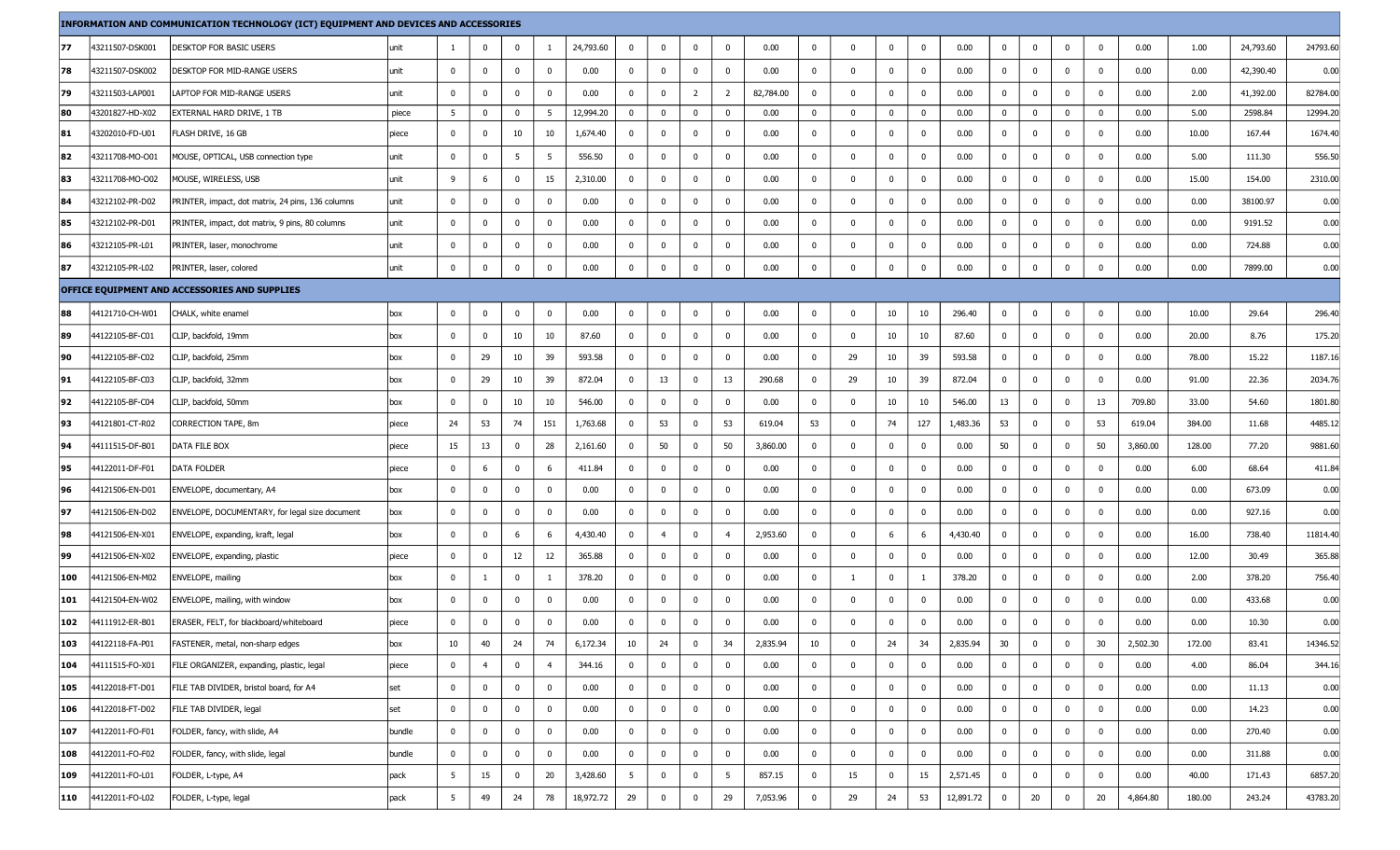|     |                 | INFORMATION AND COMMUNICATION TECHNOLOGY (ICT) EQUIPMENT AND DEVICES AND ACCESSORIES |        |                |                |              |                |           |              |                |                |                |           |             |              |              |                         |           |                |                         |              |                         |          |        |           |          |
|-----|-----------------|--------------------------------------------------------------------------------------|--------|----------------|----------------|--------------|----------------|-----------|--------------|----------------|----------------|----------------|-----------|-------------|--------------|--------------|-------------------------|-----------|----------------|-------------------------|--------------|-------------------------|----------|--------|-----------|----------|
| 77  | 43211507-DSK001 | DESKTOP FOR BASIC USERS                                                              | unit   | -1             | $\bf{0}$       | $\mathbf{0}$ | -1             | 24,793.60 | $\mathbf{0}$ | $\mathbf{0}$   | $\mathbf 0$    | $\mathbf 0$    | 0.00      | $\bf{0}$    | $\mathbf 0$  | $\mathbf{0}$ | $\mathbf 0$             | 0.00      | $\mathbf{0}$   | $\overline{\mathbf{0}}$ | $\mathbf 0$  | $\mathbf 0$             | 0.00     | 1.00   | 24,793.60 | 24793.60 |
| 78  | 43211507-DSK002 | DESKTOP FOR MID-RANGE USERS                                                          | unit   | 0              | $\mathbf 0$    | $\mathbf 0$  | $\mathbf 0$    | 0.00      | $\mathbf 0$  | $\overline{0}$ | $\mathbf 0$    | $\mathbf 0$    | 0.00      | $\mathbf 0$ | $\mathbf{0}$ | $\mathbf 0$  | $\overline{\mathbf{0}}$ | 0.00      | $\overline{0}$ | $\mathbf{0}$            | $\mathbf{0}$ | $\mathbf 0$             | 0.00     | 0.00   | 42,390.40 | 0.00     |
| 79  | 43211503-LAP001 | LAPTOP FOR MID-RANGE USERS                                                           | unit   | $\mathbf 0$    | $\mathbf{0}$   | 0            | $\Omega$       | 0.00      | $\mathbf 0$  | $\mathbf 0$    | $\overline{2}$ | $\overline{2}$ | 82,784.00 | 0           | $\mathbf 0$  | $^{\circ}$   | $\overline{\mathbf{0}}$ | 0.00      | $\mathbf 0$    | $\mathbf 0$             | $\mathbf{0}$ | 0                       | 0.00     | 2.00   | 41,392.00 | 82784.0  |
| 80  | 43201827-HD-X02 | EXTERNAL HARD DRIVE, 1 TB                                                            | piece  | 5              | $\mathbf 0$    | $\mathbf{0}$ | - 5            | 12,994.20 | $\bf{0}$     | $\mathbf{0}$   | $\mathbf 0$    | $\mathbf 0$    | 0.00      | $\bf{0}$    | $\bf{0}$     | $\bf{0}$     | $\bf{0}$                | 0.00      | $\overline{0}$ | $\bf{0}$                | $\bf{0}$     | $\overline{\mathbf{0}}$ | 0.00     | 5.00   | 2598.84   | 12994.2  |
| 81  | 43202010-FD-U01 | FLASH DRIVE, 16 GB                                                                   | piece  | $^{\circ}$     | $\mathbf 0$    | 10           | 10             | 1,674.40  | $\mathbf 0$  | $\mathbf 0$    | $\mathbf 0$    | 0              | 0.00      | $\mathbf 0$ | $\mathbf 0$  | 0            | $\overline{\mathbf{0}}$ | 0.00      | $\mathbf 0$    | $\mathbf 0$             | $\mathbf 0$  | $\overline{\mathbf{0}}$ | 0.00     | 10.00  | 167.44    | 1674.40  |
| 82  | 43211708-MO-O01 | MOUSE, OPTICAL, USB connection type                                                  | unit   | 0              | $\mathbf 0$    | 5            | 5              | 556.50    | $\mathbf{0}$ | $\mathbf{0}$   | $\mathbf 0$    | 0              | 0.00      | 0           | $\mathbf 0$  | $\mathbf 0$  | $\mathbf 0$             | 0.00      | $\mathbf{0}$   | $\overline{\mathbf{0}}$ | $\mathbf 0$  | $\mathbf 0$             | 0.00     | 5.00   | 111.30    | 556.50   |
| 83  | 43211708-MO-O02 | MOUSE, WIRELESS, USB                                                                 | unit   | 9              | 6              | $\mathbf 0$  | 15             | 2,310.00  | $\mathbf{0}$ | $\mathbf 0$    | $\mathbf 0$    | $\mathbf 0$    | 0.00      | $\bf{0}$    | $\mathbf 0$  | $\mathbf 0$  | $\overline{\mathbf{0}}$ | 0.00      | $\mathbf 0$    | $\overline{\mathbf{0}}$ | $\mathbf 0$  | - 0                     | 0.00     | 15.00  | 154.00    | 2310.0   |
| 84  | 43212102-PR-D02 | PRINTER, impact, dot matrix, 24 pins, 136 columns                                    | unit   | 0              | $\mathbf 0$    | $\mathbf{0}$ | $\mathbf 0$    | 0.00      | $\mathbf 0$  | $\mathbf{0}$   | $\mathbf 0$    | 0              | 0.00      | 0           | $\mathbf 0$  | $\bf{0}$     | $\mathbf 0$             | 0.00      | $\mathbf 0$    | $\mathbf 0$             | $\mathbf 0$  | $\mathbf 0$             | 0.00     | 0.00   | 38100.97  | 0.00     |
| 85  | 43212102-PR-D01 | PRINTER, impact, dot matrix, 9 pins, 80 columns                                      | unit   | 0              | $\mathbf 0$    | $\mathbf{0}$ | $\mathbf 0$    | 0.00      | $\mathbf 0$  | $\mathbf{0}$   | $\mathbf 0$    | $\mathbf 0$    | 0.00      | 0           | $\mathbf 0$  | $\bf{0}$     | $\mathbf 0$             | 0.00      | $\mathbf{0}$   | $\mathbf{0}$            | $\mathbf{0}$ | $\mathbf{0}$            | 0.00     | 0.00   | 9191.52   | 0.00     |
| 86  | 43212105-PR-L01 | PRINTER, laser, monochrome                                                           | unit   | 0              | $\mathbf 0$    | $\mathbf 0$  | $\Omega$       | 0.00      | $\mathbf 0$  | $\mathbf 0$    | $\mathbf 0$    | 0              | 0.00      | $\bf{0}$    | $\mathbf 0$  | $\mathbf 0$  | $\overline{\mathbf{0}}$ | 0.00      | $\mathbf 0$    | $\overline{\mathbf{0}}$ | $\mathbf 0$  | 0                       | 0.00     | 0.00   | 724.88    | 0.00     |
| 87  | 43212105-PR-L02 | PRINTER, laser, colored                                                              | unit   | 0              | 0              | 0            | $\mathbf 0$    | 0.00      | $\mathbf 0$  | $\mathbf 0$    | $\mathbf 0$    | 0              | 0.00      | 0           | $\mathbf 0$  | $\mathbf 0$  | $\mathbf 0$             | 0.00      | $\mathbf 0$    | $\bm{0}$                | $\mathbf 0$  | 0                       | 0.00     | 0.00   | 7899.00   | 0.00     |
|     |                 | OFFICE EQUIPMENT AND ACCESSORIES AND SUPPLIES                                        |        |                |                |              |                |           |              |                |                |                |           |             |              |              |                         |           |                |                         |              |                         |          |        |           |          |
| 88  | 44121710-CH-W01 | CHALK, white enamel                                                                  | box    | 0              | $\mathbf{0}$   | $\mathbf 0$  | $\Omega$       | 0.00      | $\mathbf{0}$ | $\mathbf 0$    | $\mathbf 0$    | $\mathbf 0$    | 0.00      | $\mathbf 0$ | $\mathbf 0$  | 10           | 10                      | 296.40    | $\mathbf{0}$   | $\bm{0}$                | $\mathbf 0$  | $\mathbf{0}$            | 0.00     | 10.00  | 29.64     | 296.4    |
| 89  | 44122105-BF-C01 | CLIP, backfold, 19mm                                                                 | box    | $\bf{0}$       | $\mathbf 0$    | 10           | 10             | 87.60     | $\mathbf 0$  | $\mathbf{0}$   | $\mathbf 0$    | $\mathbf 0$    | 0.00      | $\bf{0}$    | $\mathbf{0}$ | 10           | 10                      | 87.60     | $\mathbf 0$    | $\overline{\mathbf{0}}$ | $\mathbf 0$  | $\mathbf{0}$            | 0.00     | 20.00  | 8.76      | 175.20   |
| 90  | 44122105-BF-C02 | CLIP, backfold, 25mm                                                                 | box    | 0              | 29             | 10           | 39             | 593.58    | $\mathbf 0$  | $\mathbf{0}$   | $\mathbf 0$    | 0              | 0.00      | 0           | 29           | 10           | 39                      | 593.58    | $\mathbf{0}$   | $\overline{\mathbf{0}}$ | $\mathbf 0$  | 0                       | 0.00     | 78.00  | 15.22     | 1187.1   |
| 91  | 44122105-BF-C03 | CLIP, backfold, 32mm                                                                 | box    | $\bf{0}$       | 29             | 10           | 39             | 872.04    | $\mathbf{0}$ | 13             | $\mathbf 0$    | 13             | 290.68    | $\bf{0}$    | 29           | 10           | 39                      | 872.04    | $\mathbf{0}$   | $\bm{0}$                | $\bf{0}$     | 0                       | 0.00     | 91.00  | 22.36     | 2034.76  |
| 92  | 44122105-BF-C04 | CLIP, backfold, 50mm                                                                 | box    | $\mathbf{0}$   | $\mathbf 0$    | 10           | 10             | 546.00    | $\mathbf 0$  | $\mathbf 0$    | $\mathbf 0$    | $\mathbf 0$    | 0.00      | 0           | $\mathbf 0$  | 10           | 10                      | 546.00    | 13             | $\bm{0}$                | $\mathbf 0$  | 13                      | 709.80   | 33.00  | 54.60     | 1801.8   |
| 93  | 44121801-CT-R02 | CORRECTION TAPE, 8m                                                                  | piece  | 24             | 53             | 74           | 151            | 1,763.68  | $\mathbf 0$  | 53             | $\mathbf 0$    | 53             | 619.04    | 53          | $\mathbf 0$  | 74           | 127                     | 1,483.36  | 53             | $\mathbf{0}$            | $\mathbf{0}$ | 53                      | 619.04   | 384.00 | 11.68     | 4485.1   |
| 94  | 44111515-DF-B01 | DATA FILE BOX                                                                        | piece  | 15             | 13             | $\mathbf{0}$ | 28             | 2,161.60  | $\mathbf{0}$ | 50             | $\mathbf 0$    | 50             | 3,860.00  | $\bf{0}$    | $\mathbf 0$  | $\mathbf 0$  | $\mathbf 0$             | 0.00      | 50             | $\overline{\mathbf{0}}$ | $\mathbf 0$  | 50                      | 3,860.00 | 128.00 | 77.20     | 9881.6   |
| 95  | 44122011-DF-F01 | DATA FOLDER                                                                          | piece  | 0              | 6              | $\mathbf 0$  | -6             | 411.84    | $\mathbf 0$  | $\mathbf{0}$   | $\mathbf 0$    | $\mathbf 0$    | 0.00      | $\bf{0}$    | $\mathbf 0$  | $\bf{0}$     | $\overline{\mathbf{0}}$ | 0.00      | $\mathbf 0$    | $\bm{0}$                | $\mathbf 0$  | $\mathbf{0}$            | 0.00     | 6.00   | 68.64     | 411.84   |
| 96  | 44121506-EN-D01 | ENVELOPE, documentary, A4                                                            | box    | 0              | $\mathbf 0$    | $\mathbf{0}$ | $\mathbf 0$    | 0.00      | $\mathbf 0$  | $\mathbf{0}$   | $\mathbf 0$    | 0              | 0.00      | 0           | $\mathbf 0$  | $\bf{0}$     | $\mathbf 0$             | 0.00      | $\mathbf{0}$   | $\overline{\mathbf{0}}$ | $\mathbf{0}$ | $\mathbf{0}$            | 0.00     | 0.00   | 673.09    | 0.00     |
| 97  | 44121506-EN-D02 | ENVELOPE, DOCUMENTARY, for legal size document                                       | box    | $\mathbf 0$    | $\mathbf 0$    | $\mathbf{0}$ | $\mathbf 0$    | 0.00      | $\mathbf 0$  | $\mathbf 0$    | $\mathbf 0$    | $\mathbf 0$    | 0.00      | $\mathbf 0$ | $\mathbf 0$  | $\mathbf 0$  | $\mathbf 0$             | 0.00      | $\mathbf 0$    | $\overline{\mathbf{0}}$ | $\mathbf 0$  | - 0                     | 0.00     | 0.00   | 927.16    | 0.00     |
| 98  | 44121506-EN-X01 | ENVELOPE, expanding, kraft, legal                                                    | box    | 0              | $\mathbf 0$    | 6            | -6             | 4,430.40  | $\mathbf 0$  | $\overline{4}$ | $\mathbf 0$    | $\overline{4}$ | 2,953.60  | $\bf{0}$    | $\mathbf 0$  | 6            | 6                       | 4,430.40  | $\mathbf 0$    | $\mathbf 0$             | $\mathbf 0$  | $\mathbf{0}$            | 0.00     | 16.00  | 738.40    | 11814.4  |
| 99  | 44121506-EN-X02 | ENVELOPE, expanding, plastic                                                         | piece  | 0              | 0              | 12           | 12             | 365.88    | $\bf{0}$     | $\bf{0}$       | $\mathbf 0$    | $\mathbf 0$    | 0.00      | 0           | $\mathbf 0$  | $\bf{0}$     | $\overline{\mathbf{0}}$ | 0.00      | $\mathbf{0}$   | $\mathbf 0$             | $\mathbf{0}$ | $\mathbf{0}$            | 0.00     | 12.00  | 30.49     | 365.8    |
| 100 | 44121506-EN-M02 | ENVELOPE, mailing                                                                    | box    | 0              | -1             | $\mathbf 0$  | -1             | 378.20    | $\mathbf 0$  | $\mathbf 0$    | $\mathbf 0$    | $\mathbf 0$    | 0.00      | $\bf{0}$    | $\mathbf{1}$ | $\bf{0}$     | -1                      | 378.20    | $\mathbf 0$    | $\overline{\mathbf{0}}$ | $\mathbf 0$  | 0                       | 0.00     | 2.00   | 378.20    | 756.40   |
| 101 | 44121504-EN-W02 | ENVELOPE, mailing, with window                                                       | box    | 0              | $\mathbf 0$    | $\mathbf 0$  | $\mathbf 0$    | 0.00      | $\mathbf 0$  | $\bf{0}$       | $\mathbf 0$    | 0              | 0.00      | 0           | $\mathbf 0$  | $\mathbf 0$  | $\bm{0}$                | 0.00      | $\mathbf 0$    | $\overline{0}$          | $\bf{0}$     | $\mathbf 0$             | 0.00     | 0.00   | 433.68    | 0.00     |
| 102 | 44111912-ER-B01 | ERASER, FELT, for blackboard/whiteboard                                              | piece  | 0              | $\mathbf 0$    | $\mathbf 0$  | $\Omega$       | 0.00      | $\mathbf 0$  | $\mathbf 0$    | $\mathbf{0}$   | 0              | 0.00      | $\mathbf 0$ | $\mathbf 0$  | 0            | $\mathbf 0$             | 0.00      | $\mathbf 0$    | $\mathbf 0$             | $\mathbf 0$  | 0                       | 0.00     | 0.00   | 10.30     | 0.00     |
| 103 | 44122118-FA-P01 | FASTENER, metal, non-sharp edges                                                     | box    | 10             | 40             | 24           | 74             | 6,172.34  | 10           | 24             | $\mathbf 0$    | 34             | 2,835.94  | 10          | $\mathbf 0$  | 24           | 34                      | 2,835.94  | 30             | $\bm{0}$                | $\mathbf 0$  | 30                      | 2,502.30 | 172.00 | 83.41     | 14346.52 |
| 104 | 44111515-FO-X01 | FILE ORGANIZER, expanding, plastic, legal                                            | piece  | $\mathbf 0$    | $\overline{4}$ | $\bf{0}$     | $\overline{4}$ | 344.16    | $\mathbf 0$  | $\mathbf{0}$   | $\mathbf 0$    | $\mathbf 0$    | 0.00      | $\bf{0}$    | $\mathbf 0$  | $\mathbf 0$  | $\mathbf 0$             | 0.00      | $\bf{0}$       | $\bf{0}$                | $\bf{0}$     | $\bf{0}$                | 0.00     | 4.00   | 86.04     | 344.16   |
| 105 | 44122018-FT-D01 | FILE TAB DIVIDER, bristol board, for A4                                              | set    | $\mathbf{0}$   | $\mathbf{0}$   | $\mathbf 0$  | $\mathbf 0$    | 0.00      | $\mathbf 0$  | $\mathbf{0}$   | $\mathbf 0$    | $\mathbf 0$    | 0.00      | $\bf{0}$    | $\mathbf 0$  | $\mathbf 0$  | $\overline{\mathbf{0}}$ | 0.00      | $\bf{0}$       | $\mathbf 0$             | $\mathbf{0}$ | $\overline{\mathbf{0}}$ | 0.00     | 0.00   | 11.13     | 0.00     |
| 106 | 44122018-FT-D02 | FILE TAB DIVIDER, legal                                                              | set    | $\mathbf{0}$   | $\mathbf 0$    | $\mathbf 0$  | $\mathbf 0$    | 0.00      | $\mathbf 0$  | $\mathbf{0}$   | $\mathbf 0$    | $\mathbf{0}$   | 0.00      | $\bf{0}$    | $\mathbf 0$  | $\bf{0}$     | $\overline{\mathbf{0}}$ | 0.00      | $\mathbf{0}$   | $\mathbf 0$             | $\mathbf{0}$ | $\mathbf 0$             | 0.00     | 0.00   | 14.23     | 0.00     |
| 107 | 44122011-FO-F01 | FOLDER, fancy, with slide, A4                                                        | bundle | $\mathbf 0$    | $\mathbf 0$    | $\mathbf 0$  | $\mathbf{0}$   | 0.00      | $\mathbf 0$  | $\mathbf{0}$   | $\mathbf 0$    | $\mathbf{0}$   | 0.00      | 0           | $\mathbf 0$  | $\mathbf 0$  | $\bf{0}$                | 0.00      | $\mathbf 0$    | $\mathbf 0$             | $\mathbf 0$  | $\mathbf 0$             | 0.00     | 0.00   | 270.40    | 0.00     |
| 108 | 44122011-FO-F02 | FOLDER, fancy, with slide, legal                                                     | bundle | $\mathbf{0}$   | $\mathbf 0$    | $\mathbf 0$  | $\mathbf 0$    | 0.00      | $\mathbf 0$  | $\overline{0}$ | $\mathbf 0$    | $\mathbf{0}$   | 0.00      | $\bf{0}$    | $\mathbf 0$  | $\mathbf 0$  | $\mathbf 0$             | 0.00      | $\bf{0}$       | $\mathbf 0$             | $\mathbf 0$  | $\overline{\mathbf{0}}$ | 0.00     | 0.00   | 311.88    | 0.00     |
| 109 | 44122011-FO-L01 | FOLDER, L-type, A4                                                                   | pack   | 5              | 15             | $\mathbf{0}$ | 20             | 3,428.60  | 5            | $\mathbf 0$    | $\bf{0}$       | 5              | 857.15    | $\mathbf 0$ | 15           | $\bf{0}$     | 15                      | 2,571.45  | $\mathbf 0$    | $\bf{0}$                | $\bm{0}$     | $\mathbf{0}$            | 0.00     | 40.00  | 171.43    | 6857.20  |
| 110 | 44122011-FO-L02 | FOLDER, L-type, legal                                                                | pack   | 5 <sub>5</sub> | 49             | 24           | 78             | 18,972.72 | 29           | $\mathbf 0$    | $\mathbf 0$    | 29             | 7,053.96  | $\bf{0}$    | 29           | 24           | 53                      | 12,891.72 | $\mathbf 0$    | 20                      | $\mathbf 0$  | 20                      | 4,864.80 | 180.00 | 243.24    | 43783.20 |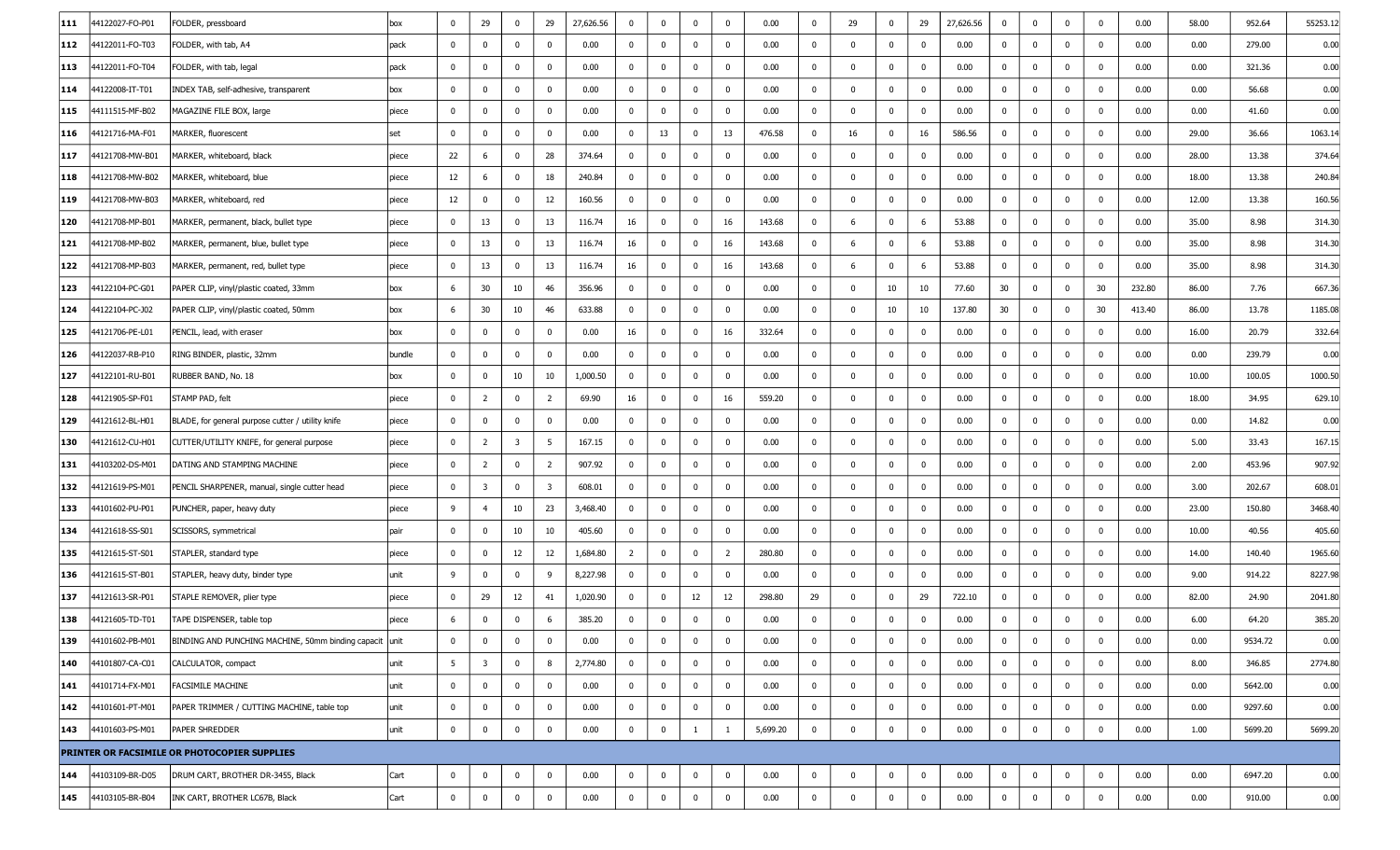| 111 | 4122027-FO-P01  | FOLDER, pressboard                                      | box    | $\mathbf 0$     | 29                      | 0                       | 29                      | 27,626.56 | $\mathbf 0$    | $\mathbf 0$ | $\mathbf 0$ | $\mathbf 0$    | 0.00     | $\mathbf 0$    | 29                      | $\mathbf 0$  | 29           | 27,626.56 | $\mathbf 0$    | 0            | 0            | 0           | 0.00   | 58.00 | 952.64  | 55253.1 |
|-----|-----------------|---------------------------------------------------------|--------|-----------------|-------------------------|-------------------------|-------------------------|-----------|----------------|-------------|-------------|----------------|----------|----------------|-------------------------|--------------|--------------|-----------|----------------|--------------|--------------|-------------|--------|-------|---------|---------|
| 112 | 44122011-FO-T03 | FOLDER, with tab, A4                                    | pack   | $\mathbf 0$     | $\mathbf 0$             | 0                       | $\mathbf 0$             | 0.00      | $\mathbf 0$    | $\mathbf 0$ | $\mathbf 0$ | $\mathsf 0$    | 0.00     | $\mathbf 0$    | $\overline{\mathbf{0}}$ | $\mathbf 0$  | $\mathbf 0$  | 0.00      | $\overline{0}$ | $\mathbf 0$  | $\mathbf 0$  | $\mathbf 0$ | 0.00   | 0.00  | 279.00  | 0.00    |
| 113 | 44122011-FO-T04 | FOLDER, with tab, legal                                 | pack   | $\mathbf 0$     | $\mathbf 0$             | 0                       | $\mathbf 0$             | 0.00      | $\mathbf{0}$   | $\mathbf 0$ | $\mathbf 0$ | $\bf{0}$       | 0.00     | $\bf{0}$       | $\overline{\mathbf{0}}$ | $\mathbf 0$  | $\mathbf 0$  | 0.00      | $\overline{0}$ | $\mathbf 0$  | $\mathbf{0}$ | $\mathbf 0$ | 0.00   | 0.00  | 321.36  | 0.00    |
| 114 | 44122008-IT-T01 | INDEX TAB, self-adhesive, transparent                   | box    | $\mathbf 0$     | $\mathbf 0$             | 0                       | $\mathbf 0$             | 0.00      | $\mathbf 0$    | $\mathbf 0$ | $\mathbf 0$ | $\mathbf 0$    | 0.00     | $\bf{0}$       | $\overline{\mathbf{0}}$ | $\mathbf 0$  | $\mathbf{0}$ | 0.00      | $\overline{0}$ | 0            | $\mathbf{0}$ | 0           | 0.00   | 0.00  | 56.68   | 0.00    |
| 115 | 44111515-MF-B02 | MAGAZINE FILE BOX, large                                | piece  | $\mathbf 0$     | $\mathbf 0$             | 0                       | $\mathbf 0$             | 0.00      | $\mathbf 0$    | $\mathbf 0$ | $\mathbf 0$ | $\mathbf 0$    | 0.00     | $\mathbf 0$    | $\overline{\mathbf{0}}$ | $\mathbf 0$  | 0            | 0.00      | $\overline{0}$ | $\mathbf 0$  | $\mathbf{0}$ | $\mathbf 0$ | 0.00   | 0.00  | 41.60   | 0.00    |
| 116 | 44121716-MA-F01 | MARKER, fluorescent                                     | set    | $\mathbf 0$     | $\mathbf 0$             | 0                       | $\mathbf 0$             | 0.00      | $\mathbf 0$    | 13          | $\mathbf 0$ | 13             | 476.58   | $\bf{0}$       | 16                      | $\mathbf 0$  | 16           | 586.56    | $\overline{0}$ | $\mathbf 0$  | $\mathbf{0}$ | $^{\circ}$  | 0.00   | 29.00 | 36.66   | 1063.1  |
| 117 | 44121708-MW-B01 | MARKER, whiteboard, black                               | piece  | 22              | 6                       | 0                       | 28                      | 374.64    | $\bf{0}$       | $\mathbf 0$ | $\mathbf 0$ | $\bf{0}$       | 0.00     | $\mathbf{0}$   | $\overline{\mathbf{0}}$ | $\mathbf 0$  | $\mathbf 0$  | 0.00      | $\mathbf 0$    | 0            | $\mathbf{0}$ | 0           | 0.00   | 28.00 | 13.38   | 374.64  |
| 118 | 44121708-MW-B02 | MARKER, whiteboard, blue                                | piece  | 12              | 6                       | 0                       | 18                      | 240.84    | $\mathbf 0$    | $\mathbf 0$ | $\mathbf 0$ | $\mathbf 0$    | 0.00     | $\mathbf 0$    | $\overline{\mathbf{0}}$ | $\mathbf 0$  | $\mathbf 0$  | 0.00      | $\overline{0}$ | 0            | $\mathbf{0}$ | $\mathbf 0$ | 0.00   | 18.00 | 13.38   | 240.84  |
| 119 | 44121708-MW-B03 | MARKER, whiteboard, red                                 | piece  | 12              | 0                       | 0                       | 12                      | 160.56    | $\bm{0}$       | $\mathbf 0$ | $\mathbf 0$ | $\mathbf 0$    | 0.00     | $\bf{0}$       | $\overline{\mathbf{0}}$ | $\mathbf 0$  | $\mathbf 0$  | 0.00      | $\overline{0}$ | $\mathbf 0$  | $\mathbf{0}$ | $\mathbf 0$ | 0.00   | 12.00 | 13.38   | 160.56  |
| 120 | 44121708-MP-B01 | MARKER, permanent, black, bullet type                   | piece  | $\overline{0}$  | 13                      | $\bf{0}$                | 13                      | 116.74    | 16             | $\mathbf 0$ | $\mathbf 0$ | 16             | 143.68   | $\bf{0}$       | 6                       | $\mathbf 0$  | 6            | 53.88     | $\mathbf{0}$   | $\mathbf 0$  | $\mathbf{0}$ | $\mathbf 0$ | 0.00   | 35.00 | 8.98    | 314.30  |
| 121 | 44121708-MP-B02 | MARKER, permanent, blue, bullet type                    | piece  | $\mathbf 0$     | 13                      | 0                       | 13                      | 116.74    | 16             | $\mathbf 0$ | $\mathbf 0$ | 16             | 143.68   | $\mathbf 0$    | 6                       | $\mathbf 0$  | 6            | 53.88     | $\overline{0}$ | 0            | $\mathbf{0}$ | $\mathbf 0$ | 0.00   | 35.00 | 8.98    | 314.30  |
| 122 | 44121708-MP-B03 | MARKER, permanent, red, bullet type                     | piece  | $\overline{0}$  | 13                      | 0                       | 13                      | 116.74    | 16             | $\mathbf 0$ | $\mathbf 0$ | 16             | 143.68   | $\overline{0}$ | - 6                     | $\mathbf 0$  | 6            | 53.88     | $\overline{0}$ | $\mathbf 0$  | $\mathbf{0}$ | 0           | 0.00   | 35.00 | 8.98    | 314.30  |
| 123 | 44122104-PC-G01 | PAPER CLIP, vinyl/plastic coated, 33mm                  | box    | 6               | 30                      | 10                      | 46                      | 356.96    | $\mathbf 0$    | $\mathbf 0$ | $\mathbf 0$ | $\mathbf 0$    | 0.00     | $\bf{0}$       | $\overline{\mathbf{0}}$ | 10           | 10           | 77.60     | 30             | 0            | $\mathbf{0}$ | 30          | 232.80 | 86.00 | 7.76    | 667.36  |
| 124 | 44122104-PC-J02 | PAPER CLIP, vinyl/plastic coated, 50mm                  | box    | 6               | 30                      | 10                      | 46                      | 633.88    | $\mathbf 0$    | $\mathbf 0$ | $\mathbf 0$ | $\mathbf 0$    | 0.00     | $\mathbf{0}$   | $\overline{\mathbf{0}}$ | 10           | 10           | 137.80    | 30             | 0            | $\mathbf{0}$ | 30          | 413.40 | 86.00 | 13.78   | 1185.0  |
| 125 | 44121706-PE-L01 | PENCIL, lead, with eraser                               | box    | $\mathbf{0}$    | $\mathbf 0$             | 0                       | $\mathbf 0$             | 0.00      | 16             | $\mathbf 0$ | $\mathbf 0$ | 16             | 332.64   | $\mathbf{0}$   | $\overline{\mathbf{0}}$ | $\mathbf 0$  | $\mathbf 0$  | 0.00      | $\overline{0}$ | $\mathbf 0$  | $\mathbf{0}$ | 0           | 0.00   | 16.00 | 20.79   | 332.64  |
| 126 | 44122037-RB-P10 | RING BINDER, plastic, 32mm                              | bundle | $\overline{0}$  | $\mathbf 0$             | 0                       | $\mathbf 0$             | 0.00      | $\mathbf 0$    | $\mathbf 0$ | $\mathbf 0$ | $\mathbf 0$    | 0.00     | $\mathbf{0}$   | $\overline{\mathbf{0}}$ | $\mathbf 0$  | $\mathbf 0$  | 0.00      | $\overline{0}$ | 0            | $\mathbf 0$  | $\mathbf 0$ | 0.00   | 0.00  | 239.79  | 0.00    |
| 127 | 44122101-RU-B01 | RUBBER BAND, No. 18                                     | box    | $\mathbf 0$     | 0                       | 10                      | 10                      | 1,000.50  | $\mathbf 0$    | $\mathbf 0$ | $\mathbf 0$ | $\mathbf 0$    | 0.00     | $\mathbf{0}$   | $\mathbf 0$             | $\mathbf 0$  | $\mathbf 0$  | 0.00      | $\overline{0}$ | 0            | $\mathbf{0}$ | $\mathbf 0$ | 0.00   | 10.00 | 100.05  | 1000.5  |
| 128 | 44121905-SP-F01 | STAMP PAD, felt                                         | piece  | $\overline{0}$  | $\overline{2}$          | 0                       | $\overline{2}$          | 69.90     | 16             | $\mathbf 0$ | $\mathbf 0$ | 16             | 559.20   | $\mathbf{0}$   | $\overline{\mathbf{0}}$ | $\mathbf 0$  | $\mathbf 0$  | 0.00      | $\overline{0}$ | 0            | 0            | 0           | 0.00   | 18.00 | 34.95   | 629.10  |
| 129 | 44121612-BL-H01 | BLADE, for general purpose cutter / utility knife       | piece  | $\mathbf 0$     | $\mathbf 0$             | 0                       | $\mathbf 0$             | 0.00      | $\mathbf 0$    | $\mathbf 0$ | $\mathbf 0$ | $\mathbf 0$    | 0.00     | $\mathbf{0}$   | $\overline{\mathbf{0}}$ | $\mathbf 0$  | $\mathbf 0$  | 0.00      | $\mathbf 0$    | 0            | $\mathbf{0}$ | $\mathbf 0$ | 0.00   | 0.00  | 14.82   | 0.00    |
| 130 | 44121612-CU-H01 | CUTTER/UTILITY KNIFE, for general purpose               | piece  | $\overline{0}$  | $\overline{2}$          | $\overline{\mathbf{3}}$ | 5                       | 167.15    | $\mathbf 0$    | $\mathbf 0$ | $\mathbf 0$ | $\mathbf 0$    | 0.00     | $\mathbf{0}$   | $\overline{\mathbf{0}}$ | $\mathbf 0$  | $\mathbf 0$  | 0.00      | $\overline{0}$ | $\mathbf 0$  | $\mathbf{0}$ | $\mathbf 0$ | 0.00   | 5.00  | 33.43   | 167.15  |
| 131 | 4103202-DS-M01  | DATING AND STAMPING MACHINE                             | piece  | $\overline{0}$  | $\overline{2}$          | 0                       | $\overline{2}$          | 907.92    | $\mathbf{0}$   | $\mathbf 0$ | $\mathbf 0$ | $\mathbf 0$    | 0.00     | $\bf{0}$       | $\overline{\mathbf{0}}$ | $\mathbf 0$  | $\mathbf 0$  | 0.00      | $\overline{0}$ | 0            | $\mathbf{0}$ | 0           | 0.00   | 2.00  | 453.96  | 907.92  |
| 132 | 44121619-PS-M01 | PENCIL SHARPENER, manual, single cutter head            | piece  | $\mathbf 0$     | 3                       | 0                       | $\overline{\mathbf{3}}$ | 608.01    | $\mathbf 0$    | $\mathbf 0$ | $\mathbf 0$ | $\mathbf 0$    | 0.00     | $\mathbf{0}$   | $\overline{\mathbf{0}}$ | $\mathbf 0$  | $\mathbf 0$  | 0.00      | $\overline{0}$ | 0            | $\mathbf{0}$ | $^{\circ}$  | 0.00   | 3.00  | 202.67  | 608.0   |
| 133 | 44101602-PU-P01 | PUNCHER, paper, heavy duty                              | piece  | 9               | $\overline{4}$          | 10                      | 23                      | 3,468.40  | $\mathbf{0}$   | $\mathbf 0$ | $\mathbf 0$ | $\bf{0}$       | 0.00     | $\bf{0}$       | $\overline{\mathbf{0}}$ | $\mathbf 0$  | $\mathbf 0$  | 0.00      | $\overline{0}$ | $\mathbf{0}$ | $\mathbf 0$  | $\mathbf 0$ | 0.00   | 23.00 | 150.80  | 3468.4  |
| 134 | 44121618-SS-S01 | SCISSORS, symmetrical                                   | pair   | $\overline{0}$  | $\mathbf 0$             | 10                      | 10                      | 405.60    | $\mathbf 0$    | $\mathbf 0$ | $\mathbf 0$ | $\mathbf 0$    | 0.00     | $\mathbf{0}$   | $\overline{\mathbf{0}}$ | $\mathbf 0$  | $\mathbf 0$  | 0.00      | $\overline{0}$ | 0            | 0            | 0           | 0.00   | 10.00 | 40.56   | 405.60  |
| 135 | 44121615-ST-S01 | STAPLER, standard type                                  | piece  | $\mathbf 0$     | $\mathbf 0$             | 12                      | 12                      | 1,684.80  | $\overline{2}$ | $\mathbf 0$ | $\mathbf 0$ | $\overline{2}$ | 280.80   | $\mathbf{0}$   | $\mathbf 0$             | $\mathbf 0$  | $\mathbf 0$  | 0.00      | $\bf{0}$       | $\mathbf 0$  | $\mathbf{0}$ | $\mathbf 0$ | 0.00   | 14.00 | 140.40  | 1965.60 |
| 136 | 44121615-ST-B01 | STAPLER, heavy duty, binder type                        | unit   | 9               | $\mathbf 0$             | 0                       | 9                       | 8,227.98  | $\mathbf{0}$   | $\mathbf 0$ | $\mathbf 0$ | $\mathbf 0$    | 0.00     | $\bf{0}$       | $\overline{\mathbf{0}}$ | $\mathbf 0$  | $\mathbf 0$  | 0.00      | $\overline{0}$ | $\mathbf 0$  | $\mathbf 0$  | $\mathbf 0$ | 0.00   | 9.00  | 914.22  | 8227.9  |
| 137 | 44121613-SR-P01 | STAPLE REMOVER, plier type                              | piece  | $\mathbf 0$     | 29                      | 12                      | 41                      | 1,020.90  | $\mathbf 0$    | $\mathbf 0$ | 12          | 12             | 298.80   | 29             | 0                       | $\mathbf 0$  | 29           | 722.10    | $\mathbf 0$    | 0            | 0            | 0           | 0.00   | 82.00 | 24.90   | 2041.8  |
| 138 | 44121605-TD-T01 | TAPE DISPENSER, table top                               | piece  | 6               | $\mathbf 0$             | 0                       | 6                       | 385.20    | $\mathbf 0$    | $\mathbf 0$ | $\mathbf 0$ | $\mathbf 0$    | 0.00     | $\mathbf 0$    | $\overline{\mathbf{0}}$ | $\mathbf 0$  | $\mathbf 0$  | 0.00      | $\mathbf 0$    | $\mathbf 0$  | 0            | $^{\circ}$  | 0.00   | 6.00  | 64.20   | 385.20  |
| 139 | 44101602-PB-M01 | BINDING AND PUNCHING MACHINE, 50mm binding capacit unit |        | $\mathbf{0}$    | $\mathbf 0$             | 0                       | $\mathbf 0$             | 0.00      | $\bf{0}$       | 0           | $\bf{0}$    | $\mathbf 0$    | 0.00     | $\mathbf{0}$   | $\overline{\mathbf{0}}$ | $\mathbf 0$  | $\mathbf 0$  | 0.00      | $\mathbf 0$    | 0            | $\mathbf 0$  | $\mathbf 0$ | 0.00   | 0.00  | 9534.72 | 0.00    |
| 140 | 44101807-CA-C01 | CALCULATOR, compact                                     | unit   | $5\overline{5}$ | $\overline{\mathbf{3}}$ | $\mathbf 0$             | 8                       | 2,774.80  | $\mathbf 0$    | $\mathbf 0$ | $\mathbf 0$ | $\bf{0}$       | 0.00     | $\bf{0}$       | $\overline{\mathbf{0}}$ | $\mathbf 0$  | $\mathbf 0$  | 0.00      | $\mathbf{0}$   | $\mathbf{0}$ | $\mathbf 0$  | $\mathbf 0$ | 0.00   | 8.00  | 346.85  | 2774.80 |
| 141 | 44101714-FX-M01 | <b>FACSIMILE MACHINE</b>                                | unit   | $\mathbf{0}$    | $\mathbf 0$             | 0                       | $\mathbf 0$             | 0.00      | $\mathbf{0}$   | $\mathbf 0$ | $\mathbf 0$ | $\pmb{0}$      | 0.00     | $\bf{0}$       | $\overline{\mathbf{0}}$ | $\mathbf 0$  | $\mathbf 0$  | 0.00      | $\overline{0}$ | $\mathbf{0}$ | $\mathbf 0$  | $\mathbf 0$ | 0.00   | 0.00  | 5642.00 | 0.00    |
| 142 | 44101601-PT-M01 | PAPER TRIMMER / CUTTING MACHINE, table top              | unit   | $\bf{0}$        | 0                       | 0                       | $\mathbf 0$             | 0.00      | $\bf{0}$       | $\mathbf 0$ | $\mathbf 0$ | $\mathbf 0$    | 0.00     | $\bf{0}$       | $\overline{\mathbf{0}}$ | $\mathbf 0$  | 0            | 0.00      | $\mathbf{0}$   | $\mathbf 0$  | $\mathbf 0$  | $^{\circ}$  | 0.00   | 0.00  | 9297.60 | 0.00    |
| 143 | 44101603-PS-M01 | <b>PAPER SHREDDER</b>                                   | unit   | $\mathbf 0$     | $\mathbf 0$             | 0                       | 0                       | 0.00      | $\bf{0}$       | $\mathbf 0$ | 1           | 1              | 5,699.20 | $\mathbf{0}$   | $\overline{\mathbf{0}}$ | $\mathbf 0$  | $\bf{0}$     | 0.00      | $\mathbf 0$    | 0            | $\mathbf 0$  | 0           | 0.00   | 1.00  | 5699.20 | 5699.20 |
|     |                 | PRINTER OR FACSIMILE OR PHOTOCOPIER SUPPLIES            |        |                 |                         |                         |                         |           |                |             |             |                |          |                |                         |              |              |           |                |              |              |             |        |       |         |         |
| 144 | 44103109-BR-D05 | DRUM CART, BROTHER DR-3455, Black                       | Cart   | $\mathbf 0$     | $\bf{0}$                | $\mathbf 0$             | $\mathbf 0$             | 0.00      | $\mathbf 0$    | $\mathbf 0$ | $\mathbf 0$ | $\mathbf 0$    | 0.00     | $\mathbf{0}$   | $\mathbf 0$             | $\mathbf 0$  | $\bf{0}$     | 0.00      | $\mathbf{0}$   | $\mathbf 0$  | $\mathbf{0}$ | $\mathbf 0$ | 0.00   | 0.00  | 6947.20 | 0.00    |
| 145 | 44103105-BR-B04 | INK CART, BROTHER LC67B, Black                          | Cart   | $\mathbf{0}$    | $\mathbf 0$             | $\mathbf 0$             | $\mathbf 0$             | 0.00      | $\mathbf{0}$   | $\mathbf 0$ | $\mathbf 0$ | $\pmb{0}$      | 0.00     | $\mathbf{0}$   | $\overline{\mathbf{0}}$ | $\mathbf{0}$ | $\mathbf 0$  | 0.00      | $\bf{0}$       | $\mathbf{0}$ | $\mathbf 0$  | $\mathbf 0$ | 0.00   | 0.00  | 910.00  | 0.00    |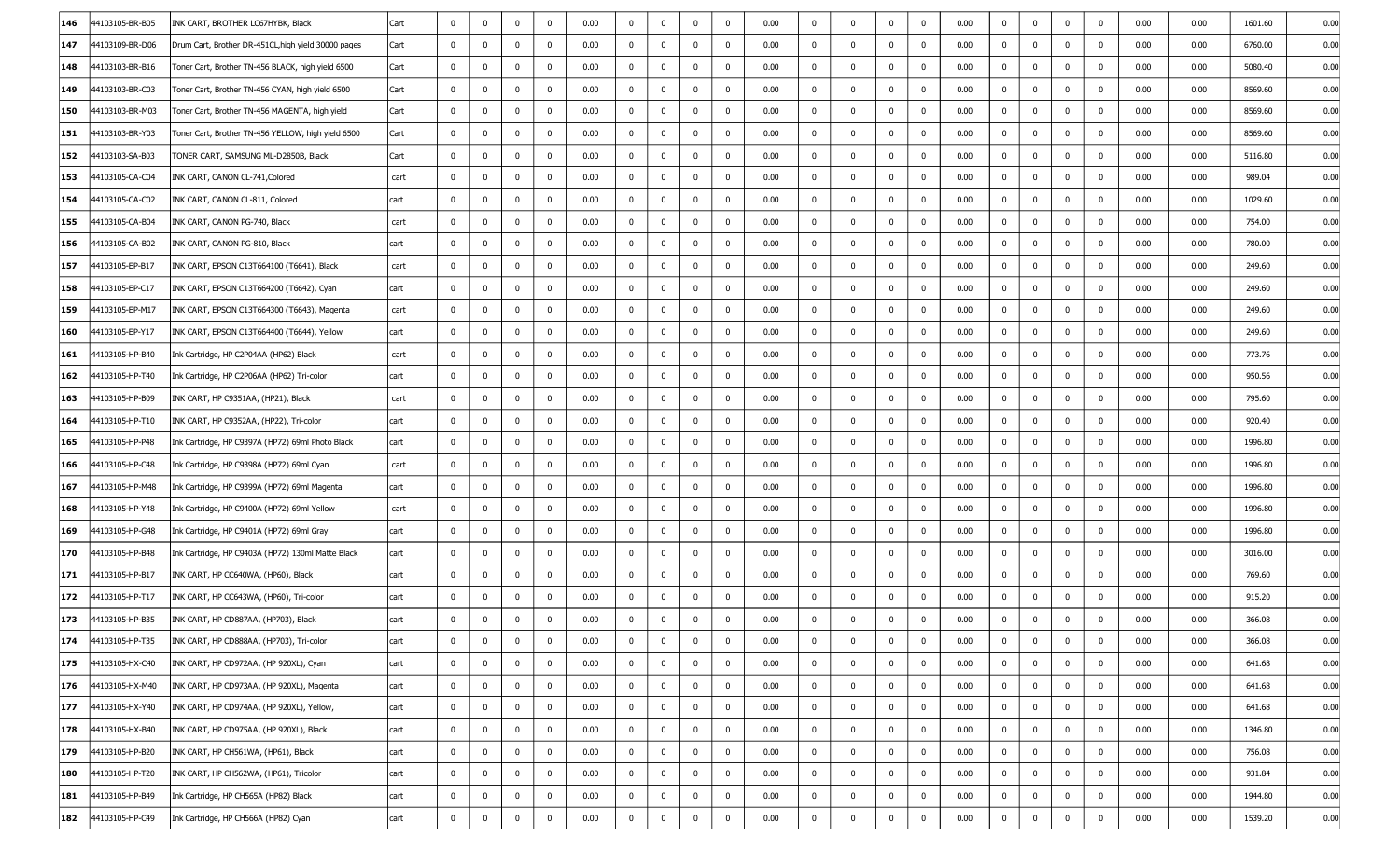| 146               | 44103105-BR-B05 | INK CART, BROTHER LC67HYBK, Black                   | Cart | $\mathbf 0$  | $\mathbf 0$    | $\mathbf 0$  | $\mathbf 0$ | 0.00 | $\mathbf{0}$   | $\mathbf 0$ | $\mathbf 0$  | $\mathbf 0$  | 0.00 | $\mathbf 0$  | $\mathbf 0$  | $\mathbf 0$  | 0            | 0.00 | 0            | $\mathbf 0$  | $\mathbf 0$ | $^{\circ}$  | 0.00 | 0.00 | 1601.60<br>0.00 |
|-------------------|-----------------|-----------------------------------------------------|------|--------------|----------------|--------------|-------------|------|----------------|-------------|--------------|--------------|------|--------------|--------------|--------------|--------------|------|--------------|--------------|-------------|-------------|------|------|-----------------|
| 147               | 44103109-BR-D06 | Drum Cart, Brother DR-451CL, high yield 30000 pages | Cart | $\mathbf 0$  | $\mathbf 0$    | $\mathbf 0$  | $\mathbf 0$ | 0.00 | $\bf{0}$       | $\mathbf 0$ | $\mathbf 0$  | $\mathbf 0$  | 0.00 | $\mathbf 0$  | $\mathbf 0$  | $\mathbf 0$  | 0            | 0.00 | $\mathbf 0$  | $\mathbf 0$  | $\mathbf 0$ | $^{\circ}$  | 0.00 | 0.00 | 0.00<br>6760.00 |
| 148               | 44103103-BR-B16 | Toner Cart, Brother TN-456 BLACK, high yield 6500   | Cart | 0            | 0              | $\mathbf 0$  | 0           | 0.00 | 0              | $\mathbf 0$ | $\mathbf{0}$ | $\mathbf 0$  | 0.00 | $\mathbf{0}$ | $\mathbf{0}$ | $\mathbf{0}$ | - 0          | 0.00 | 0            | 0            | $\mathbf 0$ | 0           | 0.00 | 0.00 | 0.00<br>5080.40 |
| 149               | 44103103-BR-C03 | Toner Cart, Brother TN-456 CYAN, high yield 6500    | Cart |              | 0              | $\Omega$     | $\Omega$    | 0.00 | $\mathbf{0}$   | $\mathbf 0$ | $\bf{0}$     | $\mathbf 0$  | 0.00 | $\mathbf 0$  | $\mathbf 0$  | $\mathbf 0$  | 0            | 0.00 | 0            | $\mathbf 0$  | $\mathbf 0$ | 0           | 0.00 | 0.00 | 0.00<br>8569.60 |
| 150               | 44103103-BR-M03 | Toner Cart, Brother TN-456 MAGENTA, high yield      | Cart | $\mathbf{0}$ | $\mathbf 0$    | $\mathbf{0}$ | 0           | 0.00 | $\mathbf{0}$   | $\mathbf 0$ | $\bf{0}$     | $\bf{0}$     | 0.00 | $\mathbf 0$  | $\bf{0}$     | $\mathbf 0$  | 0            | 0.00 | $\bf{0}$     | 0            | $\mathbf 0$ | 0           | 0.00 | 0.00 | 0.00<br>8569.60 |
| 151               | 44103103-BR-Y03 | Toner Cart, Brother TN-456 YELLOW, high yield 6500  | Cart | $\mathbf 0$  | 0              | $\mathbf{0}$ | 0           | 0.00 | 0              | $\mathbf 0$ | $\mathbf 0$  | $\mathbf 0$  | 0.00 | $\mathbf 0$  | $\mathbf 0$  | $\mathbf 0$  | $\mathbf 0$  | 0.00 | 0            | 0            | $\mathbf 0$ | 0           | 0.00 | 0.00 | 0.00<br>8569.60 |
| 152               | 44103103-SA-B03 | TONER CART, SAMSUNG ML-D2850B, Black                | Cart | 0            | $\mathbf 0$    | $\mathbf 0$  | $\mathbf 0$ | 0.00 | $\mathbf{0}$   | $\mathbf 0$ | $\mathbf 0$  | $\mathbf 0$  | 0.00 | $\mathbf 0$  | $\mathbf 0$  | $\mathbf 0$  | $\mathbf 0$  | 0.00 | $\bf{0}$     | $\mathbf 0$  | $\mathbf 0$ | $\mathbf 0$ | 0.00 | 0.00 | 5116.80<br>0.00 |
| 153               | 44103105-CA-C04 | INK CART, CANON CL-741, Colored                     | cart | $\mathbf 0$  | $\mathbf 0$    | $\mathbf 0$  | $\Omega$    | 0.00 | $\bf{0}$       | $\mathbf 0$ | $\mathbf 0$  | $\mathbf 0$  | 0.00 | $\mathbf 0$  | $\mathbf 0$  | $\bf{0}$     | 0            | 0.00 | $\bf{0}$     | 0            | $\mathbf 0$ | 0           | 0.00 | 0.00 | 989.04<br>0.00  |
| 154               | 44103105-CA-C02 | INK CART, CANON CL-811, Colored                     | cart | 0            | 0              | $\mathbf{0}$ | 0           | 0.00 | $\mathbf 0$    | $\mathbf 0$ | $\mathbf{0}$ | $\mathbf 0$  | 0.00 | $\mathbf 0$  | $\mathbf 0$  | $\mathbf 0$  | $\mathbf 0$  | 0.00 | 0            | 0            | $\mathbf 0$ | 0           | 0.00 | 0.00 | 0.00<br>1029.60 |
| 155               | 44103105-CA-B04 | INK CART, CANON PG-740, Black                       | cart | 0            | $\bf{0}$       | $\mathbf 0$  | 0           | 0.00 | $\mathbf{0}$   | $\mathbf 0$ | $\mathbf 0$  | $\mathbf 0$  | 0.00 | $\mathbf 0$  | $\mathbf 0$  | $\mathbf 0$  | $\mathbf{0}$ | 0.00 | $\bf{0}$     | $\mathbf 0$  | $\mathbf 0$ | 0           | 0.00 | 0.00 | 0.00<br>754.00  |
| 156               | 44103105-CA-B02 | INK CART, CANON PG-810, Black                       | cart | $\mathbf 0$  | $\bf{0}$       | $\mathbf{0}$ | $\Omega$    | 0.00 | 0              | $\mathbf 0$ | $\mathbf 0$  | $\mathbf 0$  | 0.00 | $\mathbf 0$  | $\mathbf 0$  | $\bf{0}$     | 0            | 0.00 | 0            | 0            | $\mathbf 0$ | 0           | 0.00 | 0.00 | 0.00<br>780.00  |
| 157               | 44103105-EP-B17 | INK CART, EPSON C13T664100 (T6641), Black           | cart | 0            | 0              | $\mathbf{0}$ | 0           | 0.00 | 0              | $\mathbf 0$ | $\mathbf{0}$ | $\mathbf 0$  | 0.00 | $\mathbf 0$  | $\mathbf{0}$ | $\mathbf 0$  | $\mathbf 0$  | 0.00 | $^{\rm o}$   | 0            | $\mathbf 0$ | 0           | 0.00 | 0.00 | 249.60<br>0.00  |
| 158               | 44103105-EP-C17 | INK CART, EPSON C13T664200 (T6642), Cyan            | cart | $\mathbf 0$  | $\mathbf 0$    | $\mathbf 0$  | $\mathbf 0$ | 0.00 | $\mathbf{0}$   | $\mathbf 0$ | $\mathbf 0$  | $\mathbf{0}$ | 0.00 | $\bf{0}$     | $\mathbf 0$  | $\mathbf 0$  | $\mathbf 0$  | 0.00 | $\bf{0}$     | $\mathbf 0$  | $\mathbf 0$ | $\mathbf 0$ | 0.00 | 0.00 | 249.60<br>0.00  |
| 159               | 44103105-EP-M17 | INK CART, EPSON C13T664300 (T6643), Magenta         | cart | $\mathbf 0$  | $\mathbf 0$    | $\mathbf{0}$ | 0           | 0.00 | $\bf{0}$       | $\mathbf 0$ | $\mathbf 0$  | $\mathbf 0$  | 0.00 | $\mathbf 0$  | $\bf{0}$     | $\mathbf{0}$ | 0            | 0.00 | 0            | $\mathbf 0$  | $\mathbf 0$ | 0           | 0.00 | 0.00 | 0.00<br>249.60  |
| 160               | 44103105-EP-Y17 | INK CART, EPSON C13T664400 (T6644), Yellow          | cart | $\mathbf 0$  | 0              | $\mathbf{0}$ | 0           | 0.00 | 0              | $\mathbf 0$ | $\bf{0}$     | $\mathbf 0$  | 0.00 | $\mathbf 0$  | $\bf{0}$     | $\mathbf 0$  | 0            | 0.00 | 0            | 0            | $\mathbf 0$ | 0           | 0.00 | 0.00 | 249.60<br>0.00  |
| 161               | 44103105-HP-B40 | Ink Cartridge, HP C2P04AA (HP62) Black              | cart | $\mathbf 0$  | $\mathbf 0$    | $\mathbf 0$  | $\mathbf 0$ | 0.00 | $\mathbf 0$    | $\mathbf 0$ | $\mathbf 0$  | $\mathbf 0$  | 0.00 | $\bf{0}$     | $\mathbf 0$  | $\mathbf 0$  | 0            | 0.00 | $\bf{0}$     | $\mathbf 0$  | $\mathbf 0$ | $^{\circ}$  | 0.00 | 0.00 | 0.00<br>773.76  |
| 162               | 44103105-HP-T40 | Ink Cartridge, HP C2P06AA (HP62) Tri-color          | cart | $\mathbf 0$  | 0              | $\mathbf 0$  | 0           | 0.00 | 0              | $\mathbf 0$ | $\mathbf 0$  | $\mathbf 0$  | 0.00 | $\mathbf 0$  | $\bf{0}$     | $\mathbf 0$  | 0            | 0.00 | $\bf{0}$     | 0            | $\mathbf 0$ | 0           | 0.00 | 0.00 | 950.56<br>0.00  |
| 163               | 44103105-HP-B09 | INK CART, HP C9351AA, (HP21), Black                 | cart | $\mathbf 0$  | 0              | $\mathbf 0$  | 0           | 0.00 | $\mathbf{0}$   | $\mathbf 0$ | $\bf{0}$     | $\mathbf 0$  | 0.00 | $\mathbf 0$  | $\bf{0}$     | $\mathbf 0$  | $\mathbf 0$  | 0.00 | $\mathbf{0}$ | 0            | $\mathbf 0$ | 0           | 0.00 | 0.00 | 795.60<br>0.00  |
| 164               | 44103105-HP-T10 | INK CART, HP C9352AA, (HP22), Tri-color             | cart | $\mathbf 0$  | $\mathbf 0$    | $\mathbf 0$  | $\mathbf 0$ | 0.00 | $\mathbf{0}$   | $\mathbf 0$ | $\mathbf 0$  | $\mathbf 0$  | 0.00 | $\bf{0}$     | $\bf{0}$     | $\mathbf 0$  | 0            | 0.00 | $\mathbf{0}$ | $\mathbf 0$  | $\mathbf 0$ | 0           | 0.00 | 0.00 | 0.00<br>920.40  |
| 165               | 44103105-HP-P48 | Ink Cartridge, HP C9397A (HP72) 69ml Photo Black    | cart | $\mathbf 0$  | 0              | $\mathbf 0$  | 0           | 0.00 | 0              | $\mathbf 0$ | $\bf{0}$     | $\mathbf 0$  | 0.00 | $\mathbf 0$  | $\bf{0}$     | $\mathbf 0$  | 0            | 0.00 | $\bf{0}$     | 0            | $\mathbf 0$ | $\mathbf 0$ | 0.00 | 0.00 | 0.00<br>1996.80 |
| 166               | 44103105-HP-C48 | Ink Cartridge, HP C9398A (HP72) 69ml Cyan           | cart | 0            | $\mathbf{0}$   | $\mathbf 0$  | 0           | 0.00 | $\mathbf{0}$   | $\mathbf 0$ | $\mathbf 0$  | $\mathbf 0$  | 0.00 | $\mathbf 0$  | $\bf{0}$     | $\mathbf 0$  | $\mathbf 0$  | 0.00 | 0            | $\mathbf 0$  | $\mathbf 0$ | $^{\circ}$  | 0.00 | 0.00 | 1996.80<br>0.00 |
| 167               | 44103105-HP-M48 | Ink Cartridge, HP C9399A (HP72) 69ml Magenta        | cart | $\mathbf 0$  | $\mathbf 0$    | $\Omega$     | $\mathbf 0$ | 0.00 | $\mathbf{0}$   | $\mathbf 0$ | $\mathbf 0$  | $\mathbf 0$  | 0.00 | $\mathbf 0$  | $\mathbf 0$  | $\mathbf 0$  | $\mathbf 0$  | 0.00 | $\mathbf 0$  | $\mathbf 0$  | $\mathbf 0$ | 0           | 0.00 | 0.00 | 0.00<br>1996.80 |
| 168               | 44103105-HP-Y48 | Ink Cartridge, HP C9400A (HP72) 69ml Yellow         | cart | $\mathbf 0$  | 0              | $\mathbf 0$  | 0           | 0.00 | 0              | $\mathbf 0$ | $\bf{0}$     | $\mathbf 0$  | 0.00 | $\mathbf 0$  | $\bf{0}$     | $\mathbf 0$  | 0            | 0.00 | $\mathbf 0$  | 0            | $\mathbf 0$ | 0           | 0.00 | 0.00 | 0.00<br>1996.80 |
| 169               | 44103105-HP-G48 | Ink Cartridge, HP C9401A (HP72) 69ml Gray           | cart | 0            | 0              | $\mathbf{0}$ | 0           | 0.00 | $\mathbf{0}$   | $\mathbf 0$ | $\bf{0}$     | $\mathbf 0$  | 0.00 | $\mathbf{0}$ | $\bf{0}$     | $\mathbf 0$  | 0            | 0.00 | $^{\rm o}$   | $\mathbf 0$  | $\mathbf 0$ | 0           | 0.00 | 0.00 | 0.00<br>1996.80 |
| 170               | 44103105-HP-B48 | Ink Cartridge, HP C9403A (HP72) 130ml Matte Black   | cart | $\mathbf 0$  | 0              | $\mathbf{0}$ | 0           | 0.00 | $\mathbf{0}$   | $\mathbf 0$ | $\bf{0}$     | $\mathbf 0$  | 0.00 | $\mathbf 0$  | $\bf{0}$     | $\mathbf 0$  | 0            | 0.00 | $\bf{0}$     | 0            | $\mathbf 0$ | 0           | 0.00 | 0.00 | 0.00<br>3016.00 |
| 171               | 44103105-HP-B17 | INK CART, HP CC640WA, (HP60), Black                 | cart | 0            | 0              | $\mathbf{0}$ | 0           | 0.00 | 0              | $\mathbf 0$ | $\mathbf{0}$ | $\mathbf 0$  | 0.00 | $\mathbf{0}$ | $\mathbf{0}$ | $\mathbf{0}$ | 0            | 0.00 | $\mathbf{0}$ | 0            | $\mathbf 0$ | 0           | 0.00 | 0.00 | 769.60<br>0.00  |
| $\vert 172 \vert$ | 44103105-HP-T17 | INK CART, HP CC643WA, (HP60), Tri-color             | cart | 0            | 0              | $\mathbf 0$  | 0           | 0.00 | $\mathbf{0}$   | $\mathbf 0$ | 0            | $\mathbf 0$  | 0.00 | $\mathbf 0$  | $\mathbf 0$  | $\mathbf 0$  | $\mathbf{0}$ | 0.00 | $\mathbf 0$  | $\mathbf 0$  | $\mathbf 0$ | 0           | 0.00 | 0.00 | 915.20<br>0.00  |
| 173               | 44103105-HP-B35 | INK CART, HP CD887AA, (HP703), Black                | cart | $^{\circ}$   | 0              | $\Omega$     | $\Omega$    | 0.00 | 0              | $\Omega$    | $\Omega$     | $\mathbf 0$  | 0.00 | 0            | $\mathbf 0$  | $\Omega$     | 0            | 0.00 | $\Omega$     | $\Omega$     |             |             | 0.00 | 0.00 | 0.00<br>366.08  |
| 174               | 44103105-HP-T35 | INK CART, HP CD888AA, (HP703), Tri-color            | cart | $\mathbf 0$  | 0              | $\mathbf 0$  | $\mathbf 0$ | 0.00 | 0              | $\mathbf 0$ | $\mathbf 0$  | $\mathbf{0}$ | 0.00 | $\mathbf 0$  | $\mathbf 0$  | $\mathbf 0$  | $\mathbf 0$  | 0.00 | $\mathbf 0$  | 0            | $\mathbf 0$ | $\mathbf 0$ | 0.00 | 0.00 | 366.08<br>0.00  |
| 175               | 44103105-HX-C40 | INK CART, HP CD972AA, (HP 920XL), Cyan              | cart | $\mathbf 0$  | $\overline{0}$ | $\mathbf 0$  | $\mathbf 0$ | 0.00 | $\mathbf 0$    | 0           | $\bf{0}$     | $\mathbf 0$  | 0.00 | $\mathbf{0}$ | $\mathbf 0$  | $\mathbf 0$  | $\mathbf 0$  | 0.00 | $\mathbf{0}$ | $\mathbf 0$  | $\mathbf 0$ | $\mathbf 0$ | 0.00 | 0.00 | 641.68<br>0.00  |
| 176               | 44103105-HX-M40 | INK CART, HP CD973AA, (HP 920XL), Magenta           | cart | $\mathbf 0$  | $\bf{0}$       | $\mathbf 0$  | $\mathbf 0$ | 0.00 | $\mathbf{0}$   | $\mathbf 0$ | $\mathbf 0$  | $\mathbf 0$  | 0.00 | $\mathbf{0}$ | $\mathbf 0$  | $\mathbf 0$  | $\mathbf 0$  | 0.00 | $\mathbf{0}$ | $\bf{0}$     | $\mathbf 0$ | $\mathbf 0$ | 0.00 | 0.00 | 0.00<br>641.68  |
| 177               | 44103105-HX-Y40 | INK CART, HP CD974AA, (HP 920XL), Yellow,           | cart | $\mathbf 0$  | $\mathbf 0$    | $\mathbf 0$  | $\mathbf 0$ | 0.00 | $\mathbf{0}$   | $\mathbf 0$ | $\bf{0}$     | $\mathbf 0$  | 0.00 | $\mathbf{0}$ | $\mathbf 0$  | $\mathbf 0$  | $\mathbf{0}$ | 0.00 | $\mathbf 0$  | $\mathbf{0}$ | $\mathbf 0$ | $\mathbf 0$ | 0.00 | 0.00 | 0.00<br>641.68  |
| 178               | 44103105-HX-B40 | INK CART, HP CD975AA, (HP 920XL), Black             | cart | $\mathbf 0$  | $\overline{0}$ | $\mathbf 0$  | $\mathbf 0$ | 0.00 | $\overline{0}$ | $\mathbf 0$ | $\bf{0}$     | $\mathbf{0}$ | 0.00 | $\mathbf{0}$ | $\mathbf 0$  | $\mathbf 0$  | $\mathbf 0$  | 0.00 | $\mathbf{0}$ | $\mathbf 0$  | $\mathbf 0$ | $\mathbf 0$ | 0.00 | 0.00 | 0.00<br>1346.80 |
| 179               | 44103105-HP-B20 | INK CART, HP CH561WA, (HP61), Black                 | cart | $\mathbf 0$  | $\mathbf{0}$   | $\mathbf 0$  | $\mathbf 0$ | 0.00 | $\mathbf{0}$   | $\mathbf 0$ | $\mathbf 0$  | $\mathbf 0$  | 0.00 | $\mathbf 0$  | $\mathbf 0$  | $\mathbf 0$  | $\mathbf{0}$ | 0.00 | $\mathbf 0$  | $\mathbf{0}$ | $\mathbf 0$ | $\mathbf 0$ | 0.00 | 0.00 | 0.00<br>756.08  |
| 180               | 44103105-HP-T20 | INK CART, HP CH562WA, (HP61), Tricolor              | cart | $\mathbf 0$  | $\mathbf 0$    | $\mathbf 0$  | $\mathbf 0$ | 0.00 | $\mathbf 0$    | $\mathbf 0$ | $\bf{0}$     | $\mathbf 0$  | 0.00 | $\mathbf{0}$ | $\mathbf 0$  | $\mathbf 0$  | $\mathbf{0}$ | 0.00 | $\mathbf 0$  | 0            | $\mathbf 0$ | $\mathbf 0$ | 0.00 | 0.00 | 0.00<br>931.84  |
| 181               | 44103105-HP-B49 | Ink Cartridge, HP CH565A (HP82) Black               | cart | $\mathbf 0$  | $\mathbf 0$    | $\mathbf 0$  | $\mathbf 0$ | 0.00 | $\mathbf{0}$   | $\mathbf 0$ | $\bf{0}$     | $\mathbf 0$  | 0.00 | $\mathbf{0}$ | $\mathbf 0$  | $\mathbf 0$  | $\mathbf 0$  | 0.00 | $\mathbf{0}$ | $\mathbf 0$  | $\mathbf 0$ | $\mathbf 0$ | 0.00 | 0.00 | 0.00<br>1944.80 |
| 182               | 44103105-HP-C49 | Ink Cartridge, HP CH566A (HP82) Cyan                | cart | $\mathbf 0$  | $\bf{0}$       | $\bm{0}$     | $\bm{0}$    | 0.00 | $\mathbf{0}$   | $\mathbf 0$ | $\mathbf 0$  | $\mathbf 0$  | 0.00 | $\bf{0}$     | $\mathbf 0$  | $\mathbf 0$  | $\bf{0}$     | 0.00 | $\mathbf 0$  | $\bf{0}$     | $\mathbf 0$ | $\mathbf 0$ | 0.00 | 0.00 | 1539.20<br>0.00 |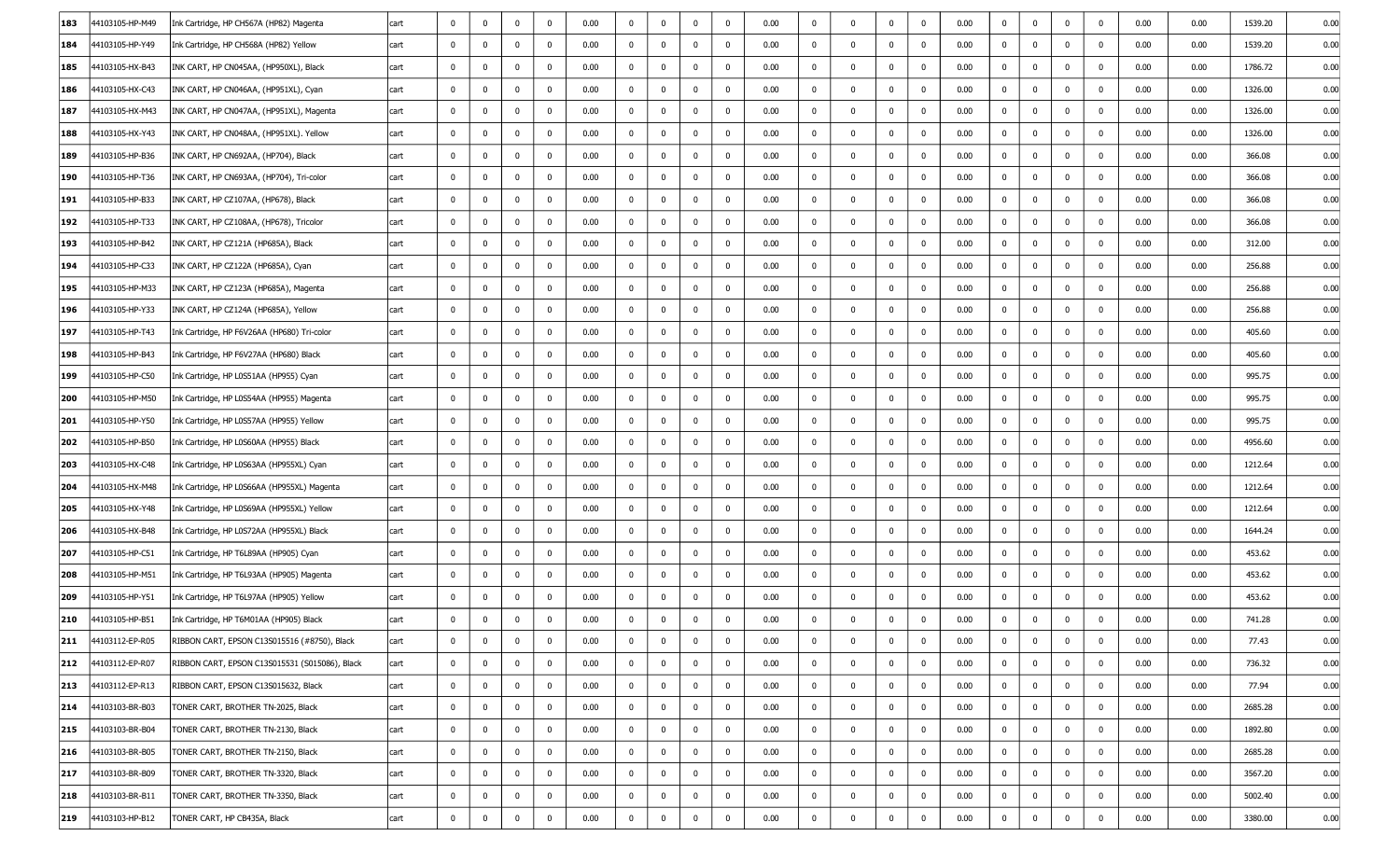| 183 | 44103105-HP-M49 | Ink Cartridge, HP CH567A (HP82) Magenta        | cart | $\mathbf 0$    | $\mathbf 0$    | $\bf{0}$       | $\mathbf 0$  | 0.00 | $\mathbf{0}$ | $\mathbf 0$    | $\mathbf 0$  | $\mathbf 0$ | 0.00 | $\mathbf{0}$   | $\mathbf 0$    | $\mathbf 0$    | $\mathbf 0$    | 0.00 | $\bf{0}$       | $\mathbf 0$  | $\mathbf 0$  | $\mathbf 0$ | 0.00 | 0.00     | 1539.20 | 0.00 |
|-----|-----------------|------------------------------------------------|------|----------------|----------------|----------------|--------------|------|--------------|----------------|--------------|-------------|------|----------------|----------------|----------------|----------------|------|----------------|--------------|--------------|-------------|------|----------|---------|------|
| 184 | 44103105-HP-Y49 | Ink Cartridge, HP CH568A (HP82) Yellow         | cart | $\mathbf 0$    | 0              | 0              | 0            | 0.00 | $\mathbf{0}$ | $\mathbf 0$    | $\mathbf 0$  | $\mathbf 0$ | 0.00 | $\mathbf 0$    | $\mathbf 0$    | $\mathbf 0$    | $\bf{0}$       | 0.00 | $\mathbf 0$    | 0            | 0            | 0           | 0.00 | 0.00     | 1539.20 | 0.00 |
| 185 | 44103105-HX-B43 | INK CART, HP CN045AA, (HP950XL), Black         | cart | $\bf{0}$       | 0              | $\mathbf 0$    | $\mathbf 0$  | 0.00 | $\mathbf{0}$ | $\bf{0}$       | $\bf{0}$     | $\mathbf 0$ | 0.00 | $\mathbf{0}$   | $\mathbf 0$    | $\mathbf 0$    | $\mathbf 0$    | 0.00 | $\bf{0}$       | $\mathbf 0$  | $\mathbf 0$  | 0           | 0.00 | 0.00     | 1786.72 | 0.00 |
| 186 | 44103105-HX-C43 | INK CART, HP CN046AA, (HP951XL), Cyan          | cart | $\mathbf 0$    | $^{\circ}$     | $\bf{0}$       | $\mathbf 0$  | 0.00 | $\mathbf{0}$ | $\bf{0}$       | $\mathbf 0$  | $\mathbf 0$ | 0.00 | $\mathbf{0}$   | $\bf{0}$       | $^{\circ}$     | $\mathbf 0$    | 0.00 | $\bf{0}$       | $\mathbf 0$  | $\mathbf 0$  | 0           | 0.00 | 0.00     | 1326.00 | 0.00 |
| 187 | 44103105-HX-M43 | INK CART, HP CN047AA, (HP951XL), Magenta       | cart | $\mathbf 0$    | 0              | $\mathbf 0$    | $\mathbf 0$  | 0.00 | $\mathbf{0}$ | $\bf{0}$       | $\bf{0}$     | $\mathbf 0$ | 0.00 | 0              | $\mathbf 0$    | $\mathbf 0$    | $\bf{0}$       | 0.00 | $\mathbf 0$    | $\mathbf{0}$ | $\mathbf 0$  | 0           | 0.00 | 0.00     | 1326.00 | 0.00 |
| 188 | 44103105-HX-Y43 | INK CART, HP CN048AA, (HP951XL). Yellow        | cart | $\mathbf 0$    | $^{\circ}$     | $\mathbf 0$    | $\mathbf 0$  | 0.00 | $\mathbf 0$  | $\bf{0}$       | $^{\circ}$   | $\mathbf 0$ | 0.00 | $\mathbf{0}$   | $\mathbf 0$    | $\mathbf 0$    | $\mathbf 0$    | 0.00 | $\mathbf 0$    | $\mathbf 0$  | $\mathbf 0$  | 0           | 0.00 | 0.00     | 1326.00 | 0.00 |
| 189 | 44103105-HP-B36 | INK CART, HP CN692AA, (HP704), Black           | cart | $\bf{0}$       | $^{\circ}$     | $\mathbf 0$    | $\mathbf 0$  | 0.00 | $\bf{0}$     | $\bf{0}$       | $\mathbf 0$  | $\mathbf 0$ | 0.00 | $\mathbf{0}$   | $\mathbf 0$    | $\mathbf 0$    | $\mathbf 0$    | 0.00 | $\mathbf 0$    | $\mathbf 0$  | $\mathbf 0$  | 0           | 0.00 | 0.00     | 366.08  | 0.00 |
| 190 | 44103105-HP-T36 | INK CART, HP CN693AA, (HP704), Tri-color       | cart | $\mathbf{0}$   | 0              | $\mathbf 0$    | 0            | 0.00 | $\bf{0}$     | $\bf{0}$       | $\mathbf 0$  | $\mathbf 0$ | 0.00 | $\bf{0}$       | $\bf{0}$       | $\bf{0}$       | $\mathbf 0$    | 0.00 | $\bf{0}$       | 0            | $\mathbf 0$  | 0           | 0.00 | 0.00     | 366.08  | 0.00 |
| 191 | 44103105-HP-B33 | INK CART, HP CZ107AA, (HP678), Black           | cart | $\bf{0}$       | 0              | 0              | $\mathbf 0$  | 0.00 | $\bf{0}$     | $\bf{0}$       | $^{\circ}$   | $\mathbf 0$ | 0.00 | $\mathbf{0}$   | $\mathbf 0$    | $\mathbf 0$    | $\mathbf 0$    | 0.00 | $\mathbf 0$    | $\mathbf 0$  | $\mathbf 0$  | 0           | 0.00 | 0.00     | 366.08  | 0.00 |
| 192 | 44103105-HP-T33 | INK CART, HP CZ108AA, (HP678), Tricolor        | cart | $\bf{0}$       | 0              | 0              | 0            | 0.00 | 0            | 0              | $\mathbf 0$  | $\mathbf 0$ | 0.00 | $\mathbf{0}$   | $\bf{0}$       | $\mathbf 0$    | $^{\circ}$     | 0.00 | $\bf{0}$       | $\mathbf 0$  | $\mathbf 0$  | 0           | 0.00 | 0.00     | 366.08  | 0.00 |
| 193 | 44103105-HP-B42 | INK CART, HP CZ121A (HP685A), Black            | cart | $\mathbf{0}$   | $^{\circ}$     | 0              | $\mathbf 0$  | 0.00 | $\bf{0}$     | $\mathbf 0$    | $\mathbf 0$  | $\mathbf 0$ | 0.00 | $\bf{0}$       | $\bf{0}$       | $\mathbf 0$    | $\mathbf 0$    | 0.00 | $\bf{0}$       | 0            | $\mathbf 0$  | 0           | 0.00 | 0.00     | 312.00  | 0.00 |
| 194 | 44103105-HP-C33 | INK CART, HP CZ122A (HP685A), Cyan             | cart | $\mathbf 0$    | 0              | $\overline{0}$ | $\mathbf 0$  | 0.00 | $\mathbf{0}$ | $\bf{0}$       | $^{\circ}$   | $\mathbf 0$ | 0.00 | $\mathbf{0}$   | $\mathbf 0$    | $\mathbf 0$    | $\mathbf 0$    | 0.00 | $\bf{0}$       | $\mathbf 0$  | $\mathbf 0$  | 0           | 0.00 | 0.00     | 256.88  | 0.00 |
| 195 | 44103105-HP-M33 | INK CART, HP CZ123A (HP685A), Magenta          | cart | $\mathbf 0$    | 0              | 0              | $\mathbf 0$  | 0.00 | $\mathbf{0}$ | $\mathbf 0$    | $\mathbf 0$  | $\mathbf 0$ | 0.00 | $\mathbf{0}$   | $\bf{0}$       | $\bf{0}$       | $\mathbf 0$    | 0.00 | $\mathbf 0$    | $\mathbf 0$  | $\mathbf 0$  | 0           | 0.00 | 0.00     | 256.88  | 0.00 |
| 196 | 44103105-HP-Y33 | INK CART, HP CZ124A (HP685A), Yellow           | cart | $\bf{0}$       | $^{\circ}$     | $\mathbf 0$    | $\mathbf 0$  | 0.00 | $\mathbf 0$  | $\bf{0}$       | $\mathbf 0$  | $\mathbf 0$ | 0.00 | $\mathbf{0}$   | $\mathbf 0$    | $\mathbf 0$    | $\mathbf 0$    | 0.00 | $\bf{0}$       | $\mathbf 0$  | $\mathbf 0$  | 0           | 0.00 | 0.00     | 256.88  | 0.00 |
| 197 | 44103105-HP-T43 | Ink Cartridge, HP F6V26AA (HP680) Tri-color    | cart | $\bf{0}$       | $^{\circ}$     | $\mathbf 0$    | $\mathbf 0$  | 0.00 | $\bf{0}$     | $\bf{0}$       | $^{\circ}$   | $\mathbf 0$ | 0.00 | $\mathbf{0}$   | $\mathbf 0$    | $\mathbf 0$    | $\mathbf 0$    | 0.00 | $\mathbf 0$    | $\mathbf 0$  | $\mathbf 0$  | 0           | 0.00 | 0.00     | 405.60  | 0.00 |
| 198 | 44103105-HP-B43 | Ink Cartridge, HP F6V27AA (HP680) Black        | cart | $\bf{0}$       | 0              | 0              | $\mathbf 0$  | 0.00 | $\mathbf 0$  | $\bf{0}$       | $\mathbf{0}$ | $\mathbf 0$ | 0.00 | $\mathbf{0}$   | $\bf{0}$       | $\mathbf 0$    | $\mathbf 0$    | 0.00 | $\mathbf 0$    | $^{\circ}$   | $\mathbf 0$  | 0           | 0.00 | 0.00     | 405.60  | 0.00 |
| 199 | 44103105-HP-C50 | Ink Cartridge, HP L0S51AA (HP955) Cyan         | cart | $\bf{0}$       | 0              | $\mathbf 0$    | $\mathbf 0$  | 0.00 | $\bf{0}$     | $\mathbf 0$    | $\mathbf 0$  | $\mathbf 0$ | 0.00 | $\mathbf{0}$   | $\bf{0}$       | $\mathbf 0$    | $\mathbf 0$    | 0.00 | $\bf{0}$       | 0            | $\mathbf 0$  | 0           | 0.00 | 0.00     | 995.75  | 0.00 |
| 200 | 44103105-HP-M50 | Ink Cartridge, HP L0S54AA (HP955) Magenta      | cart | $\bf{0}$       | $^{\circ}$     | $\bf{0}$       | $\mathbf 0$  | 0.00 | $\bf{0}$     | $\bf{0}$       | $^{\circ}$   | $\mathbf 0$ | 0.00 | $\mathbf{0}$   | $\mathbf 0$    | $\mathbf 0$    | $\mathbf 0$    | 0.00 | $\bf{0}$       | $\mathbf 0$  | $\mathbf 0$  | 0           | 0.00 | $0.00\,$ | 995.75  | 0.00 |
| 201 | 44103105-HP-Y50 | Ink Cartridge, HP L0S57AA (HP955) Yellow       | cart | $\mathbf 0$    | $\bf{0}$       | 0              | $\mathbf 0$  | 0.00 | $\mathbf{0}$ | $\bf{0}$       | $\mathbf 0$  | $\mathbf 0$ | 0.00 | $\bf{0}$       | $\bf{0}$       | $\mathbf 0$    | $\bf{0}$       | 0.00 | $\bf{0}$       | $\mathbf 0$  | $\mathbf 0$  | 0           | 0.00 | 0.00     | 995.75  | 0.00 |
| 202 | 44103105-HP-B50 | Ink Cartridge, HP L0S60AA (HP955) Black        | cart | $\bf{0}$       | 0              | $\mathbf 0$    | $\mathbf 0$  | 0.00 | $\mathbf{0}$ | $\bf{0}$       | $\bf{0}$     | $\mathbf 0$ | 0.00 | $\mathbf{0}$   | $\bf{0}$       | $\mathbf 0$    | $\mathbf 0$    | 0.00 | $\bf{0}$       | $\mathbf 0$  | $\mathbf 0$  | $^{\circ}$  | 0.00 | 0.00     | 4956.60 | 0.00 |
| 203 | 44103105-HX-C48 | Ink Cartridge, HP L0S63AA (HP955XL) Cyan       | cart | $\bf{0}$       | $^{\circ}$     | $\bf{0}$       | $\mathbf 0$  | 0.00 | $\mathbf{0}$ | $\bf{0}$       | $^{\circ}$   | $\mathbf 0$ | 0.00 | $\mathbf{0}$   | $\mathbf 0$    | $\mathbf 0$    | $\mathbf 0$    | 0.00 | $\bf{0}$       | $\mathbf 0$  | $\mathbf 0$  | 0           | 0.00 | 0.00     | 1212.64 | 0.00 |
| 204 | 44103105-HX-M48 | Ink Cartridge, HP L0S66AA (HP955XL) Magenta    | cart | $\mathbf 0$    | $\bf{0}$       | $\mathbf 0$    | 0            | 0.00 | $\mathbf{0}$ | $\bf{0}$       | $\bf{0}$     | $\mathbf 0$ | 0.00 | $\bf{0}$       | $\bf{0}$       | $\mathbf 0$    | $\overline{0}$ | 0.00 | $\bf{0}$       | $\mathbf 0$  | $\mathbf 0$  | $\mathbf 0$ | 0.00 | 0.00     | 1212.64 | 0.00 |
| 205 | 44103105-HX-Y48 | Ink Cartridge, HP L0S69AA (HP955XL) Yellow     | cart | $\mathbf{0}$   | 0              | $\mathbf 0$    | $\mathbf 0$  | 0.00 | $\mathbf{0}$ | $\bf{0}$       | $\bf{0}$     | $\mathbf 0$ | 0.00 | $\bf{0}$       | $\bf{0}$       | $\mathbf 0$    | $\mathbf 0$    | 0.00 | $\bf{0}$       | $\mathbf 0$  | $\mathbf 0$  | $^{\circ}$  | 0.00 | 0.00     | 1212.64 | 0.00 |
| 206 | 44103105-HX-B48 | Ink Cartridge, HP L0S72AA (HP955XL) Black      | cart | $\bf{0}$       | $^{\circ}$     | $\bf{0}$       | $\mathbf 0$  | 0.00 | $\mathbf 0$  | $\bf{0}$       | $\mathbf 0$  | $\mathbf 0$ | 0.00 | $\mathbf{0}$   | $\mathbf 0$    | $\mathbf 0$    | $\mathbf{0}$   | 0.00 | $\bf{0}$       | $\mathbf 0$  | $\mathbf 0$  | 0           | 0.00 | 0.00     | 1644.24 | 0.00 |
| 207 | 44103105-HP-C51 | Ink Cartridge, HP T6L89AA (HP905) Cyan         | cart | $\mathbf{0}$   | $\bf{0}$       | $\mathbf 0$    | $\mathbf 0$  | 0.00 | $\mathbf 0$  | $\bf{0}$       | 0            | $\mathbf 0$ | 0.00 | 0              | $\mathbf 0$    | $\mathbf 0$    | 0              | 0.00 | $\mathbf{0}$   | 0            | $\mathbf 0$  | 0           | 0.00 | 0.00     | 453.62  | 0.00 |
| 208 | 44103105-HP-M51 | Ink Cartridge, HP T6L93AA (HP905) Magenta      | cart | $\mathbf{0}$   | 0              | 0              | $\mathbf 0$  | 0.00 | $\bf{0}$     | $\mathbf 0$    | 0            | $\mathbf 0$ | 0.00 | $\mathbf 0$    | $\mathbf 0$    | $\Omega$       | $^{\circ}$     | 0.00 | $\mathbf{0}$   | $\mathbf 0$  | $\mathbf 0$  | 0           | 0.00 | 0.00     | 453.62  | 0.00 |
| 209 | 44103105-HP-Y51 | Ink Cartridge, HP T6L97AA (HP905) Yellow       | cart | $\bf{0}$       | 0              | 0              | $\mathbf 0$  | 0.00 | 0            | $\bf{0}$       | $^{\circ}$   | $\mathbf 0$ | 0.00 | $\mathbf 0$    | $\mathbf 0$    | 0              | 0              | 0.00 | $\bf{0}$       | 0            | $\mathbf 0$  | 0           | 0.00 | 0.00     | 453.62  | 0.00 |
| 210 | 44103105-HP-B51 | Ink Cartridge, HP T6M01AA (HP905) Black        | cart | $^{\circ}$     | $^{\circ}$     | $\mathbf 0$    | $\mathbf 0$  | 0.00 | $\mathbf 0$  | 0              | $\mathbf 0$  | $\mathbf 0$ | 0.00 | 0              | $\mathbf 0$    | $\mathbf 0$    | $\mathbf 0$    | 0.00 | $\mathbf{0}$   | $\mathbf 0$  | $\mathbf 0$  | $\Omega$    | 0.00 | 0.00     | 741.28  | 0.00 |
| 211 | 44103112-EP-R05 | RIBBON CART, EPSON C13S015516 (#8750), Black   | cart | $\mathbf{0}$   | $\mathbf 0$    | $\mathbf 0$    | $\mathbf 0$  | 0.00 | $\mathbf 0$  | $\overline{0}$ | $\mathbf 0$  | $\mathbf 0$ | 0.00 | $\mathbf{0}$   | $\overline{0}$ | $\overline{0}$ | $\mathbf 0$    | 0.00 | $\overline{0}$ | $\mathbf 0$  | $\mathbf 0$  | $\mathbf 0$ | 0.00 | 0.00     | 77.43   | 0.00 |
| 212 | 44103112-EP-R07 | RIBBON CART, EPSON C13S015531 (S015086), Black | cart | $\overline{0}$ | $\mathbf 0$    | $\mathbf 0$    | $\mathbf 0$  | 0.00 | $\mathbf 0$  | $\mathbf 0$    | $\mathbf 0$  | $\mathbf 0$ | 0.00 | $\overline{0}$ | $\mathbf 0$    | $\mathbf 0$    | $\mathbf 0$    | 0.00 | $\mathbf{0}$   | $\mathbf 0$  | $\mathbf 0$  | $\mathbf 0$ | 0.00 | 0.00     | 736.32  | 0.00 |
| 213 | 44103112-EP-R13 | RIBBON CART, EPSON C13S015632, Black           | cart | $\overline{0}$ | $\mathbf 0$    | $\bf{0}$       | $\bf{0}$     | 0.00 | $\mathbf 0$  | $\mathbf 0$    | $\bf{0}$     | $\mathbf 0$ | 0.00 | $\mathbf 0$    | $\mathbf 0$    | $\mathbf 0$    | $\overline{0}$ | 0.00 | $\mathbf{0}$   | $\mathbf{0}$ | $\bf{0}$     | $\mathbf 0$ | 0.00 | 0.00     | 77.94   | 0.00 |
| 214 | 44103103-BR-B03 | TONER CART, BROTHER TN-2025, Black             | cart | $\overline{0}$ | $\overline{0}$ | $\mathbf 0$    | $\mathbf 0$  | 0.00 | $\mathbf 0$  | $\mathbf 0$    | $\mathbf 0$  | $\mathbf 0$ | 0.00 | $\bf{0}$       | $\mathbf 0$    | $\mathbf 0$    | $\mathbf 0$    | 0.00 | $\overline{0}$ | $\mathbf{0}$ | $\bf{0}$     | $\mathbf 0$ | 0.00 | 0.00     | 2685.28 | 0.00 |
| 215 | 44103103-BR-B04 | TONER CART, BROTHER TN-2130, Black             | cart | $\overline{0}$ | $\bf{0}$       | $\mathbf 0$    | $\mathbf 0$  | 0.00 | $\mathbf{0}$ | $\mathbf 0$    | $\mathbf 0$  | $\mathbf 0$ | 0.00 | $\bf{0}$       | $\mathbf 0$    | $\mathbf 0$    | $\mathbf{0}$   | 0.00 | $\mathbf{0}$   | $\mathbf{0}$ | $\mathbf{0}$ | $\mathbf 0$ | 0.00 | 0.00     | 1892.80 | 0.00 |
| 216 | 44103103-BR-B05 | TONER CART, BROTHER TN-2150, Black             | cart | $\mathbf{0}$   | $\mathbf{0}$   | $\bf{0}$       | $\bf{0}$     | 0.00 | $\mathbf 0$  | $\mathbf 0$    | $\mathbf 0$  | $\bf{0}$    | 0.00 | $\mathbf{0}$   | $\mathbf 0$    | $\mathbf 0$    | $\mathbf 0$    | 0.00 | $\overline{0}$ | $\mathbf{0}$ | $\bf{0}$     | $\mathbf 0$ | 0.00 | 0.00     | 2685.28 | 0.00 |
| 217 | 44103103-BR-B09 | TONER CART, BROTHER TN-3320, Black             | cart | $\mathbf{0}$   | $\mathbf{0}$   | $\bf{0}$       | $\mathbf{0}$ | 0.00 | $\mathbf 0$  | $\mathbf 0$    | $\mathbf 0$  | $\bf{0}$    | 0.00 | $\overline{0}$ | $\mathbf 0$    | $\mathbf 0$    | $\overline{0}$ | 0.00 | $\mathbf{0}$   | $\mathbf 0$  | $\mathbf{0}$ | $\mathbf 0$ | 0.00 | 0.00     | 3567.20 | 0.00 |
| 218 | 44103103-BR-B11 | TONER CART, BROTHER TN-3350, Black             | cart | $\bf{0}$       | $\bf{0}$       | $\bf{0}$       | $\mathbf 0$  | 0.00 | $\bf{0}$     | $\mathbf 0$    | $\mathbf 0$  | $\bf{0}$    | 0.00 | $\bf{0}$       | $\mathbf{0}$   | $\mathbf 0$    | $\mathbf{0}$   | 0.00 | $\mathbf{0}$   | $\mathbf{0}$ | $\mathbf 0$  | $\mathbf 0$ | 0.00 | 0.00     | 5002.40 | 0.00 |
| 219 | 44103103-HP-B12 | TONER CART, HP CB435A, Black                   | cart | $\mathbf{0}$   | $\bf{0}$       | $\bf{0}$       | $\mathbf 0$  | 0.00 | $\bf{0}$     | $\mathbf 0$    | $\bf{0}$     | $\bf{0}$    | 0.00 | $\mathbf{0}$   | $\mathbf 0$    | $\mathbf 0$    | $\bf{0}$       | 0.00 | $\overline{0}$ | $\mathbf{0}$ | $\mathbf 0$  | $\mathbf 0$ | 0.00 | 0.00     | 3380.00 | 0.00 |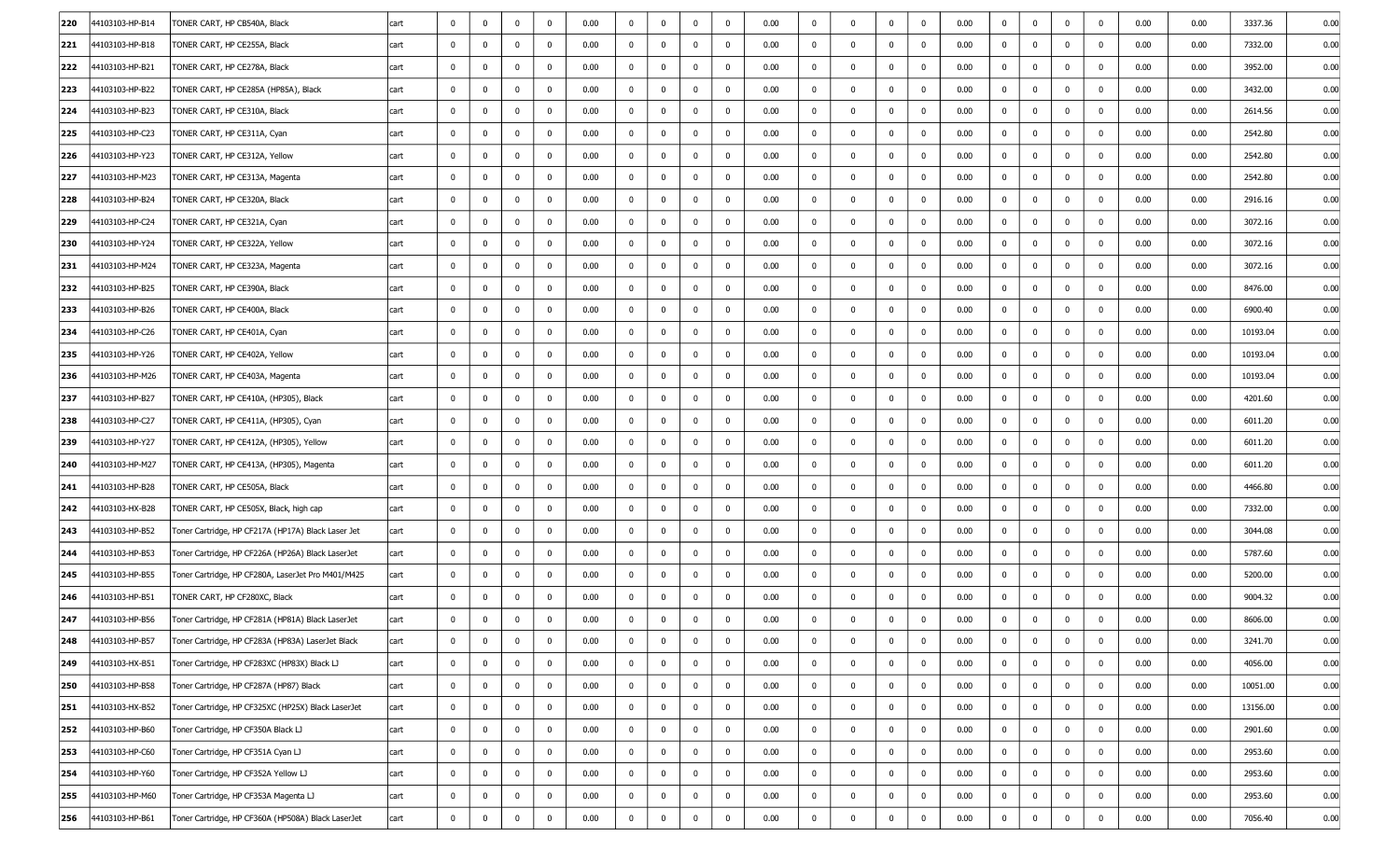| 220    | 44103103-HP-B14 | TONER CART, HP CB540A, Black                       | cart | $\mathbf 0$    | $^{\circ}$   | $\mathbf{0}$ | $\mathbf 0$  | 0.00 | $\mathbf 0$  | $\mathbf 0$ | $\mathbf 0$  | $\mathbf 0$ | 0.00 | $\mathbf 0$  | $\mathbf 0$  | $\mathbf 0$ | $\mathbf{0}$   | 0.00 | $\mathbf 0$    | $\mathbf 0$  | $\Omega$     | $\Omega$    | 0.00 | 0.00     | 3337.36  | 0.00 |
|--------|-----------------|----------------------------------------------------|------|----------------|--------------|--------------|--------------|------|--------------|-------------|--------------|-------------|------|--------------|--------------|-------------|----------------|------|----------------|--------------|--------------|-------------|------|----------|----------|------|
| 221    | 44103103-HP-B18 | TONER CART, HP CE255A, Black                       | cart | $\bf{0}$       | 0            | 0            | $\mathbf 0$  | 0.00 | $\bf{0}$     | $\bf{0}$    | $\mathbf{0}$ | $\mathbf 0$ | 0.00 | $\mathbf 0$  | $\mathbf 0$  | $\mathbf 0$ | $\bf{0}$       | 0.00 | $\mathbf{0}$   | $\mathbf 0$  | $\mathbf 0$  | $\mathbf 0$ | 0.00 | 0.00     | 7332.00  | 0.00 |
| 222    | 44103103-HP-B21 | TONER CART, HP CE278A, Black                       | cart | $\mathbf 0$    | 0            | $\mathbf 0$  | 0            | 0.00 | $\mathbf{0}$ | $\mathbf 0$ | $\bf{0}$     | $\mathbf 0$ | 0.00 | $\mathbf{0}$ | $\bf{0}$     | 0           | $\mathbf 0$    | 0.00 | $\bf{0}$       | 0            | $\mathbf 0$  | 0           | 0.00 | 0.00     | 3952.00  | 0.00 |
| 223    | 44103103-HP-B22 | TONER CART, HP CE285A (HP85A), Black               | cart | $\mathbf 0$    | $^{\circ}$   | $\mathbf 0$  | $\mathbf 0$  | 0.00 | $\mathbf 0$  | $\bf{0}$    | $^{\circ}$   | $\mathbf 0$ | 0.00 | $\mathbf{0}$ | $\mathbf 0$  | $\mathbf 0$ | $\mathbf 0$    | 0.00 | $\mathbf 0$    | $\mathbf 0$  | $\mathbf 0$  | 0           | 0.00 | 0.00     | 3432.00  | 0.00 |
| 224    | 44103103-HP-B23 | TONER CART, HP CE310A, Black                       | cart | $\bf{0}$       | $\bf{0}$     | 0            | 0            | 0.00 | $\bf{0}$     | $\bf{0}$    | $\mathbf 0$  | $\mathbf 0$ | 0.00 | $\bf{0}$     | $\bf{0}$     | $\mathbf 0$ | $\mathbf 0$    | 0.00 | $\bf{0}$       | 0            | 0            | 0           | 0.00 | 0.00     | 2614.56  | 0.00 |
| 225    | 44103103-HP-C23 | TONER CART, HP CE311A, Cyan                        | cart | $\mathbf{0}$   | 0            | $\mathbf 0$  | $\mathbf 0$  | 0.00 | $\bf{0}$     | $\mathbf 0$ | $\bf{0}$     | $\mathbf 0$ | 0.00 | $\mathbf{0}$ | $\bf{0}$     | $\mathbf 0$ | $\mathbf 0$    | 0.00 | $\bf{0}$       | $\mathbf 0$  | $\mathbf 0$  | $^{\circ}$  | 0.00 | 0.00     | 2542.80  | 0.00 |
| 226    | 44103103-HP-Y23 | TONER CART, HP CE312A, Yellow                      | cart | $\bf{0}$       | $^{\circ}$   | $\bf{0}$     | $\mathbf 0$  | 0.00 | $\bf{0}$     | $\bf{0}$    | $\mathbf 0$  | $\mathbf 0$ | 0.00 | $\mathbf{0}$ | $\bf{0}$     | $\mathbf 0$ | $\mathbf 0$    | 0.00 | $\bf{0}$       | $\mathbf 0$  | $\mathbf 0$  | 0           | 0.00 | 0.00     | 2542.80  | 0.00 |
| 227    | 44103103-HP-M23 | TONER CART, HP CE313A, Magenta                     | cart | $\mathbf{0}$   | 0            | $\mathbf 0$  | $\mathbf{0}$ | 0.00 | $\bf{0}$     | $\bf{0}$    | $\bf{0}$     | $\mathbf 0$ | 0.00 | $\bf{0}$     | $\bf{0}$     | $\mathbf 0$ | $\overline{0}$ | 0.00 | $\bf{0}$       | 0            | $\mathbf 0$  | $\mathbf 0$ | 0.00 | 0.00     | 2542.80  | 0.00 |
| 228    | 44103103-HP-B24 | TONER CART, HP CE320A, Black                       | cart | $\mathbf{0}$   | 0            | 0            | $\mathbf 0$  | 0.00 | $\mathbf{0}$ | $\mathbf 0$ | 0            | $\mathbf 0$ | 0.00 | $\mathbf{0}$ | $\bf{0}$     | $\mathbf 0$ | $\mathbf 0$    | 0.00 | $\bf{0}$       | $\mathbf 0$  | $\mathbf 0$  | 0           | 0.00 | 0.00     | 2916.16  | 0.00 |
| 229    | 44103103-HP-C24 | TONER CART, HP CE321A, Cyan                        | cart | $\mathbf 0$    | $^{\circ}$   | $\mathbf 0$  | $\mathbf 0$  | 0.00 | $\mathbf{0}$ | $\bf{0}$    | $\mathbf 0$  | $\mathbf 0$ | 0.00 | $\mathbf{0}$ | $\bf{0}$     | $\mathbf 0$ | $\bf{0}$       | 0.00 | $\bf{0}$       | $\mathbf 0$  | $\mathbf 0$  | 0           | 0.00 | 0.00     | 3072.16  | 0.00 |
| 230    | 44103103-HP-Y24 | TONER CART, HP CE322A, Yellow                      | cart | $\mathbf{0}$   | $^{\circ}$   | $\bf{0}$     | $\mathbf 0$  | 0.00 | $\mathbf{0}$ | $\bf{0}$    | $\bf{0}$     | $\mathbf 0$ | 0.00 | 0            | $\bf{0}$     | $\mathbf 0$ | $\overline{0}$ | 0.00 | $\bf{0}$       | $\mathbf 0$  | $\mathbf 0$  | $\mathbf 0$ | 0.00 | 0.00     | 3072.16  | 0.00 |
| 231    | 44103103-HP-M24 | TONER CART, HP CE323A, Magenta                     | cart | 0              | 0            | 0            | $\mathbf 0$  | 0.00 | $\bf{0}$     | $\mathbf 0$ | $^{\circ}$   | $\mathbf 0$ | 0.00 | $\mathbf{0}$ | $\mathbf 0$  | $\mathbf 0$ | $\mathbf 0$    | 0.00 | $\bf{0}$       | $\mathbf 0$  | $\mathbf 0$  | 0           | 0.00 | 0.00     | 3072.16  | 0.00 |
| 232    | 44103103-HP-B25 | TONER CART, HP CE390A, Black                       | cart | $\bf{0}$       | 0            | $\mathbf 0$  | 0            | 0.00 | 0            | $\mathbf 0$ | $\mathbf 0$  | $\mathbf 0$ | 0.00 | $\mathbf{0}$ | $\bf{0}$     | 0           | $\bf{0}$       | 0.00 | $\bf{0}$       | $\mathbf 0$  | $\mathbf 0$  | 0           | 0.00 | 0.00     | 8476.00  | 0.00 |
| 233    | 44103103-HP-B26 | TONER CART, HP CE400A, Black                       | cart | $\mathbf{0}$   | $^{\circ}$   | 0            | $\mathbf 0$  | 0.00 | $\bf{0}$     | $\mathbf 0$ | $\mathbf 0$  | $\mathbf 0$ | 0.00 | $\mathbf 0$  | $\bf{0}$     | $\mathbf 0$ | $\mathbf 0$    | 0.00 | $\bf{0}$       | 0            | $\mathbf 0$  | 0           | 0.00 | 0.00     | 6900.40  | 0.00 |
| 234    | 44103103-HP-C26 | TONER CART, HP CE401A, Cyan                        | cart | $\mathbf{0}$   | 0            | 0            | $\mathbf 0$  | 0.00 | $\bf{0}$     | $\bf{0}$    | $^{\circ}$   | $\mathbf 0$ | 0.00 | $\mathbf{0}$ | $\mathbf 0$  | $\mathbf 0$ | $\mathbf 0$    | 0.00 | $\bf{0}$       | $\mathbf 0$  | $\mathbf 0$  | $^{\circ}$  | 0.00 | 0.00     | 10193.04 | 0.00 |
| 235    | 44103103-HP-Y26 | TONER CART, HP CE402A, Yellow                      | cart | $\mathbf 0$    | 0            | $\mathbf 0$  | 0            | 0.00 | $\mathbf{0}$ | $\mathbf 0$ | 0            | $\mathbf 0$ | 0.00 | $\bm{0}$     | $\bf{0}$     | 0           | $\bf{0}$       | 0.00 | $\bf{0}$       | $\mathbf 0$  | $\mathbf 0$  | 0           | 0.00 | 0.00     | 10193.04 | 0.00 |
| 236    | 44103103-HP-M26 | TONER CART, HP CE403A, Magenta                     | cart | $\mathbf 0$    | $^{\circ}$   | $\mathbf 0$  | $\mathbf 0$  | 0.00 | $\mathbf{0}$ | $\bf{0}$    | $\bf{0}$     | $\mathbf 0$ | 0.00 | $\mathbf 0$  | $\mathbf 0$  | $\mathbf 0$ | $\overline{0}$ | 0.00 | $\bf{0}$       | $\mathbf 0$  | $\mathbf 0$  | 0           | 0.00 | 0.00     | 10193.04 | 0.00 |
| 237    | 44103103-HP-B27 | TONER CART, HP CE410A, (HP305), Black              | cart | $\mathbf 0$    | $^{\circ}$   | $\mathbf 0$  | $\mathbf 0$  | 0.00 | $\mathbf{0}$ | $\bf{0}$    | $^{\circ}$   | $\mathbf 0$ | 0.00 | $\mathbf{0}$ | $\mathbf 0$  | $\mathbf 0$ | $\mathbf 0$    | 0.00 | $\bf{0}$       | $\mathbf 0$  | $\mathbf 0$  | $^{\circ}$  | 0.00 | 0.00     | 4201.60  | 0.00 |
| 238    | 44103103-HP-C27 | TONER CART, HP CE411A, (HP305), Cyan               | cart | $\mathbf 0$    | 0            | 0            | $\mathbf 0$  | 0.00 | $\mathbf{0}$ | $\mathbf 0$ | $\mathbf 0$  | $\mathbf 0$ | 0.00 | $\mathbf{0}$ | $\bf{0}$     | $\bf{0}$    | $\bf{0}$       | 0.00 | $\mathbf 0$    | $\mathbf 0$  | $\mathbf 0$  | 0           | 0.00 | 0.00     | 6011.20  | 0.00 |
| 239    | 44103103-HP-Y27 | TONER CART, HP CE412A, (HP305), Yellow             | cart | $\mathbf 0$    | 0            | $\mathbf 0$  | $\mathbf 0$  | 0.00 | $\bf{0}$     | $\mathbf 0$ | $\mathbf 0$  | $\mathbf 0$ | 0.00 | $\mathbf 0$  | $\bf{0}$     | $\mathbf 0$ | $\mathbf 0$    | 0.00 | $\bf{0}$       | $\mathbf 0$  | $\mathbf 0$  | 0           | 0.00 | 0.00     | 6011.20  | 0.00 |
| 240    | 44103103-HP-M27 | TONER CART, HP CE413A, (HP305), Magenta            | cart | $\bf{0}$       | $^{\circ}$   | $\bf{0}$     | $\mathbf 0$  | 0.00 | $\bf{0}$     | $\bf{0}$    | 0            | $\mathbf 0$ | 0.00 | $\mathbf{0}$ | $\mathbf 0$  | $\mathbf 0$ | $\mathbf 0$    | 0.00 | $\bf{0}$       | $\mathbf 0$  | $\mathbf 0$  | $^{\circ}$  | 0.00 | $0.00\,$ | 6011.20  | 0.00 |
| $ 241$ | 44103103-HP-B28 | TONER CART, HP CE505A, Black                       | cart | $\bf{0}$       | $\bf{0}$     | 0            | $\mathbf 0$  | 0.00 | $\bf{0}$     | $\bf{0}$    | $\mathbf{0}$ | $\mathbf 0$ | 0.00 | $\mathbf{0}$ | $\bf{0}$     | $\bf{0}$    | $\bf{0}$       | 0.00 | $\bf{0}$       | $\mathbf 0$  | $\mathbf 0$  | 0           | 0.00 | 0.00     | 4466.80  | 0.00 |
| 242    | 44103103-HX-B28 | TONER CART, HP CE505X, Black, high cap             | cart | $\mathbf 0$    | 0            | $\mathbf 0$  | $\mathbf 0$  | 0.00 | $\mathbf{0}$ | $\mathbf 0$ | $\mathbf 0$  | $\mathbf 0$ | 0.00 | $\mathbf{0}$ | $\bf{0}$     | $\mathbf 0$ | $\mathbf 0$    | 0.00 | $\bf{0}$       | $\mathbf 0$  | $\mathbf 0$  | 0           | 0.00 | 0.00     | 7332.00  | 0.00 |
| 243    | 44103103-HP-B52 | Toner Cartridge, HP CF217A (HP17A) Black Laser Jet | cart | $\mathbf 0$    | $^{\circ}$   | $\bf{0}$     | $\mathbf 0$  | 0.00 | $\mathbf{0}$ | $\bf{0}$    | $^{\circ}$   | $\mathbf 0$ | 0.00 | $\mathbf{0}$ | $\mathbf 0$  | $\mathbf 0$ | $\mathbf 0$    | 0.00 | $\bf{0}$       | $\mathbf 0$  | $\mathbf 0$  | 0           | 0.00 | 0.00     | 3044.08  | 0.00 |
| 244    | 44103103-HP-B53 | Toner Cartridge, HP CF226A (HP26A) Black LaserJet  | cart | $\mathbf 0$    | $\bf{0}$     | $\mathbf 0$  | 0            | 0.00 | $\mathbf{0}$ | $\bf{0}$    | $\bf{0}$     | $\mathbf 0$ | 0.00 | $\bf{0}$     | $\bf{0}$     | $\bf{0}$    | $\overline{0}$ | 0.00 | $\bf{0}$       | $\mathbf 0$  | $\mathbf 0$  | $\mathbf 0$ | 0.00 | 0.00     | 5787.60  | 0.00 |
| 245    | 44103103-HP-B55 | Toner Cartridge, HP CF280A, LaserJet Pro M401/M425 | cart | $\mathbf 0$    | 0            | $\mathbf 0$  | $\mathbf 0$  | 0.00 | $\mathbf{0}$ | $\mathbf 0$ | $\bf{0}$     | $\mathbf 0$ | 0.00 | $\mathbf 0$  | $\bf{0}$     | $\mathbf 0$ | $\mathbf 0$    | 0.00 | $\bf{0}$       | $\mathbf 0$  | $\mathbf 0$  | $^{\circ}$  | 0.00 | 0.00     | 5200.00  | 0.00 |
| 246    | 44103103-HP-B51 | TONER CART, HP CF280XC, Black                      | cart | $\mathbf 0$    | $^{\circ}$   | $\mathbf 0$  | $\mathbf 0$  | 0.00 | $\mathbf 0$  | $\bf{0}$    | $^{\circ}$   | $\mathbf 0$ | 0.00 | $\mathbf{0}$ | $\mathbf 0$  | $\mathbf 0$ | $\mathbf 0$    | 0.00 | $\mathbf 0$    | $\mathbf 0$  | $\mathbf 0$  | 0           | 0.00 | 0.00     | 9004.32  | 0.00 |
| 247    | 44103103-HP-B56 | Toner Cartridge, HP CF281A (HP81A) Black LaserJet  | cart | $\bf{0}$       | 0            | $\mathbf 0$  | $\mathbf 0$  | 0.00 | $\mathbf 0$  | $\mathbf 0$ | $\mathbf{0}$ | $\mathbf 0$ | 0.00 | 0            | $\mathbf 0$  | $\mathbf 0$ | $\mathbf 0$    | 0.00 | $\mathbf 0$    | $\mathbf 0$  | $\mathbf 0$  | $\Omega$    | 0.00 | 0.00     | 8606.00  | 0.00 |
| 248    | 44103103-HP-B57 | Toner Cartridge, HP CF283A (HP83A) LaserJet Black  | cart | $\mathbf 0$    | $\bf{0}$     | $\mathbf 0$  | $\mathbf 0$  | 0.00 | $\mathbf 0$  | $\bm{0}$    | $\bf{0}$     | $\mathbf 0$ | 0.00 | $\mathbf 0$  | $\mathbf 0$  | $\mathbf 0$ | $\mathbf 0$    | 0.00 | $\pmb{0}$      | $\mathbf 0$  | 0            | $\mathbf 0$ | 0.00 | 0.00     | 3241.70  | 0.00 |
| 249    | 44103103-HX-B51 | Toner Cartridge, HP CF283XC (HP83X) Black LJ       | cart | $\bf{0}$       | $\mathbf{0}$ | $\mathbf 0$  | $\mathbf{0}$ | 0.00 | $\mathbf 0$  | $\mathbf 0$ | $\bf{0}$     | $\bf{0}$    | 0.00 | $\bf{0}$     | $\mathbf 0$  | $\mathbf 0$ | $\mathbf 0$    | 0.00 | $\mathbf 0$    | $\mathbf{0}$ | $\mathbf 0$  | $^{\circ}$  | 0.00 | 0.00     | 4056.00  | 0.00 |
| 250    | 44103103-HP-B58 | Toner Cartridge, HP CF287A (HP87) Black            | cart | $\mathbf 0$    | 0            | $\bf{0}$     | $\mathbf 0$  | 0.00 | $\mathbf 0$  | $\mathbf 0$ | $\bf{0}$     | $\mathbf 0$ | 0.00 | $\mathbf 0$  | $\mathbf 0$  | $\mathbf 0$ | $\overline{0}$ | 0.00 | $\mathbf{0}$   | $\mathbf 0$  | $\mathbf 0$  | $\mathbf 0$ | 0.00 | 0.00     | 10051.00 | 0.00 |
| 251    | 44103103-HX-B52 | Toner Cartridge, HP CF325XC (HP25X) Black LaserJet | cart | $\bf{0}$       | $\mathbf{0}$ | $\bf{0}$     | $\mathbf 0$  | 0.00 | $\bf{0}$     | $\mathbf 0$ | $\mathbf 0$  | $\bf{0}$    | 0.00 | $\bf{0}$     | $\mathbf{0}$ | $\mathbf 0$ | $\mathbf 0$    | 0.00 | $\mathbf{0}$   | $\mathbf{0}$ | $\mathbf 0$  | $\mathbf 0$ | 0.00 | 0.00     | 13156.00 | 0.00 |
| 252    | 44103103-HP-B60 | Toner Cartridge, HP CF350A Black LJ                | cart | $\bf{0}$       | $\bf{0}$     | $\bf{0}$     | $\mathbf 0$  | 0.00 | $\mathbf 0$  | $\mathbf 0$ | $\mathbf 0$  | $\bf{0}$    | 0.00 | $\bf{0}$     | $\mathbf 0$  | $\mathbf 0$ | $\mathbf 0$    | 0.00 | $\overline{0}$ | $\mathbf{0}$ | $\mathbf 0$  | $\mathbf 0$ | 0.00 | 0.00     | 2901.60  | 0.00 |
| 253    | 44103103-HP-C60 | Toner Cartridge, HP CF351A Cyan LJ                 | cart | $\overline{0}$ | $\mathbf 0$  | $\bf{0}$     | $\mathbf{0}$ | 0.00 | $\mathbf 0$  | $\mathbf 0$ | $\bf{0}$     | $\mathbf 0$ | 0.00 | $\mathbf 0$  | $\mathbf 0$  | $\mathbf 0$ | $\mathbf 0$    | 0.00 | $\overline{0}$ | $\mathbf{0}$ | $\mathbf 0$  | $\mathbf 0$ | 0.00 | 0.00     | 2953.60  | 0.00 |
| 254    | 44103103-HP-Y60 | Toner Cartridge, HP CF352A Yellow LJ               | cart | $\mathbf{0}$   | $\mathbf 0$  | $\mathbf 0$  | $\mathbf 0$  | 0.00 | $\mathbf 0$  | $\mathbf 0$ | $\mathbf 0$  | $\mathbf 0$ | 0.00 | $\bf{0}$     | $\mathbf 0$  | $\mathbf 0$ | $\bf{0}$       | 0.00 | $\mathbf{0}$   | $\mathbf{0}$ | $\mathbf 0$  | $\mathbf 0$ | 0.00 | 0.00     | 2953.60  | 0.00 |
| 255    | 44103103-HP-M60 | Toner Cartridge, HP CF353A Magenta LJ              | cart | $\bf{0}$       | $\bf{0}$     | $\bf{0}$     | $\mathbf 0$  | 0.00 | $\mathbf{0}$ | $\mathbf 0$ | $\mathbf 0$  | $\mathbf 0$ | 0.00 | $\bf{0}$     | $\mathbf 0$  | $\mathbf 0$ | $\mathbf{0}$   | 0.00 | $\mathbf{0}$   | $\mathbf{0}$ | $\mathbf{0}$ | $\mathbf 0$ | 0.00 | 0.00     | 2953.60  | 0.00 |
| 256    | 44103103-HP-B61 | Toner Cartridge, HP CF360A (HP508A) Black LaserJet | cart | $\overline{0}$ | $\bf{0}$     | $\bf{0}$     | $\bf{0}$     | 0.00 | $\mathbf 0$  | $\bf{0}$    | $\pmb{0}$    | $\mathbf 0$ | 0.00 | $\mathbf 0$  | $\mathbf 0$  | $\mathbf 0$ | $\mathbf 0$    | 0.00 | $\overline{0}$ | $\mathbf 0$  | $\mathbf 0$  | $\mathbf 0$ | 0.00 | 0.00     | 7056.40  | 0.00 |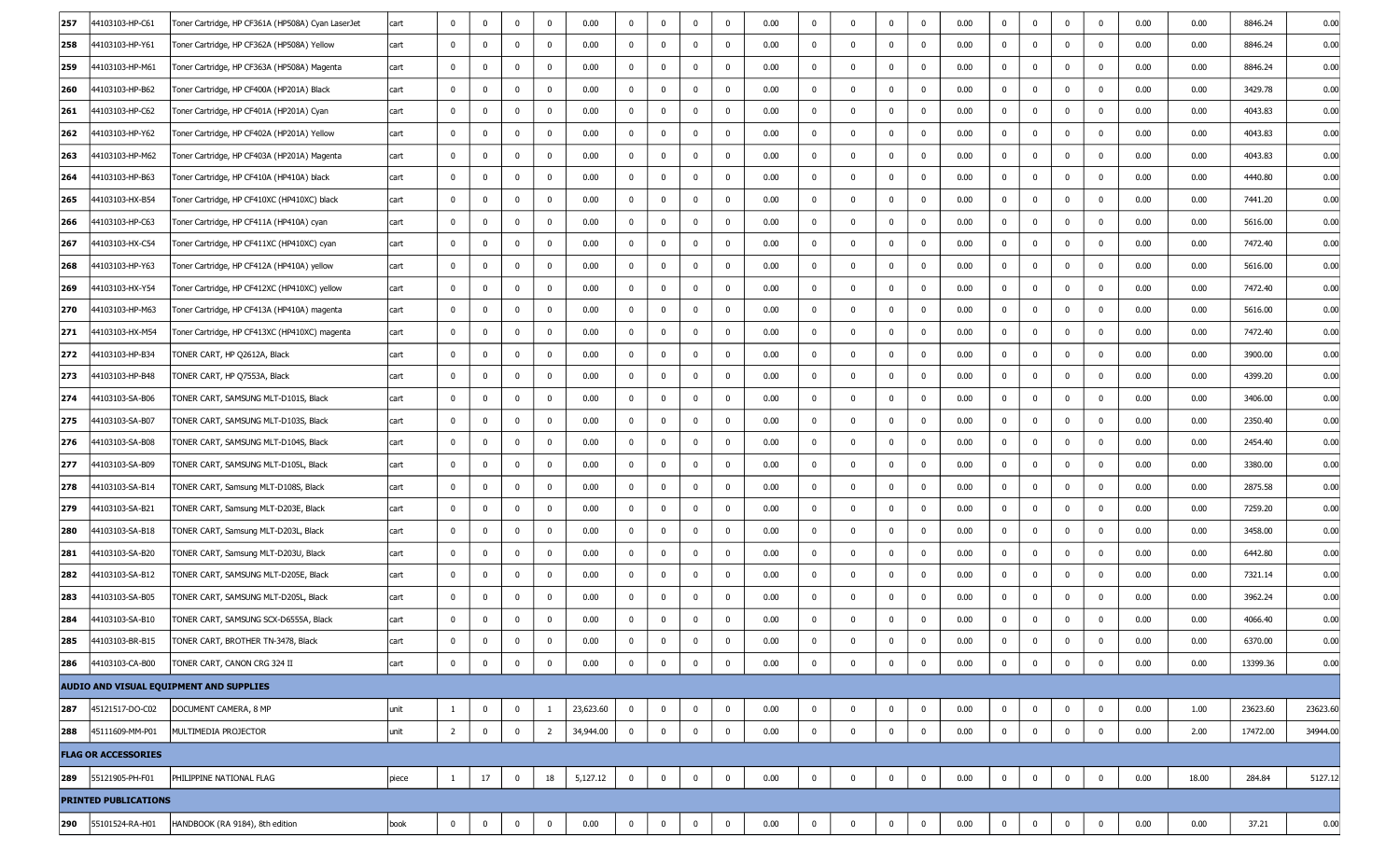| 257 | 44103103-HP-C61             | Toner Cartridge, HP CF361A (HP508A) Cyan LaserJet | cart  | $\mathbf 0$    | $\mathbf 0$  | $\Omega$     | $\mathbf 0$    | 0.00      | 0            | $\Omega$     | $\mathbf 0$    | $^{\circ}$   | 0.00 | $\mathbf 0$  | $\Omega$     | $\Omega$     | $\mathbf 0$ | 0.00 | $\mathbf 0$  | $\mathbf 0$ | $\mathbf 0$  | $\mathbf 0$    | 0.00 | 0.00  | 8846.24  | 0.00     |
|-----|-----------------------------|---------------------------------------------------|-------|----------------|--------------|--------------|----------------|-----------|--------------|--------------|----------------|--------------|------|--------------|--------------|--------------|-------------|------|--------------|-------------|--------------|----------------|------|-------|----------|----------|
| 258 | 44103103-HP-Y61             | Toner Cartridge, HP CF362A (HP508A) Yellow        | cart  | $\mathbf 0$    | $\bf{0}$     | $\mathbf 0$  | $\mathbf 0$    | 0.00      | $\bf{0}$     | $\mathbf 0$  | $\bf{0}$       | 0            | 0.00 | $\mathbf 0$  | $\mathbf 0$  | $\mathbf 0$  | $\bf{0}$    | 0.00 | $\mathbf 0$  | $\mathbf 0$ | $\mathbf 0$  | $\mathbf 0$    | 0.00 | 0.00  | 8846.24  | 0.00     |
| 259 | 44103103-HP-M61             | Toner Cartridge, HP CF363A (HP508A) Magenta       | cart  | $\mathbf 0$    | 0            | $\mathbf{0}$ | $\Omega$       | 0.00      | $\mathbf 0$  | $\mathbf 0$  | $\bf{0}$       | $\mathbf 0$  | 0.00 | $\mathbf 0$  | $\mathbf 0$  | $\mathbf 0$  | $\mathbf 0$ | 0.00 | $\bf{0}$     | 0           | $\mathbf 0$  | $\mathbf 0$    | 0.00 | 0.00  | 8846.24  | 0.00     |
| 260 | 44103103-HP-B62             | Toner Cartridge, HP CF400A (HP201A) Black         | cart  | $\mathbf 0$    | $\mathbf 0$  | $\Omega$     | $\mathbf 0$    | 0.00      | $\mathbf 0$  | $\mathbf 0$  | $\mathbf 0$    | $\bf{0}$     | 0.00 | $\mathbf 0$  | $\mathbf 0$  | $\mathbf 0$  | $\mathbf 0$ | 0.00 | $\bf{0}$     | $\mathbf 0$ | $\mathbf 0$  | $\mathbf 0$    | 0.00 | 0.00  | 3429.78  | 0.00     |
| 261 | 44103103-HP-C62             | Toner Cartridge, HP CF401A (HP201A) Cyan          | cart  | $\mathbf{0}$   | $\bf{0}$     | $\mathbf 0$  | 0              | 0.00      | 0            | $\bf{0}$     | $\mathbf 0$    | $\mathbf 0$  | 0.00 | $\mathbf{0}$ | $\bf{0}$     | $\mathbf 0$  | 0           | 0.00 | 0            | 0           | $\mathbf 0$  | 0              | 0.00 | 0.00  | 4043.83  | 0.00     |
| 262 | 44103103-HP-Y62             | Toner Cartridge, HP CF402A (HP201A) Yellow        | cart  | $^{\circ}$     | $\mathbf{0}$ | $\mathbf{0}$ | 0              | 0.00      | $\bf{0}$     | $^{\circ}$   | $\bf{0}$       | $^{\circ}$   | 0.00 | $\mathbf 0$  | $\mathbf 0$  | $\mathbf 0$  | $\mathbf 0$ | 0.00 | $\bf{0}$     | $\mathbf 0$ | 0            | $\mathbf 0$    | 0.00 | 0.00  | 4043.83  | 0.00     |
| 263 | 44103103-HP-M62             | Toner Cartridge, HP CF403A (HP201A) Magenta       | cart  | $\mathbf 0$    | $\mathbf{0}$ | $\mathbf{0}$ | $\mathbf 0$    | 0.00      | $\bf{0}$     | $\mathbf 0$  | $\bf{0}$       | $\bf{0}$     | 0.00 | $\mathbf{0}$ | $\mathbf 0$  | $\mathbf 0$  | $\mathbf 0$ | 0.00 | $\bf{0}$     | $\mathbf 0$ | $\mathbf 0$  | $\mathbf 0$    | 0.00 | 0.00  | 4043.83  | 0.00     |
| 264 | 44103103-HP-B63             | Toner Cartridge, HP CF410A (HP410A) black         | cart  | $\mathbf{0}$   | 0            | $\mathbf 0$  | 0              | 0.00      | $\bf{0}$     | $\bf{0}$     | $\bf{0}$       | $\mathbf 0$  | 0.00 | $\mathbf 0$  | $\mathbf 0$  | $\mathbf 0$  | $\bf{0}$    | 0.00 | $\bf{0}$     | $\mathbf 0$ | $\mathbf 0$  | $\mathbf 0$    | 0.00 | 0.00  | 4440.80  | 0.00     |
| 265 | 44103103-HX-B54             | Toner Cartridge, HP CF410XC (HP410XC) black       | cart  | $\mathbf 0$    | 0            | $\mathbf 0$  | 0              | 0.00      | $\bf{0}$     | $\mathbf 0$  | $\bf{0}$       | 0            | 0.00 | $\mathbf 0$  | $\mathbf 0$  | $\mathbf 0$  | $\mathbf 0$ | 0.00 | $\bf{0}$     | $\mathbf 0$ | 0            | $\mathbf 0$    | 0.00 | 0.00  | 7441.20  | 0.00     |
| 266 | 44103103-HP-C63             | Toner Cartridge, HP CF411A (HP410A) cyan          | cart  | $\mathbf 0$    | $\mathbf 0$  | $\mathbf 0$  | 0              | 0.00      | $\bf{0}$     | $\mathbf 0$  | $\mathbf 0$    | 0            | 0.00 | $\bf{0}$     | $\mathbf 0$  | $\mathbf 0$  | $\mathbf 0$ | 0.00 | $\bf{0}$     | $\mathbf 0$ | $\mathbf 0$  | $\mathbf 0$    | 0.00 | 0.00  | 5616.00  | 0.00     |
| 267 | 44103103-HX-C54             | Toner Cartridge, HP CF411XC (HP410XC) cyan        | cart  | $\mathbf 0$    | $\mathbf 0$  | $\mathbf 0$  | 0              | 0.00      | $\mathbf{0}$ | $\bf{0}$     | $\bf{0}$       | $^{\circ}$   | 0.00 | $\mathbf 0$  | $\mathbf 0$  | $\mathbf 0$  | $\bf{0}$    | 0.00 | $\bf{0}$     | $\mathbf 0$ | $\mathbf 0$  | $\mathbf 0$    | 0.00 | 0.00  | 7472.40  | 0.00     |
| 268 | 44103103-HP-Y63             | Toner Cartridge, HP CF412A (HP410A) yellow        | cart  | $\mathbf 0$    | $\mathbf 0$  | $\Omega$     | 0              | 0.00      | $\bf{0}$     | $\mathbf 0$  | $\bf{0}$       | $^{\circ}$   | 0.00 | $\mathbf 0$  | $\mathbf 0$  | $\Omega$     | $\mathbf 0$ | 0.00 | $\bf{0}$     | $\mathbf 0$ | $\mathbf 0$  | $\mathbf 0$    | 0.00 | 0.00  | 5616.00  | 0.00     |
| 269 | 44103103-HX-Y54             | Toner Cartridge, HP CF412XC (HP410XC) yellow      | cart  | $\mathbf{0}$   | $\bf{0}$     | $\mathbf 0$  | 0              | 0.00      | 0            | $\mathbf 0$  | $\mathbf 0$    | $\mathbf 0$  | 0.00 | $\mathbf{0}$ | $\mathbf 0$  | $\mathbf 0$  | 0           | 0.00 | $\bf{0}$     | 0           | $\mathbf 0$  | 0              | 0.00 | 0.00  | 7472.40  | 0.00     |
| 270 | 44103103-HP-M63             | Toner Cartridge, HP CF413A (HP410A) magenta       | cart  | $\mathbf 0$    | 0            | $\mathbf 0$  | 0              | 0.00      | 0            | $\mathbf 0$  | $\bf{0}$       | $^{\circ}$   | 0.00 | $\mathbf 0$  | $\mathbf 0$  | $\mathbf 0$  | $\mathbf 0$ | 0.00 | $\bf{0}$     | 0           | $\mathbf 0$  | 0              | 0.00 | 0.00  | 5616.00  | 0.00     |
| 271 | 44103103-HX-M54             | Toner Cartridge, HP CF413XC (HP410XC) magenta     | cart  | $\mathbf 0$    | $\mathbf 0$  | $\mathbf 0$  | 0              | 0.00      | $\bf{0}$     | $\mathbf 0$  | $\bf{0}$       | $^{\circ}$   | 0.00 | $\mathbf 0$  | $\mathbf 0$  | $\mathbf 0$  | $\mathbf 0$ | 0.00 | $\bf{0}$     | 0           | $\mathbf 0$  | $\mathbf 0$    | 0.00 | 0.00  | 7472.40  | 0.00     |
| 272 | 44103103-HP-B34             | TONER CART, HP Q2612A, Black                      | cart  | $\mathbf 0$    | $\mathbf{0}$ | $\mathbf 0$  | $\mathbf{0}$   | 0.00      | $\bf{0}$     | $\mathbf 0$  | $\bf{0}$       | $\mathbf 0$  | 0.00 | $\mathbf{0}$ | $\mathbf 0$  | 0            | $\mathbf 0$ | 0.00 | $\bf{0}$     | $\mathbf 0$ | $\mathbf 0$  | 0              | 0.00 | 0.00  | 3900.00  | 0.00     |
| 273 | 44103103-HP-B48             | TONER CART, HP Q7553A, Black                      | cart  | $\mathbf 0$    | $\mathbf 0$  | $\mathbf 0$  | 0              | 0.00      | $\bf{0}$     | $\mathbf 0$  | $\bf{0}$       | $^{\circ}$   | 0.00 | $\mathbf 0$  | $\mathbf 0$  | $\mathbf 0$  | $\mathbf 0$ | 0.00 | $\mathbf 0$  | $\mathbf 0$ | $\mathbf 0$  | $\mathbf 0$    | 0.00 | 0.00  | 4399.20  | 0.00     |
| 274 | 44103103-SA-B06             | TONER CART, SAMSUNG MLT-D101S, Black              | cart  | $\mathbf 0$    | $\mathbf 0$  | $\mathbf 0$  | 0              | 0.00      | $\bf{0}$     | $\mathbf 0$  | $\bf{0}$       | $\mathbf 0$  | 0.00 | $\mathbf 0$  | $\mathbf 0$  | $\mathbf 0$  | $\mathbf 0$ | 0.00 | $\bf{0}$     | 0           | $\mathbf 0$  | 0              | 0.00 | 0.00  | 3406.00  | 0.00     |
| 275 | 44103103-SA-B07             | TONER CART, SAMSUNG MLT-D103S, Black              | cart  | $\mathbf 0$    | $\mathbf 0$  | $\mathbf 0$  | $\mathbf 0$    | 0.00      | $\bf{0}$     | $\mathbf 0$  | $\mathbf{0}$   | $^{\circ}$   | 0.00 | $\mathbf 0$  | $\mathbf 0$  | $\mathbf 0$  | $\mathbf 0$ | 0.00 | $\bf{0}$     | $\mathbf 0$ | $\mathbf 0$  | $\mathbf 0$    | 0.00 | 0.00  | 2350.40  | 0.00     |
| 276 | 44103103-SA-B08             | TONER CART, SAMSUNG MLT-D104S, Black              | cart  | $\mathbf 0$    | 0            | $\mathbf 0$  | 0              | 0.00      | $\bf{0}$     | 0            | $\mathbf 0$    | $\mathbf 0$  | 0.00 | $\mathbf 0$  | $\mathbf 0$  | $\mathbf 0$  | 0           | 0.00 | $\bf{0}$     | $\mathbf 0$ | $\mathbf 0$  | $\mathbf 0$    | 0.00 | 0.00  | 2454.40  | 0.00     |
| 277 | 44103103-SA-B09             | TONER CART, SAMSUNG MLT-D105L, Black              | cart  | $\mathbf 0$    | $\mathbf 0$  | $\mathbf 0$  | 0              | 0.00      | $\bf{0}$     | $\mathbf 0$  | $\bf{0}$       | $\bf{0}$     | 0.00 | $\mathbf 0$  | $\mathbf 0$  | $\mathbf 0$  | $\mathbf 0$ | 0.00 | $\bf{0}$     | $\mathbf 0$ | $\mathbf 0$  | $\mathbf 0$    | 0.00 | 0.00  | 3380.00  | 0.00     |
| 278 | 44103103-SA-B14             | TONER CART, Samsung MLT-D108S, Black              | cart  | $\mathbf 0$    | $\mathbf{0}$ | $\mathbf 0$  | 0              | 0.00      | $\mathbf{0}$ | $\mathbf 0$  | $\bf{0}$       | $^{\circ}$   | 0.00 | $\mathbf{0}$ | $\mathbf 0$  | 0            | $\bf{0}$    | 0.00 | $\bf{0}$     | $\mathbf 0$ | $\mathbf 0$  | 0              | 0.00 | 0.00  | 2875.58  | 0.00     |
| 279 | 14103103-SA-B21             | TONER CART, Samsung MLT-D203E, Black              | cart  | $\mathbf 0$    | 0            | $\mathbf{0}$ | 0              | 0.00      | $\bf{0}$     | 0            | $\bf{0}$       | $^{\circ}$   | 0.00 | $\mathbf 0$  | $\mathbf 0$  | $\mathbf 0$  | $\mathbf 0$ | 0.00 | $\bf{0}$     | $\mathbf 0$ | $\mathbf 0$  | $\mathbf 0$    | 0.00 | 0.00  | 7259.20  | 0.00     |
| 280 | 44103103-SA-B18             | TONER CART, Samsung MLT-D203L, Black              | cart  | $\mathbf 0$    | $\mathbf 0$  | $\mathbf 0$  | 0              | 0.00      | $\bf{0}$     | $\mathbf 0$  | $\bf{0}$       | $\bf{0}$     | 0.00 | $\mathbf 0$  | $\mathbf 0$  | $\mathbf 0$  | $\mathbf 0$ | 0.00 | $\bf{0}$     | $\mathbf 0$ | $\mathbf 0$  | 0              | 0.00 | 0.00  | 3458.00  | 0.00     |
| 281 | 44103103-SA-B20             | TONER CART, Samsung MLT-D203U, Black              | cart  | $\mathbf{0}$   | $\mathbf 0$  | $\mathbf 0$  | 0              | 0.00      | $\mathbf 0$  | $\mathbf 0$  | $\bf{0}$       | $\mathbf 0$  | 0.00 | $\mathbf 0$  | 0            | $\mathbf 0$  | $\bf{0}$    | 0.00 | 0            | $\mathbf 0$ | $\mathbf 0$  | $\bf{0}$       | 0.00 | 0.00  | 6442.80  | 0.00     |
| 282 | 44103103-SA-B12             | TONER CART, SAMSUNG MLT-D205E, Black              | cart  | $\mathbf 0$    | $\mathbf 0$  | $\Omega$     | $\Omega$       | 0.00      | $\mathbf{0}$ | $\mathbf 0$  | $\bf{0}$       | 0            | 0.00 | $\mathbf 0$  | $\mathbf 0$  | $\mathbf 0$  | $\mathbf 0$ | 0.00 | $\bf{0}$     | $\mathbf 0$ | $\mathbf 0$  | $\mathbf 0$    | 0.00 | 0.00  | 7321.14  | 0.00     |
| 283 | 44103103-SA-B05             | TONER CART, SAMSUNG MLT-D205L, Black              | cart  | $\mathbf 0$    | $^{\circ}$   | $\mathbf{0}$ | 0              | 0.00      | $\bf{0}$     | $\mathbf 0$  | $\mathbf 0$    | $^{\circ}$   | 0.00 | $\mathbf 0$  | $\Omega$     | $\mathbf 0$  | $\mathbf 0$ | 0.00 | $\mathbf 0$  | $\mathbf 0$ | $\mathbf 0$  | $\mathbf 0$    | 0.00 | 0.00  | 3962.24  | 0.00     |
| 284 | 44103103-SA-B10             | TONER CART, SAMSUNG SCX-D6555A, Black             | cart  | $\mathbf 0$    | $\mathbf 0$  | $\mathbf 0$  | $\mathbf 0$    | 0.00      | $\bf{0}$     | $\mathbf 0$  | $\bf{0}$       | $^{\circ}$   | 0.00 | $\mathbf 0$  | $\mathbf 0$  | $\mathbf 0$  | $\mathbf 0$ | 0.00 | $\mathbf 0$  | $\mathbf 0$ | $\mathbf 0$  | $\mathbf 0$    | 0.00 | 0.00  | 4066.40  | 0.00     |
| 285 | 44103103-BR-B15             | TONER CART, BROTHER TN-3478, Black                | cart  | $\mathbf 0$    | $\mathbf 0$  | $\mathbf 0$  | $\mathbf 0$    | 0.00      | 0            | 0            | $\mathbf 0$    | 0            | 0.00 | 0            | $\mathbf 0$  | 0            | 0           | 0.00 | $\mathbf 0$  | $\bf{0}$    | $\mathbf 0$  | $\mathbf{0}$   | 0.00 | 0.00  | 6370.00  | 0.00     |
| 286 | 44103103-CA-B00             | TONER CART, CANON CRG 324 II                      | cart  | $\mathbf{0}$   | $\mathbf 0$  | $\mathbf 0$  | $\mathbf 0$    | 0.00      | $\mathbf 0$  | $\mathbf{0}$ | $\bf{0}$       | $\mathbf{0}$ | 0.00 | $\mathbf 0$  | $\mathbf 0$  | $\mathbf 0$  | $\mathbf 0$ | 0.00 | $\bf{0}$     | $\bf{0}$    | $\mathbf 0$  | 0              | 0.00 | 0.00  | 13399.36 | 0.00     |
|     |                             | AUDIO AND VISUAL EQUIPMENT AND SUPPLIES           |       |                |              |              |                |           |              |              |                |              |      |              |              |              |             |      |              |             |              |                |      |       |          |          |
| 287 | 45121517-DO-C02             | DOCUMENT CAMERA, 8 MP                             | unit  |                | $\bf{0}$     | $\mathbf 0$  | -1             | 23,623.60 | $\mathbf{0}$ | $\mathbf{0}$ | $\mathbf 0$    | $\mathbf 0$  | 0.00 | $\mathbf 0$  | $\mathbf{0}$ | $\mathbf 0$  | $\bf{0}$    | 0.00 | $\mathbf{0}$ | $\bf{0}$    | $\mathbf{0}$ | $\overline{0}$ | 0.00 | 1.00  | 23623.60 | 23623.60 |
| 288 | 45111609-MM-P01             | MULTIMEDIA PROJECTOR                              | unit  | $\overline{2}$ | $\bf{0}$     | $\mathbf 0$  | $\overline{2}$ | 34,944.00 | $\mathbf{0}$ | $\mathbf{0}$ | $\overline{0}$ | $\bf{0}$     | 0.00 | $\mathbf 0$  | $\mathbf 0$  | $\mathbf 0$  | $\mathbf 0$ | 0.00 | $\bf{0}$     | $\bf{0}$    | $\mathbf 0$  | $\mathbf 0$    | 0.00 | 2.00  | 17472.00 | 34944.00 |
|     | <b>FLAG OR ACCESSORIES</b>  |                                                   |       |                |              |              |                |           |              |              |                |              |      |              |              |              |             |      |              |             |              |                |      |       |          |          |
| 289 | 55121905-PH-F01             | PHILIPPINE NATIONAL FLAG                          | piece | $\mathbf{1}$   | 17           | $\bf{0}$     | 18             | 5,127.12  | $\mathbf 0$  | $\mathbf{0}$ | $\mathbf{0}$   | $\mathbf 0$  | 0.00 | $\mathbf 0$  | $\mathbf 0$  | $\mathbf{0}$ | $\pmb{0}$   | 0.00 | $\mathbf 0$  | $\bf{0}$    | $\mathbf 0$  | $\mathbf 0$    | 0.00 | 18.00 | 284.84   | 5127.12  |
|     | <b>PRINTED PUBLICATIONS</b> |                                                   |       |                |              |              |                |           |              |              |                |              |      |              |              |              |             |      |              |             |              |                |      |       |          |          |
| 290 | 55101524-RA-H01             | HANDBOOK (RA 9184), 8th edition                   | book  | $\bf{0}$       | $\mathbf 0$  | $\mathbf 0$  | $\bf{0}$       | 0.00      | $\bf{0}$     | $\mathbf{0}$ | $\bf{0}$       | $\mathbf 0$  | 0.00 | $\bf{0}$     | $\mathbf 0$  | $\mathbf{0}$ | $\bf{0}$    | 0.00 | $\bf{0}$     | $\bf{0}$    | $\mathbf 0$  | $\mathbf{0}$   | 0.00 | 0.00  | 37.21    | 0.00     |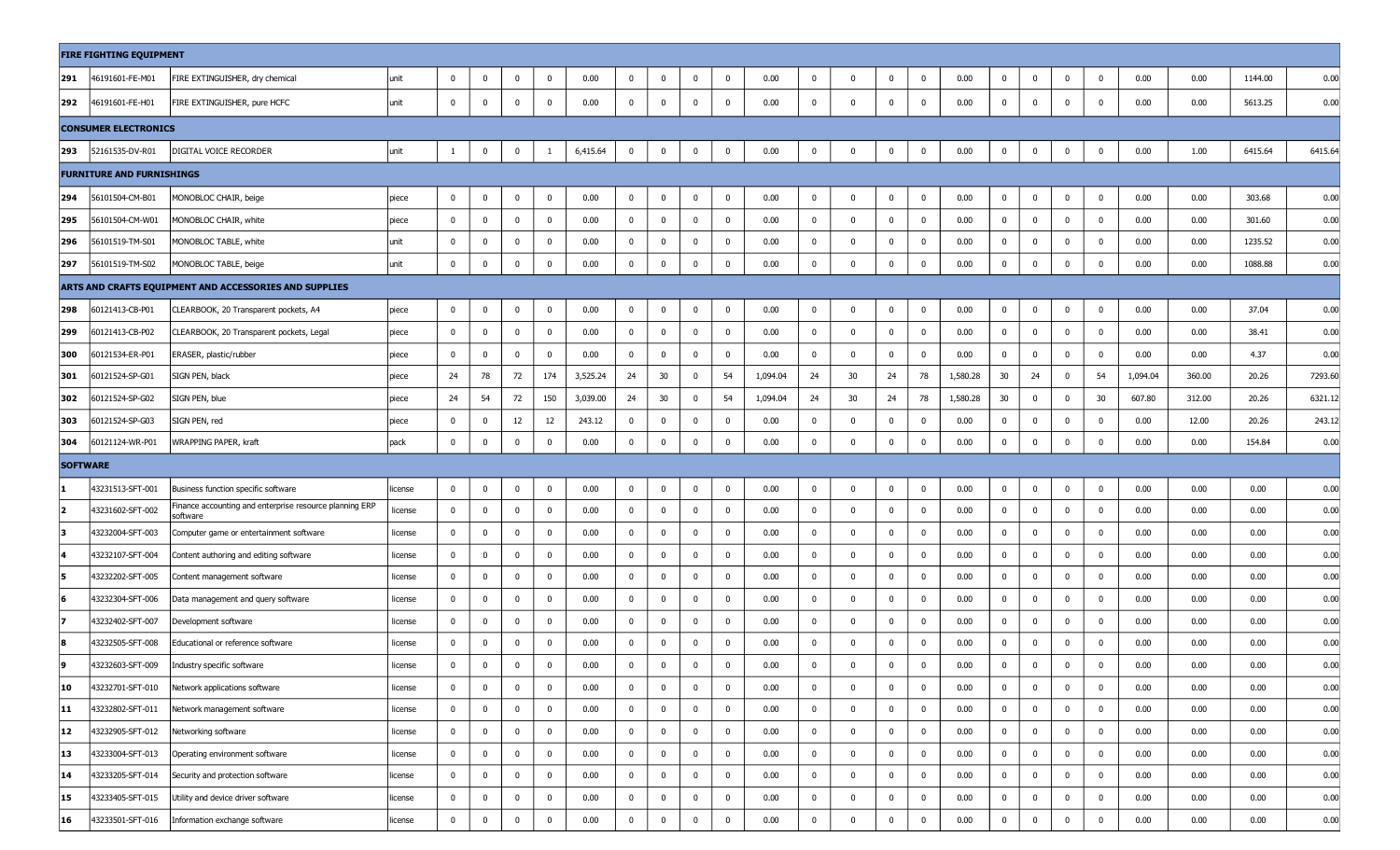|                 | <b>FIRE FIGHTING EQUIPMENT</b>   |                                                                     |         |                |             |              |              |          |                |              |             |              |          |              |                |                |                         |          |                |                         |              |                         |          |        |         |        |
|-----------------|----------------------------------|---------------------------------------------------------------------|---------|----------------|-------------|--------------|--------------|----------|----------------|--------------|-------------|--------------|----------|--------------|----------------|----------------|-------------------------|----------|----------------|-------------------------|--------------|-------------------------|----------|--------|---------|--------|
| 291             | 46191601-FE-M01                  | FIRE EXTINGUISHER, dry chemical                                     | unit    | $\mathbf 0$    | $\mathbf 0$ | $\mathbf 0$  | $\mathbf 0$  | 0.00     | $\overline{0}$ | $\mathbf 0$  | $\mathbf 0$ | $\mathbf{0}$ | 0.00     | $\mathbf{0}$ | $\mathbf 0$    | $\mathbf{0}$   | $\bf{0}$                | 0.00     | $\mathbf{0}$   | $\bf{0}$                | $\mathbf{0}$ | $\overline{0}$          | 0.00     | 0.00   | 1144.00 | 0.00   |
| 292             | 46191601-FE-H01                  | FIRE EXTINGUISHER, pure HCFC                                        | unit    | $\bf{0}$       | $\bf{0}$    | 0            | $\mathbf 0$  | 0.00     | $\mathbf 0$    | $\mathbf 0$  | $\mathbf 0$ | $\mathbf{0}$ | 0.00     | $\bf{0}$     | $\mathbf 0$    | $\bf{0}$       | $\overline{\mathbf{0}}$ | 0.00     | $\mathbf 0$    | $\mathbf{0}$            | $\mathbf 0$  | 0                       | 0.00     | 0.00   | 5613.25 | 0.00   |
|                 | <b>CONSUMER ELECTRONICS</b>      |                                                                     |         |                |             |              |              |          |                |              |             |              |          |              |                |                |                         |          |                |                         |              |                         |          |        |         |        |
| 293             | 52161535-DV-R01                  | DIGITAL VOICE RECORDER                                              | unit    | 1              | 0           | 0            |              | 6,415.64 | $\bf{0}$       | 0            | $\mathbf 0$ | 0            | 0.00     | $\mathbf 0$  | $\mathbf 0$    | 0              | 0                       | 0.00     | $\bf{0}$       | 0                       | $\mathbf 0$  | 0                       | 0.00     | 1.00   | 6415.64 | 6415.6 |
|                 | <b>FURNITURE AND FURNISHINGS</b> |                                                                     |         |                |             |              |              |          |                |              |             |              |          |              |                |                |                         |          |                |                         |              |                         |          |        |         |        |
| 294             | 56101504-CM-B01                  | MONOBLOC CHAIR, beige                                               | piece   | $\bf{0}$       | $\mathbf 0$ | 0            | $\mathbf{0}$ | 0.00     | $\bf{0}$       | 0            | $\mathbf 0$ | $\mathbf 0$  | 0.00     | $\bf{0}$     | $\mathbf 0$    | $\bf{0}$       | $\bm{0}$                | 0.00     | $\mathbf 0$    | $\mathbf 0$             | $\mathbf 0$  | $\mathbf 0$             | 0.00     | 0.00   | 303.68  | 0.00   |
| 295             | 56101504-CM-W01                  | MONOBLOC CHAIR, white                                               | piece   | $\bf{0}$       | $\mathbf 0$ | $\mathbf 0$  | $\mathbf 0$  | 0.00     | $\mathbf{0}$   | $\mathbf 0$  | $\mathbf 0$ | $\mathbf{0}$ | 0.00     | $\mathbf{0}$ | $\mathbf 0$    | $\mathbf 0$    | $\overline{\mathbf{0}}$ | 0.00     | $\mathbf{0}$   | $\mathbf{0}$            | $\mathbf 0$  | $\overline{\mathbf{0}}$ | 0.00     | 0.00   | 301.60  | 0.00   |
| 296             | 56101519-TM-S01                  | MONOBLOC TABLE, white                                               | unit    | 0              | $\mathbf 0$ | 0            | $\mathbf{0}$ | 0.00     | $\bf{0}$       | 0            | $\mathbf 0$ | 0            | 0.00     | $\bf{0}$     | $\mathbf 0$    | $\mathbf 0$    | $\bm{0}$                | 0.00     | $\mathbf 0$    | $\bm{0}$                | 0            | $\mathbf 0$             | 0.00     | 0.00   | 1235.52 | 0.00   |
| 297             | 56101519-TM-S02                  | MONOBLOC TABLE, beige                                               | unit    | $\mathbf 0$    | 0           | $\mathbf 0$  | $\Omega$     | 0.00     | $\mathbf 0$    | $\mathbf 0$  | $\mathbf 0$ | $\mathbf 0$  | 0.00     | $\mathbf{0}$ | $\mathbf 0$    | 0              | $\mathbf 0$             | 0.00     | $\mathbf 0$    | $\mathbf 0$             | $\mathbf 0$  | $\mathbf 0$             | 0.00     | 0.00   | 1088.88 | 0.00   |
|                 |                                  | ARTS AND CRAFTS EQUIPMENT AND ACCESSORIES AND SUPPLIES              |         |                |             |              |              |          |                |              |             |              |          |              |                |                |                         |          |                |                         |              |                         |          |        |         |        |
| 298             | 60121413-CB-P01                  | CLEARBOOK, 20 Transparent pockets, A4                               | piece   | $\bf{0}$       | $\mathbf 0$ | 0            | $\mathbf 0$  | 0.00     | $\bf{0}$       | $\mathbf 0$  | $\mathbf 0$ | $\mathbf 0$  | 0.00     | $\mathbf 0$  | 0              | 0              | $\bm{0}$                | 0.00     | $\mathbf 0$    | $\bf{0}$                | $\mathbf 0$  | 0                       | 0.00     | 0.00   | 37.04   | 0.00   |
| 299             | 60121413-CB-P02                  | CLEARBOOK, 20 Transparent pockets, Legal                            | piece   | $\mathbf 0$    | $\mathbf 0$ | 0            | $\mathbf 0$  | 0.00     | $\mathbf 0$    | $\mathbf 0$  | $\mathbf 0$ | $\mathbf 0$  | 0.00     | $\bf{0}$     | $\mathbf 0$    | $\mathbf 0$    | $\mathbf{0}$            | 0.00     | $\mathbf{0}$   | $\mathbf{0}$            | $\mathbf 0$  | $\overline{\mathbf{0}}$ | 0.00     | 0.00   | 38.41   | 0.00   |
| 300             | 60121534-ER-P01                  | ERASER, plastic/rubber                                              | piece   | $\mathbf 0$    | $\mathbf 0$ | 0            | $\mathbf 0$  | 0.00     | $\mathbf 0$    | 0            | $\mathbf 0$ | $\mathbf 0$  | 0.00     | $\bf{0}$     | $\mathbf 0$    | $^{\circ}$     | $\overline{\mathbf{0}}$ | 0.00     | $\mathbf{0}$   | $\overline{\mathbf{0}}$ | $\mathbf 0$  | $\mathbf 0$             | 0.00     | 0.00   | 4.37    | 0.00   |
| 301             | 60121524-SP-G01                  | SIGN PEN, black                                                     | piece   | 24             | 78          | 72           | 174          | 3,525.24 | 24             | 30           | $\mathbf 0$ | 54           | 1,094.04 | 24           | 30             | 24             | 78                      | 1,580.28 | 30             | 24                      | $\mathbf 0$  | 54                      | 1,094.04 | 360.00 | 20.26   | 7293.6 |
| 302             | 60121524-SP-G02                  | SIGN PEN, blue                                                      | piece   | 24             | 54          | 72           | 150          | 3,039.00 | 24             | 30           | $\bf{0}$    | 54           | 1,094.04 | 24           | 30             | 24             | 78                      | 1,580.28 | 30             | $\bf{0}$                | $\bf{0}$     | 30                      | 607.80   | 312.00 | 20.26   | 6321.1 |
| 303             | 60121524-SP-G03                  | SIGN PEN, red                                                       | piece   | 0              | $\bf{0}$    | 12           | 12           | 243.12   | $\bf{0}$       | $\mathbf 0$  | $\bf{0}$    | $\mathbf 0$  | 0.00     | 0            | $\mathbf 0$    | 0              | $\overline{\mathbf{0}}$ | 0.00     | $\mathbf{0}$   | $\overline{\mathbf{0}}$ | 0            | 0                       | 0.00     | 12.00  | 20.26   | 243.1  |
| 304             | 60121124-WR-P01                  | WRAPPING PAPER, kraft                                               | pack    | $\mathbf 0$    | $\mathbf 0$ | 0            | $\mathbf{0}$ | 0.00     | $\mathbf 0$    | $\mathbf 0$  | $\mathbf 0$ | $\mathbf 0$  | 0.00     | $\mathbf 0$  | $\mathbf 0$    | $\mathbf 0$    | $\mathbf 0$             | 0.00     | $\mathbf 0$    | $\mathbf 0$             | $\mathbf 0$  | $\mathbf 0$             | 0.00     | 0.00   | 154.84  | 0.00   |
| <b>SOFTWARE</b> |                                  |                                                                     |         |                |             |              |              |          |                |              |             |              |          |              |                |                |                         |          |                |                         |              |                         |          |        |         |        |
|                 | 43231513-SFT-001                 | Business function specific software                                 | license | $\bf{0}$       | $\bf{0}$    | 0            | $\mathbf 0$  | 0.00     | $\bf{0}$       | $\pmb{0}$    | $\mathbf 0$ | $\mathbf 0$  | 0.00     | $\mathbf 0$  | $\mathbf 0$    | $\mathbf{0}$   | $\mathbf 0$             | 0.00     | $\mathbf 0$    | $\bm{0}$                | $\mathbf 0$  | $\mathbf 0$             | 0.00     | 0.00   | 0.00    | 0.00   |
| 2               | 43231602-SFT-002                 | Finance accounting and enterprise resource planning ERP<br>software | license | $\bf{0}$       | $\mathbf 0$ | 0            | $\mathbf 0$  | 0.00     | $\mathbf 0$    | $\mathbf 0$  | $\mathbf 0$ | $\mathbf{0}$ | 0.00     | $\bf{0}$     | $\mathbf 0$    | $\mathbf 0$    | $\bm{0}$                | 0.00     | $\mathbf{0}$   | $\bm{0}$                | $\mathbf 0$  | 0                       | 0.00     | 0.00   | 0.00    | 0.00   |
| 3               | 43232004-SFT-003                 | Computer game or entertainment software                             | license | $\bf{0}$       | $\mathbf 0$ | 0            | $\mathbf 0$  | 0.00     | $\bf{0}$       | 0            | 0           | 0            | 0.00     | 0            | $\mathbf 0$    | $\mathbf 0$    | $\bm{0}$                | 0.00     | 0              | 0                       | $\bf{0}$     | 0                       | 0.00     | 0.00   | 0.00    | 0.00   |
| 14              | 43232107-SFT-004                 | Content authoring and editing software                              | license | $\mathbf 0$    | $\mathbf 0$ | $\mathbf 0$  | $\mathbf 0$  | 0.00     | $\mathbf 0$    | 0            | $\mathbf 0$ | $\mathbf{0}$ | 0.00     | $\bf{0}$     | $\mathbf 0$    | $\mathbf 0$    | $\mathbf 0$             | 0.00     | $\mathbf{0}$   | $\overline{\mathbf{0}}$ | $\mathbf 0$  | $\mathbf 0$             | 0.00     | 0.00   | 0.00    | 0.00   |
| 5               | 43232202-SFT-005                 | Content management software                                         | license | $\mathbf 0$    | $\mathbf 0$ | 0            | $\mathbf{0}$ | 0.00     | $\mathbf 0$    | $\mathbf 0$  | $\mathbf 0$ | $\mathbf{0}$ | 0.00     | $\bf{0}$     | $\mathbf 0$    | 0              | $\overline{\mathbf{0}}$ | 0.00     | $\mathbf{0}$   | $\overline{\mathbf{0}}$ | $\mathbf{0}$ | $\mathbf 0$             | 0.00     | 0.00   | 0.00    | 0.00   |
| 6               | 43232304-SFT-006                 | Data management and query software                                  | license | $\mathbf 0$    | $\mathbf 0$ | 0            | $\mathbf{0}$ | 0.00     | $\mathbf 0$    | $\mathbf 0$  | $\mathbf 0$ | $\mathbf 0$  | 0.00     | 0            | $\mathbf 0$    | $\mathbf 0$    | $\mathbf 0$             | 0.00     | $\mathbf 0$    | $\mathbf 0$             | $\mathbf 0$  | $\mathbf 0$             | 0.00     | 0.00   | 0.00    | 0.00   |
| 17              | 43232402-SFT-007                 | Development software                                                | license | $\mathbf 0$    | $\mathbf 0$ | $\mathbf 0$  | $\mathbf 0$  | 0.00     | $\mathbf 0$    | 0            | $\mathbf 0$ | $\mathbf 0$  | 0.00     | 0            | $\mathbf 0$    | $\mathbf 0$    | $\overline{\mathbf{0}}$ | 0.00     | $\mathbf{0}$   | $\overline{\mathbf{0}}$ | $\mathbf 0$  | $\mathbf 0$             | 0.00     | 0.00   | 0.00    | 0.00   |
| 8               | 43232505-SFT-008                 | Educational or reference software                                   | license | 0              | 0           | 0            | 0            | 0.00     | $\mathbf 0$    | 0            | $\mathbf 0$ | 0            | 0.00     | 0            | $\mathbf 0$    | 0              | $\mathbf 0$             | 0.00     | 0              | $\mathbf 0$             | 0            | 0                       | 0.00     | 0.00   | 0.00    | 0.00   |
| ۱a              | 43232603-SFT-009                 | Industry specific software                                          | license | 0              |             | $\mathbf 0$  |              | 0.00     | 0              | $\mathbf 0$  |             | $\mathbf 0$  | 0.00     | 0            |                |                | $\mathbf{0}$            | 0.00     |                | $\mathbf{0}$            | $\mathbf 0$  | $\mathbf 0$             | 0.00     | 0.00   | 0.00    | 0.00   |
| 10              | 43232701-SFT-010                 | Network applications software                                       | license | $\overline{0}$ | $\mathbf 0$ | $\mathbf 0$  | $\mathbf 0$  | 0.00     | $\bf{0}$       | $\mathbf{0}$ | $\mathbf 0$ | $\mathbf{0}$ | 0.00     | $\bf{0}$     | $\overline{0}$ | $\overline{0}$ | $\bf{0}$                | 0.00     | $\overline{0}$ | $\bf{0}$                | $\mathbf 0$  | $\mathbf 0$             | 0.00     | 0.00   | 0.00    | 0.00   |
| 11              | 43232802-SFT-011                 | Network management software                                         | license | $\bf{0}$       | $\mathbf 0$ | $\mathbf 0$  | $\mathbf 0$  | 0.00     | $\mathbf 0$    | $\mathbf 0$  | $\bf{0}$    | $\bf{0}$     | 0.00     | $\bf{0}$     | $\mathbf{0}$   | $\mathbf{0}$   | $\mathbf 0$             | 0.00     | $\mathbf{0}$   | $\bf{0}$                | $\mathbf 0$  | $\overline{\mathbf{0}}$ | 0.00     | 0.00   | 0.00    | 0.00   |
| 12              | 43232905-SFT-012                 | Networking software                                                 | license | $\overline{0}$ | $\mathbf 0$ | $\mathbf 0$  | $\mathbf 0$  | 0.00     | $\bf{0}$       | $\mathbf 0$  | $\mathbf 0$ | $\mathbf{0}$ | 0.00     | $\mathbf{0}$ | $\mathbf 0$    | $\mathbf{0}$   | $\mathbf 0$             | 0.00     | $\mathbf{0}$   | $\bf{0}$                | $\mathbf{0}$ | $\overline{0}$          | 0.00     | 0.00   | 0.00    | 0.00   |
| 13              | 43233004-SFT-013                 | Operating environment software                                      | license | $\bf{0}$       | $\bf{0}$    | $\bf{0}$     | $\mathbf 0$  | 0.00     | $\mathbf 0$    | $\mathbf 0$  | $\mathbf 0$ | $\mathbf{0}$ | 0.00     | $\bf{0}$     | $\overline{0}$ | $\mathbf 0$    | $\bf{0}$                | 0.00     | $\bf{0}$       | $\mathbf 0$             | $\mathbf 0$  | $\mathbf 0$             | 0.00     | 0.00   | 0.00    | 0.00   |
| 14              | 43233205-SFT-014                 | Security and protection software                                    | license | $\overline{0}$ | $\mathbf 0$ | $\mathbf{0}$ | $\mathbf 0$  | 0.00     | $\mathbf 0$    | $\mathbf 0$  | $\bf{0}$    | $\bf{0}$     | 0.00     | $\bf{0}$     | $\overline{0}$ | $\overline{0}$ | $\bf{0}$                | 0.00     | $\mathbf{0}$   | $\mathbf 0$             | $\bf{0}$     | $\overline{0}$          | 0.00     | 0.00   | 0.00    | 0.00   |
| 15              | 43233405-SFT-015                 | Utility and device driver software                                  | license | $\mathbf{0}$   | $\mathbf 0$ | $\mathbf 0$  | $\mathbf 0$  | 0.00     | $\mathbf 0$    | $\mathbf 0$  | $\mathbf 0$ | $\mathbf{0}$ | 0.00     | $\mathbf{0}$ | $\mathbf 0$    | $\mathbf{0}$   | $\mathbf 0$             | 0.00     | $\mathbf 0$    | $\bf{0}$                | $\mathbf 0$  | $\mathbf 0$             | 0.00     | 0.00   | 0.00    | 0.00   |
| 16              | 43233501-SFT-016                 | Information exchange software                                       | license | $\mathbf 0$    | $\mathbf 0$ | $\mathbf 0$  | $\mathbf 0$  | 0.00     | $\bf{0}$       | $\pmb{0}$    | $\mathbf 0$ | $\mathbf 0$  | 0.00     | $\mathbf 0$  | $\mathbf 0$    | $\mathbf 0$    | $\mathbf 0$             | 0.00     | $\mathbf 0$    | $\bf{0}$                | $\bf{0}$     | $\mathbf 0$             | 0.00     | 0.00   | 0.00    | 0.00   |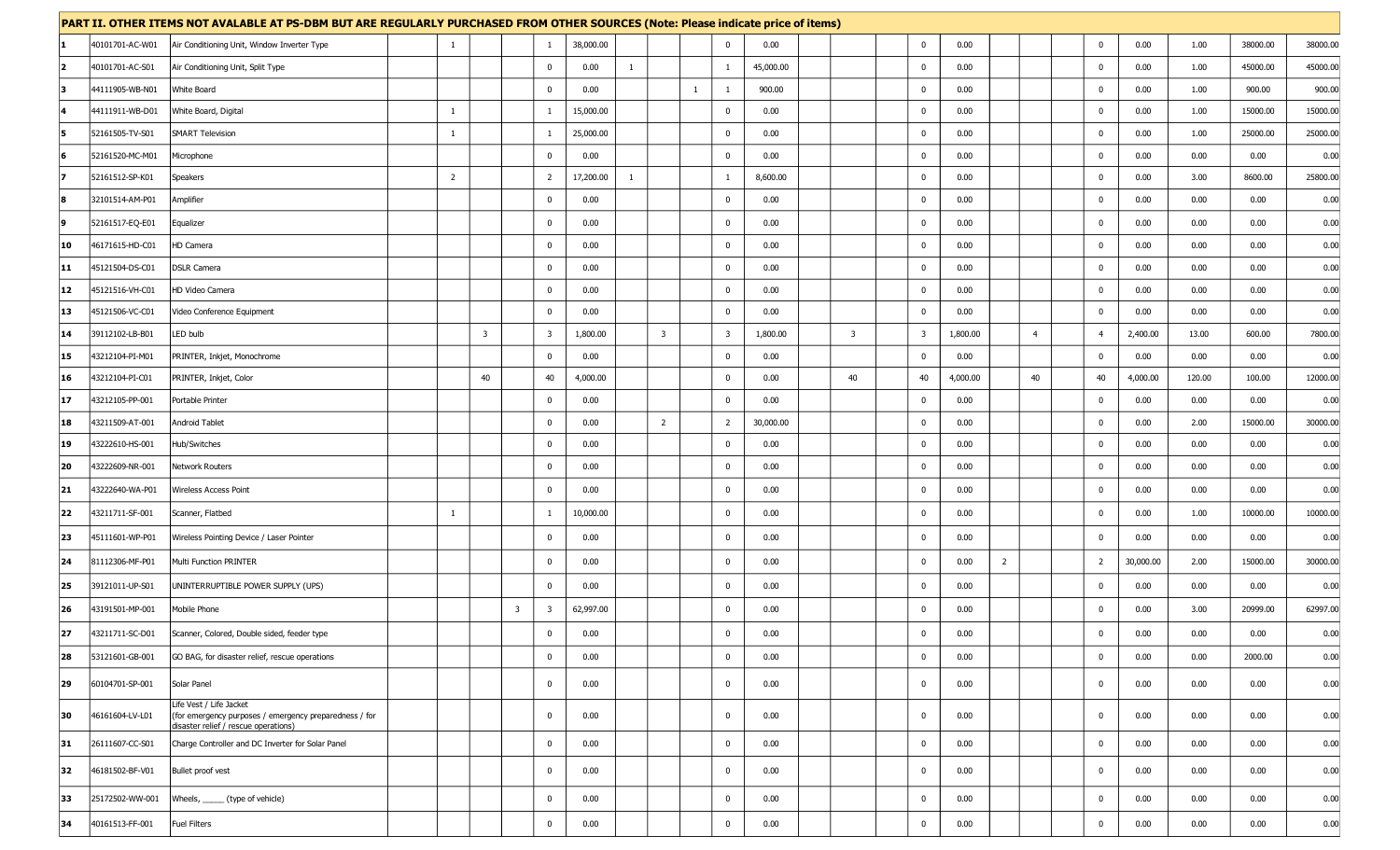|              |                 | PART II. OTHER ITEMS NOT AVALABLE AT PS-DBM BUT ARE REGULARLY PURCHASED FROM OTHER SOURCES (Note: Please indicate price of items) |                |                |                         |                         |           |              |                         |              |                         |           |                         |                         |          |                |                |                |           |        |          |          |
|--------------|-----------------|-----------------------------------------------------------------------------------------------------------------------------------|----------------|----------------|-------------------------|-------------------------|-----------|--------------|-------------------------|--------------|-------------------------|-----------|-------------------------|-------------------------|----------|----------------|----------------|----------------|-----------|--------|----------|----------|
| 11           | 40101701-AC-W01 | Air Conditioning Unit, Window Inverter Type                                                                                       | $\mathbf{1}$   |                |                         | -1                      | 38,000.00 |              |                         |              | $\mathbf 0$             | 0.00      |                         | $\mathbf{0}$            | 0.00     |                |                | $\mathbf 0$    | 0.00      | 1.00   | 38000.00 | 38000.00 |
| 2            | 40101701-AC-S01 | Air Conditioning Unit, Split Type                                                                                                 |                |                |                         | $\mathbf 0$             | 0.00      | $\mathbf{1}$ |                         |              | 1                       | 45,000.00 |                         | $\overline{\mathbf{0}}$ | 0.00     |                |                | $\mathbf 0$    | 0.00      | 1.00   | 45000.00 | 45000.00 |
| 13           | 44111905-WB-N01 | White Board                                                                                                                       |                |                |                         | $\mathbf 0$             | 0.00      |              |                         | $\mathbf{1}$ | 1                       | 900.00    |                         | $\mathbf 0$             | 0.00     |                |                | $\mathbf 0$    | 0.00      | 1.00   | 900.00   | 900.00   |
| 14           | 44111911-WB-D01 | White Board, Digital                                                                                                              | -1             |                |                         | -1                      | 15,000.00 |              |                         |              | 0                       | 0.00      |                         | $\overline{\mathbf{0}}$ | 0.00     |                |                | $\mathbf 0$    | 0.00      | 1.00   | 15000.00 | 15000.0  |
| 15           | 52161505-TV-S01 | <b>SMART Television</b>                                                                                                           | $\mathbf{1}$   |                |                         | 1                       | 25,000.00 |              |                         |              | $\bf{0}$                | 0.00      |                         | $\overline{\mathbf{0}}$ | 0.00     |                |                | $\mathbf 0$    | 0.00      | 1.00   | 25000.00 | 25000.00 |
| <b>6</b>     | 52161520-MC-M01 | Microphone                                                                                                                        |                |                |                         | $\mathbf 0$             | 0.00      |              |                         |              | $\mathbf 0$             | 0.00      |                         | $\mathbf 0$             | 0.00     |                |                | $\mathbf 0$    | 0.00      | 0.00   | 0.00     | 0.00     |
| 17           | 52161512-SP-K01 | Speakers                                                                                                                          | $\overline{2}$ |                |                         | $\overline{2}$          | 17,200.00 | $\mathbf{1}$ |                         |              | $\mathbf{1}$            | 8,600.00  |                         | $\overline{\mathbf{0}}$ | 0.00     |                |                | $\mathbf 0$    | 0.00      | 3.00   | 8600.00  | 25800.00 |
| 18           | 32101514-AM-P01 | Amplifier                                                                                                                         |                |                |                         | $\mathbf 0$             | 0.00      |              |                         |              | $\mathbf{0}$            | 0.00      |                         | $\overline{\mathbf{0}}$ | 0.00     |                |                | $\mathbf 0$    | 0.00      | 0.00   | 0.00     | 0.00     |
| ۱g           | 52161517-EQ-E01 | Equalizer                                                                                                                         |                |                |                         | $\mathbf{0}$            | 0.00      |              |                         |              | $\mathbf 0$             | 0.00      |                         | $\mathbf 0$             | 0.00     |                |                | $\mathbf 0$    | 0.00      | 0.00   | 0.00     | 0.00     |
| 10           | 46171615-HD-C01 | HD Camera                                                                                                                         |                |                |                         | $\mathbf 0$             | 0.00      |              |                         |              | $\mathbf{0}$            | 0.00      |                         | $\overline{\mathbf{0}}$ | 0.00     |                |                | $\mathbf 0$    | 0.00      | 0.00   | 0.00     | 0.00     |
| 11           | 45121504-DS-C01 | <b>DSLR Camera</b>                                                                                                                |                |                |                         | $\overline{0}$          | 0.00      |              |                         |              | $^{\circ}$              | 0.00      |                         | 0                       | 0.00     |                |                | $\mathbf 0$    | 0.00      | 0.00   | 0.00     | 0.00     |
| $ 12\rangle$ | 45121516-VH-C01 | HD Video Camera                                                                                                                   |                |                |                         | $\mathbf 0$             | 0.00      |              |                         |              | $\mathbf 0$             | 0.00      |                         | $\mathbf 0$             | 0.00     |                |                | $\mathbf 0$    | 0.00      | 0.00   | 0.00     | 0.00     |
| 13           | 45121506-VC-C01 | Video Conference Equipment                                                                                                        |                |                |                         | $\mathbf 0$             | 0.00      |              |                         |              | $\mathbf{0}$            | 0.00      |                         | $\overline{\mathbf{0}}$ | 0.00     |                |                | $\mathbf 0$    | 0.00      | 0.00   | 0.00     | 0.00     |
| 14           | 39112102-LB-B01 | LED bulb                                                                                                                          |                | $\overline{3}$ |                         | $\overline{\mathbf{3}}$ | 1,800.00  |              | $\overline{\mathbf{3}}$ |              | $\overline{\mathbf{3}}$ | 1,800.00  | $\overline{\mathbf{3}}$ | $\overline{\mathbf{3}}$ | 1,800.00 |                | $\overline{4}$ | $\overline{4}$ | 2,400.00  | 13.00  | 600.00   | 7800.00  |
| 15           | 43212104-PI-M01 | PRINTER, Inkjet, Monochrome                                                                                                       |                |                |                         | $\mathbf 0$             | 0.00      |              |                         |              | $\mathbf 0$             | 0.00      |                         | $\mathbf{0}$            | 0.00     |                |                | $\mathbf 0$    | 0.00      | 0.00   | 0.00     | 0.00     |
| 16           | 43212104-PI-C01 | PRINTER, Inkjet, Color                                                                                                            |                | 40             |                         | 40                      | 4,000.00  |              |                         |              | 0                       | 0.00      |                         | 40<br>40                | 4,000.00 |                | 40             | 40             | 4,000.00  | 120.00 | 100.00   | 12000.00 |
| 17           | 43212105-PP-001 | Portable Printer                                                                                                                  |                |                |                         | $\overline{0}$          | 0.00      |              |                         |              | $\mathbf 0$             | 0.00      |                         | $\mathbf{0}$            | 0.00     |                |                | $\mathbf 0$    | 0.00      | 0.00   | 0.00     | 0.00     |
| 18           | 43211509-AT-001 | Android Tablet                                                                                                                    |                |                |                         | $\overline{0}$          | 0.00      |              | $\overline{2}$          |              | $\overline{2}$          | 30,000.00 |                         | $\mathbf 0$             | 0.00     |                |                | $\mathbf 0$    | 0.00      | 2.00   | 15000.00 | 30000.00 |
| 19           | 43222610-HS-001 | Hub/Switches                                                                                                                      |                |                |                         | $\mathbf 0$             | 0.00      |              |                         |              | $\mathbf{0}$            | 0.00      |                         | $\mathbf{0}$            | 0.00     |                |                | $\mathbf 0$    | 0.00      | 0.00   | 0.00     | 0.00     |
| 20           | 43222609-NR-001 | Network Routers                                                                                                                   |                |                |                         | $\mathbf{0}$            | 0.00      |              |                         |              | 0                       | 0.00      |                         | $\overline{\mathbf{0}}$ | 0.00     |                |                | $\mathbf 0$    | 0.00      | 0.00   | 0.00     | 0.00     |
| $ 21\rangle$ | 43222640-WA-P01 | Wireless Access Point                                                                                                             |                |                |                         | $\mathbf 0$             | 0.00      |              |                         |              | $\mathbf 0$             | 0.00      |                         | $\mathbf{0}$            | 0.00     |                |                | $\mathbf 0$    | 0.00      | 0.00   | 0.00     | 0.00     |
| 22           | 43211711-SF-001 | Scanner, Flatbed                                                                                                                  | -1             |                |                         | $\mathbf{1}$            | 10,000.00 |              |                         |              | $\mathbf 0$             | 0.00      |                         | $\mathbf 0$             | 0.00     |                |                | $\mathbf 0$    | 0.00      | 1.00   | 10000.00 | 10000.00 |
| 23           | 45111601-WP-P01 | Wireless Pointing Device / Laser Pointer                                                                                          |                |                |                         | $\mathbf 0$             | 0.00      |              |                         |              | $\mathbf{0}$            | 0.00      |                         | $\mathbf{0}$            | 0.00     |                |                | $\mathbf 0$    | 0.00      | 0.00   | 0.00     | 0.00     |
| 24           | 81112306-MF-P01 | Multi Function PRINTER                                                                                                            |                |                |                         | $\mathbf 0$             | 0.00      |              |                         |              | $\mathbf{0}$            | 0.00      |                         | $\overline{\mathbf{0}}$ | 0.00     | $\overline{2}$ |                | $\overline{2}$ | 30,000.00 | 2.00   | 15000.00 | 30000.00 |
| 25           | 39121011-UP-S01 | UNINTERRUPTIBLE POWER SUPPLY (UPS)                                                                                                |                |                |                         | $\mathbf{0}$            | 0.00      |              |                         |              | $^{\circ}$              | 0.00      |                         | $\mathbf 0$             | 0.00     |                |                | $\mathbf 0$    | 0.00      | 0.00   | 0.00     | 0.00     |
| 26           | 43191501-MP-001 | Mobile Phone                                                                                                                      |                |                | $\overline{\mathbf{3}}$ | -3                      | 62,997.00 |              |                         |              | $^{\circ}$              | 0.00      |                         | 0                       | 0.00     |                |                | $\mathbf 0$    | 0.00      | 3.00   | 20999.00 | 62997.00 |
| 27           | 43211711-SC-D01 | Scanner, Colored, Double sided, feeder type                                                                                       |                |                |                         | $\mathbf{0}$            | 0.00      |              |                         |              |                         | 0.00      |                         | $\mathbf{0}$            | 0.00     |                |                | $\mathbf 0$    | 0.00      | 0.00   | 0.00     | 0.00     |
| 28           | 53121601-GB-001 | GO BAG, for disaster relief, rescue operations                                                                                    |                |                |                         | $\mathbf{0}$            | 0.00      |              |                         |              | $\mathbf 0$             | 0.00      |                         | $\mathbf 0$             | 0.00     |                |                | $\mathbf 0$    | 0.00      | 0.00   | 2000.00  | 0.00     |
| 29           | 60104701-SP-001 | Solar Panel                                                                                                                       |                |                |                         | $\mathbf{0}$            | 0.00      |              |                         |              | $\mathbf 0$             | 0.00      |                         | $\mathbf{0}$            | 0.00     |                |                | $\mathbf 0$    | 0.00      | 0.00   | 0.00     | 0.00     |
| 30           | 46161604-LV-L01 | Life Vest / Life Jacket<br>(for emergency purposes / emergency preparedness / for<br>disaster relief / rescue operations)         |                |                |                         | $\mathbf 0$             | 0.00      |              |                         |              | $\mathbf 0$             | 0.00      |                         | $\mathbf 0$             | 0.00     |                |                | $\mathbf 0$    | 0.00      | 0.00   | 0.00     | 0.00     |
| 31           | 26111607-CC-S01 | Charge Controller and DC Inverter for Solar Panel                                                                                 |                |                |                         | $\mathbf{0}$            | 0.00      |              |                         |              | 0                       | 0.00      |                         | $\mathbf{0}$            | 0.00     |                |                | $\mathbf 0$    | 0.00      | 0.00   | 0.00     | 0.00     |
| 32           | 46181502-BF-V01 | Bullet proof vest                                                                                                                 |                |                |                         | $\mathbf 0$             | 0.00      |              |                         |              | $\mathbf 0$             | 0.00      |                         | $\mathbf 0$             | 0.00     |                |                | $\mathbf 0$    | 0.00      | 0.00   | 0.00     | 0.00     |
| 33           | 25172502-WW-001 | Wheels, ______ (type of vehicle)                                                                                                  |                |                |                         | $\mathbf 0$             | 0.00      |              |                         |              | $^{\circ}$              | 0.00      |                         | $\mathbf{0}$            | 0.00     |                |                | $\mathbf 0$    | 0.00      | 0.00   | 0.00     | 0.00     |
| 34           | 40161513-FF-001 | Fuel Filters                                                                                                                      |                |                |                         | $\mathbf{0}$            | 0.00      |              |                         |              | $\mathbf 0$             | 0.00      |                         | 0                       | 0.00     |                |                | $\mathbf 0$    | 0.00      | 0.00   | 0.00     | 0.00     |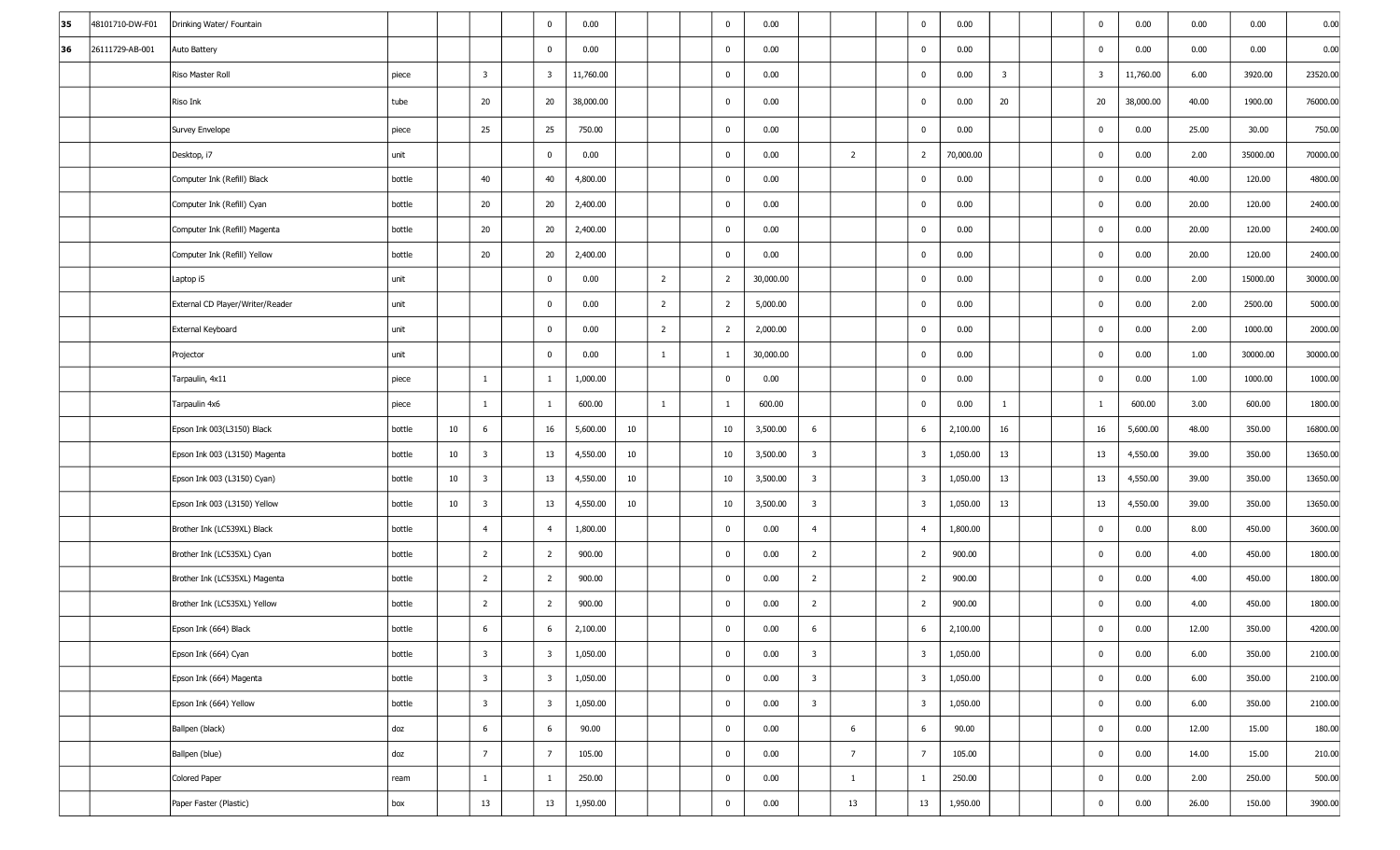| 35 | 48101710-DW-F01 | Drinking Water/ Fountain         |        |    |                         | $\mathbf 0$             | 0.00      |    |                | $\mathbf 0$    | 0.00      |                         |                | $\mathbf 0$             | 0.00      |                         |  | $\mathbf 0$             | 0.00      | 0.00  | 0.00     | 0.00     |
|----|-----------------|----------------------------------|--------|----|-------------------------|-------------------------|-----------|----|----------------|----------------|-----------|-------------------------|----------------|-------------------------|-----------|-------------------------|--|-------------------------|-----------|-------|----------|----------|
| 36 | 26111729-AB-001 | Auto Battery                     |        |    |                         | $\mathbf 0$             | 0.00      |    |                | $\mathbf 0$    | 0.00      |                         |                | $\mathbf 0$             | 0.00      |                         |  | $\mathbf 0$             | 0.00      | 0.00  | 0.00     | 0.00     |
|    |                 | Riso Master Roll                 | piece  |    | $\overline{\mathbf{3}}$ | $\overline{3}$          | 11,760.00 |    |                | $\mathbf 0$    | 0.00      |                         |                | $\mathbf 0$             | 0.00      | $\overline{\mathbf{3}}$ |  | $\overline{\mathbf{3}}$ | 11,760.00 | 6.00  | 3920.00  | 23520.00 |
|    |                 | Riso Ink                         | tube   |    | 20                      | 20                      | 38,000.00 |    |                | $\mathbf 0$    | 0.00      |                         |                | $\mathbf 0$             | 0.00      | 20                      |  | 20                      | 38,000.00 | 40.00 | 1900.00  | 76000.00 |
|    |                 | Survey Envelope                  | piece  |    | 25                      | 25                      | 750.00    |    |                | $\mathbf{0}$   | 0.00      |                         |                | $\mathbf 0$             | 0.00      |                         |  | $\mathbf 0$             | 0.00      | 25.00 | 30.00    | 750.00   |
|    |                 | Desktop, i7                      | unit   |    |                         | $\mathbf 0$             | 0.00      |    |                | $\bf{0}$       | 0.00      |                         | $\overline{2}$ | $\overline{2}$          | 70,000.00 |                         |  | $\bf{0}$                | 0.00      | 2.00  | 35000.00 | 70000.00 |
|    |                 | Computer Ink (Refill) Black      | bottle |    | 40                      | 40                      | 4,800.00  |    |                | $\mathbf{0}$   | 0.00      |                         |                | $\mathbf 0$             | 0.00      |                         |  | $\overline{0}$          | 0.00      | 40.00 | 120.00   | 4800.00  |
|    |                 | Computer Ink (Refill) Cyan       | bottle |    | 20                      | 20                      | 2,400.00  |    |                | $\bf{0}$       | 0.00      |                         |                | $\mathbf 0$             | 0.00      |                         |  | $\mathbf 0$             | 0.00      | 20.00 | 120.00   | 2400.00  |
|    |                 | Computer Ink (Refill) Magenta    | bottle |    | 20                      | 20                      | 2,400.00  |    |                | $\bf{0}$       | 0.00      |                         |                | $\mathbf 0$             | 0.00      |                         |  | $\overline{0}$          | 0.00      | 20.00 | 120.00   | 2400.00  |
|    |                 | Computer Ink (Refill) Yellow     | bottle |    | 20                      | 20                      | 2,400.00  |    |                | $\mathbf{0}$   | 0.00      |                         |                | $\mathbf 0$             | 0.00      |                         |  | $\overline{0}$          | 0.00      | 20.00 | 120.00   | 2400.00  |
|    |                 | Laptop i5                        | unit   |    |                         | $\mathbf 0$             | 0.00      |    | $\overline{2}$ | $\overline{2}$ | 30,000.00 |                         |                | $\mathbf 0$             | 0.00      |                         |  | $\overline{0}$          | 0.00      | 2.00  | 15000.00 | 30000.00 |
|    |                 | External CD Player/Writer/Reader | unit   |    |                         | $\mathbf 0$             | 0.00      |    | $\overline{2}$ | $\overline{2}$ | 5,000.00  |                         |                | $\mathbf 0$             | 0.00      |                         |  | $\bf{0}$                | 0.00      | 2.00  | 2500.00  | 5000.00  |
|    |                 | External Keyboard                | unit   |    |                         | $\mathbf 0$             | 0.00      |    | $\overline{2}$ | $\overline{2}$ | 2,000.00  |                         |                | $\mathbf 0$             | 0.00      |                         |  | $\overline{0}$          | 0.00      | 2.00  | 1000.00  | 2000.00  |
|    |                 | Projector                        | unit   |    |                         | $\mathbf 0$             | 0.00      |    | $\mathbf{1}$   | 1              | 30,000.00 |                         |                | $\mathbf 0$             | 0.00      |                         |  | $\mathbf 0$             | 0.00      | 1.00  | 30000.00 | 30000.00 |
|    |                 | Tarpaulin, 4x11                  | piece  |    | $\mathbf{1}$            | 1                       | 1,000.00  |    |                | $\bf{0}$       | 0.00      |                         |                | $\mathbf 0$             | 0.00      |                         |  | $\overline{0}$          | 0.00      | 1.00  | 1000.00  | 1000.00  |
|    |                 | Tarpaulin 4x6                    | piece  |    | $\mathbf{1}$            | 1                       | 600.00    |    | $\mathbf{1}$   | 1              | 600.00    |                         |                | $\mathbf 0$             | 0.00      | $\mathbf{1}$            |  | $\mathbf{1}$            | 600.00    | 3.00  | 600.00   | 1800.00  |
|    |                 | Epson Ink 003(L3150) Black       | bottle | 10 | 6                       | 16                      | 5,600.00  | 10 |                | 10             | 3,500.00  | 6                       |                | 6                       | 2,100.00  | 16                      |  | 16                      | 5,600.00  | 48.00 | 350.00   | 16800.00 |
|    |                 | Epson Ink 003 (L3150) Magenta    | bottle | 10 | $\overline{\mathbf{3}}$ | 13                      | 4,550.00  | 10 |                | 10             | 3,500.00  | $\overline{3}$          |                | $\overline{\mathbf{3}}$ | 1,050.00  | 13                      |  | 13                      | 4,550.00  | 39.00 | 350.00   | 13650.00 |
|    |                 | Epson Ink 003 (L3150) Cyan)      | bottle | 10 | $\overline{\mathbf{3}}$ | 13                      | 4,550.00  | 10 |                | 10             | 3,500.00  | $\overline{3}$          |                | $\overline{\mathbf{3}}$ | 1,050.00  | 13                      |  | 13                      | 4,550.00  | 39.00 | 350.00   | 13650.00 |
|    |                 | Epson Ink 003 (L3150) Yellow     | bottle | 10 | $\overline{\mathbf{3}}$ | 13                      | 4,550.00  | 10 |                | 10             | 3,500.00  | $\overline{3}$          |                | $\overline{\mathbf{3}}$ | 1,050.00  | 13                      |  | 13                      | 4,550.00  | 39.00 | 350.00   | 13650.00 |
|    |                 | Brother Ink (LC539XL) Black      | bottle |    | $\overline{4}$          | $\overline{4}$          | 1,800.00  |    |                | $\mathbf 0$    | 0.00      | $\overline{4}$          |                | $\overline{4}$          | 1,800.00  |                         |  | $\mathbf{0}$            | 0.00      | 8.00  | 450.00   | 3600.00  |
|    |                 | Brother Ink (LC535XL) Cyan       | bottle |    | $\overline{2}$          | $\overline{2}$          | 900.00    |    |                | $\mathbf 0$    | 0.00      | $\overline{2}$          |                | $\overline{2}$          | 900.00    |                         |  | $\mathbf 0$             | 0.00      | 4.00  | 450.00   | 1800.00  |
|    |                 | Brother Ink (LC535XL) Magenta    | bottle |    | $\overline{2}$          | $\overline{2}$          | 900.00    |    |                | $\mathbf 0$    | 0.00      | $\overline{2}$          |                | $\overline{2}$          | 900.00    |                         |  | $\mathbf 0$             | 0.00      | 4.00  | 450.00   | 1800.00  |
|    |                 | Brother Ink (LC535XL) Yellow     | bottle |    | $\overline{2}$          | $\overline{2}$          | 900.00    |    |                | $\mathbf 0$    | 0.00      | $\overline{2}$          |                | $\overline{2}$          | 900.00    |                         |  | $\bf{0}$                | 0.00      | 4.00  | 450.00   | 1800.00  |
|    |                 | Epson Ink (664) Black            | bottle |    | 6                       | 6                       | 2,100.00  |    |                | $\mathbf 0$    | 0.00      | 6                       |                | 6                       | 2,100.00  |                         |  | $\mathbf 0$             | 0.00      | 12.00 | 350.00   | 4200.00  |
|    |                 | Epson Ink (664) Cyan             | bottle |    | $\overline{3}$          | $\overline{\mathbf{3}}$ | 1,050.00  |    |                | $\mathbf 0$    | 0.00      | $\overline{3}$          |                | $\overline{\mathbf{3}}$ | 1,050.00  |                         |  | $\mathbf 0$             | 0.00      | 6.00  | 350.00   | 2100.00  |
|    |                 | Epson Ink (664) Magenta          | bottle |    | $\overline{\mathbf{3}}$ | $\overline{\mathbf{3}}$ | 1,050.00  |    |                | $\mathbf 0$    | 0.00      | $\overline{\mathbf{3}}$ |                | $\overline{\mathbf{3}}$ | 1,050.00  |                         |  | $\mathbf 0$             | 0.00      | 6.00  | 350.00   | 2100.00  |
|    |                 | Epson Ink (664) Yellow           | bottle |    | $\overline{\mathbf{3}}$ | $\overline{\mathbf{3}}$ | 1,050.00  |    |                | $\mathbf 0$    | 0.00      | $\overline{3}$          |                | $\overline{\mathbf{3}}$ | 1,050.00  |                         |  | $\mathbf 0$             | 0.00      | 6.00  | 350.00   | 2100.00  |
|    |                 | Ballpen (black)                  | doz    |    | $6\phantom{.}6$         | 6                       | 90.00     |    |                | $\bf{0}$       | 0.00      |                         | 6              | 6                       | 90.00     |                         |  | $\mathbf 0$             | 0.00      | 12.00 | 15.00    | 180.00   |
|    |                 | Ballpen (blue)                   | doz    |    | $\overline{7}$          | $\overline{7}$          | 105.00    |    |                | $\mathbf 0$    | 0.00      |                         | $\overline{7}$ | $\overline{7}$          | 105.00    |                         |  | $\mathbf 0$             | 0.00      | 14.00 | 15.00    | 210.00   |
|    |                 | Colored Paper                    | ream   |    | $\mathbf{1}$            | 1                       | 250.00    |    |                | $\mathbf 0$    | 0.00      |                         | $\mathbf{1}$   | $\mathbf{1}$            | 250.00    |                         |  | $\mathbf 0$             | 0.00      | 2.00  | 250.00   | 500.00   |
|    |                 | Paper Faster (Plastic)           | box    |    | 13                      | 13                      | 1,950.00  |    |                | $\mathbf 0$    | 0.00      |                         | 13             | 13                      | 1,950.00  |                         |  | $\mathbf 0$             | 0.00      | 26.00 | 150.00   | 3900.00  |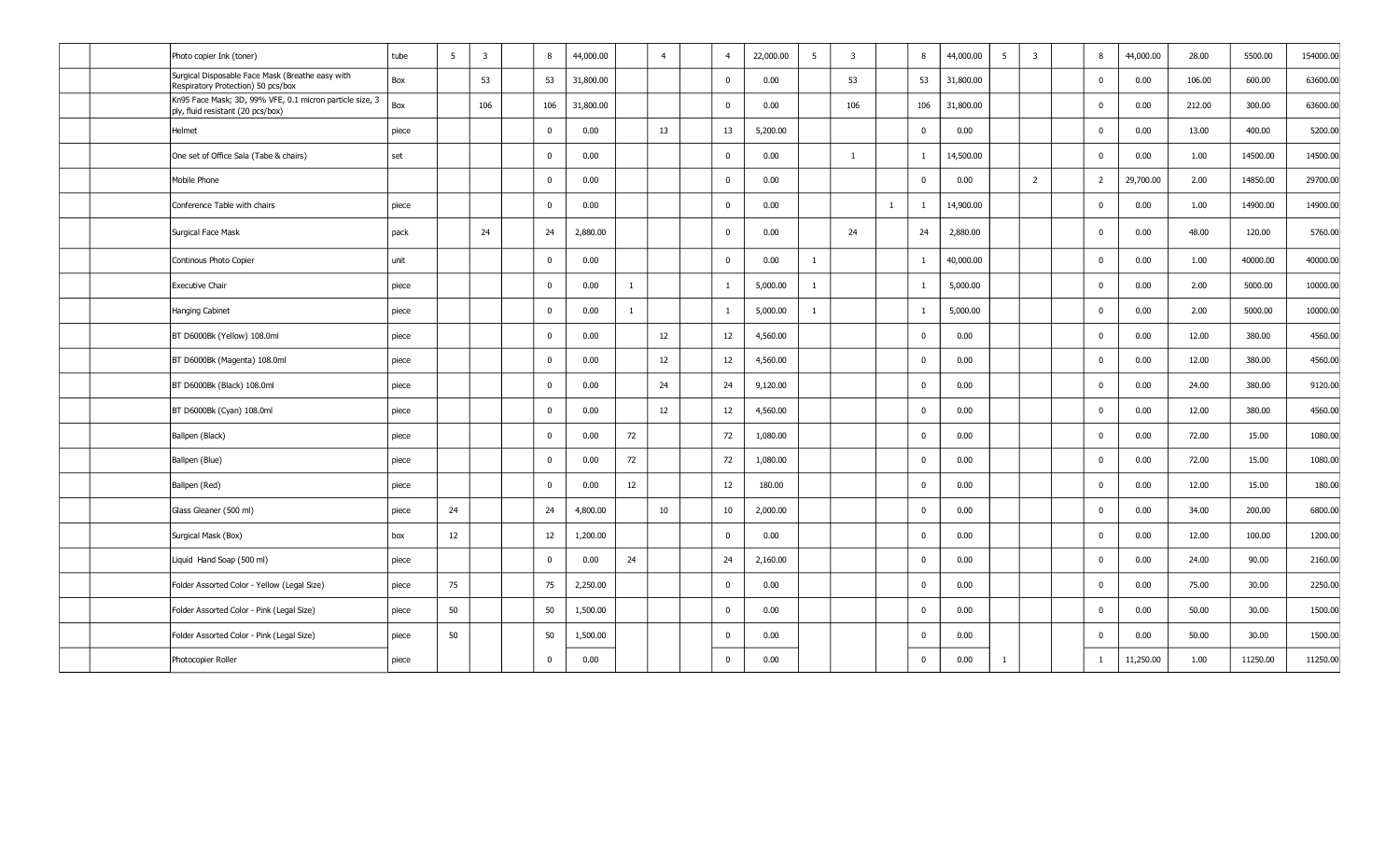|  | Photo copier Ink (toner)                                                                      | tube  | 5  | $\overline{\mathbf{3}}$ | 8              | 44,000.00 | $\overline{4}$ | $\overline{4}$ | 22,000.00 | 5            | $\overline{3}$ | 8                       | 44,000.00<br>5 | $\overline{\mathbf{3}}$ | 8              | 44,000.00 | 28.00  | 5500.00  | 154000.00 |
|--|-----------------------------------------------------------------------------------------------|-------|----|-------------------------|----------------|-----------|----------------|----------------|-----------|--------------|----------------|-------------------------|----------------|-------------------------|----------------|-----------|--------|----------|-----------|
|  | Surgical Disposable Face Mask (Breathe easy with<br>Respiratory Protection) 50 pcs/box        | Box   |    | 53                      | 53             | 31,800.00 |                | $\mathbf 0$    | 0.00      |              | 53             | 53                      | 31,800.00      |                         | $\Omega$       | 0.00      | 106.00 | 600.00   | 63600.00  |
|  | Kn95 Face Mask; 3D, 99% VFE, 0.1 micron particle size, 3<br>ply, fluid resistant (20 pcs/box) | Box   |    | 106                     | 106            | 31,800.00 |                | $\mathbf{0}$   | 0.00      |              | 106            | 106                     | 31,800.00      |                         | $\mathbf 0$    | 0.00      | 212.00 | 300.00   | 63600.00  |
|  | Helmet                                                                                        | piece |    |                         | $\mathbf{0}$   | 0.00      | 13             | 13             | 5,200.00  |              |                | $\overline{0}$          | 0.00           |                         | $\Omega$       | 0.00      | 13.00  | 400.00   | 5200.00   |
|  | One set of Office Sala (Tabe & chairs)                                                        | set   |    |                         | $\Omega$       | 0.00      |                | $\mathbf 0$    | 0.00      |              | $\mathbf{1}$   | $\mathbf{1}$            | 14,500.00      |                         | $\Omega$       | 0.00      | 1.00   | 14500.00 | 14500.00  |
|  | Mobile Phone                                                                                  |       |    |                         | $\Omega$       | 0.00      |                | 0              | 0.00      |              |                | $\mathbf 0$             | 0.00           | $\overline{2}$          | $\overline{2}$ | 29,700.00 | 2.00   | 14850.00 | 29700.00  |
|  | Conference Table with chairs                                                                  | piece |    |                         | $\mathbf 0$    | 0.00      |                | $\mathbf 0$    | 0.00      |              | $\mathbf{1}$   | $\mathbf{1}$            | 14,900.00      |                         | $\Omega$       | 0.00      | 1.00   | 14900.00 | 14900.00  |
|  | Surgical Face Mask                                                                            | pack  |    | 24                      | 24             | 2,880.00  |                | $\mathbf 0$    | 0.00      |              | 24             | 24                      | 2,880.00       |                         | $\overline{0}$ | 0.00      | 48.00  | 120.00   | 5760.00   |
|  | Continous Photo Copier                                                                        | unit  |    |                         | $\Omega$       | 0.00      |                | $\mathbf 0$    | 0.00      | 1            |                | $\mathbf{1}$            | 40,000.00      |                         | $\Omega$       | 0.00      | 1.00   | 40000.00 | 40000.00  |
|  | <b>Executive Chair</b>                                                                        | piece |    |                         | $\bf{0}$       | 0.00      | $\mathbf{1}$   | -1             | 5,000.00  | $\mathbf{1}$ |                | $\mathbf{1}$            | 5,000.00       |                         | 0              | 0.00      | 2.00   | 5000.00  | 10000.00  |
|  | Hanging Cabinet                                                                               | piece |    |                         | $\mathbf 0$    | 0.00      | $\mathbf{1}$   | -1             | 5,000.00  | 1            |                | $\mathbf{1}$            | 5,000.00       |                         | $\Omega$       | 0.00      | 2.00   | 5000.00  | 10000.00  |
|  | BT D6000Bk (Yellow) 108.0ml                                                                   | piece |    |                         | $\mathbf 0$    | 0.00      | 12             | 12             | 4,560.00  |              |                | $\mathbf 0$             | 0.00           |                         | $\mathbf 0$    | 0.00      | 12.00  | 380.00   | 4560.00   |
|  | BT D6000Bk (Magenta) 108.0ml                                                                  | piece |    |                         | $\overline{0}$ | 0.00      | 12             | 12             | 4,560.00  |              |                | $\overline{0}$          | 0.00           |                         | $\Omega$       | 0.00      | 12.00  | 380.00   | 4560.00   |
|  | BT D6000Bk (Black) 108.0ml                                                                    | piece |    |                         | $\mathbf{0}$   | 0.00      | 24             | 24             | 9,120.00  |              |                | $\overline{0}$          | 0.00           |                         | $\mathbf 0$    | 0.00      | 24.00  | 380.00   | 9120.00   |
|  | BT D6000Bk (Cyan) 108.0ml                                                                     | piece |    |                         | $\overline{0}$ | 0.00      | 12             | 12             | 4,560.00  |              |                | $\mathbf 0$             | 0.00           |                         | $\Omega$       | 0.00      | 12.00  | 380.00   | 4560.00   |
|  | Ballpen (Black)                                                                               | piece |    |                         | $\mathbf 0$    | 0.00      | 72             | 72             | 1,080.00  |              |                | $\mathbf 0$             | 0.00           |                         | $\mathbf 0$    | 0.00      | 72.00  | 15.00    | 1080.00   |
|  | Ballpen (Blue)                                                                                | piece |    |                         | $\Omega$       | 0.00      | 72             | 72             | 1,080.00  |              |                | $\mathbf 0$             | 0.00           |                         | $\Omega$       | 0.00      | 72.00  | 15.00    | 1080.00   |
|  | Ballpen (Red)                                                                                 | piece |    |                         | $\Omega$       | 0.00      | 12             | 12             | 180.00    |              |                | $\overline{0}$          | 0.00           |                         | 0              | 0.00      | 12.00  | 15.00    | 180.00    |
|  | Glass Gleaner (500 ml)                                                                        | piece | 24 |                         | 24             | 4,800.00  | 10             | 10             | 2,000.00  |              |                | $\overline{0}$          | 0.00           |                         | $\overline{0}$ | 0.00      | 34.00  | 200.00   | 6800.00   |
|  | Surgical Mask (Box)                                                                           | box   | 12 |                         | 12             | 1,200.00  |                | $\mathbf{0}$   | 0.00      |              |                | $\overline{0}$          | 0.00           |                         | $\overline{0}$ | 0.00      | 12.00  | 100.00   | 1200.00   |
|  | Liquid Hand Soap (500 ml)                                                                     | piece |    |                         | $\Omega$       | 0.00      | 24             | 24             | 2,160.00  |              |                | $\mathbf 0$             | 0.00           |                         | $\Omega$       | 0.00      | 24.00  | 90.00    | 2160.00   |
|  | Folder Assorted Color - Yellow (Legal Size)                                                   | piece | 75 |                         | 75             | 2,250.00  |                | $\mathbf 0$    | 0.00      |              |                | $\overline{\mathbf{0}}$ | 0.00           |                         | $\mathbf 0$    | 0.00      | 75.00  | 30.00    | 2250.00   |
|  | Folder Assorted Color - Pink (Legal Size)                                                     | piece | 50 |                         | 50             | 1,500.00  |                | $\mathbf{0}$   | 0.00      |              |                | $\overline{\mathbf{0}}$ | 0.00           |                         | $\Omega$       | 0.00      | 50.00  | 30.00    | 1500.00   |
|  | Folder Assorted Color - Pink (Legal Size)                                                     | piece | 50 |                         | 50             | 1,500.00  |                | 0              | 0.00      |              |                | $\mathbf 0$             | 0.00           |                         | $\Omega$       | 0.00      | 50.00  | 30.00    | 1500.00   |
|  | Photocopier Roller                                                                            | piece |    |                         | $\mathbf 0$    | 0.00      |                | $\mathbf 0$    | 0.00      |              |                | $\mathbf 0$             | 0.00<br>-1     |                         | $\overline{1}$ | 11,250.00 | 1.00   | 11250.00 | 11250.00  |